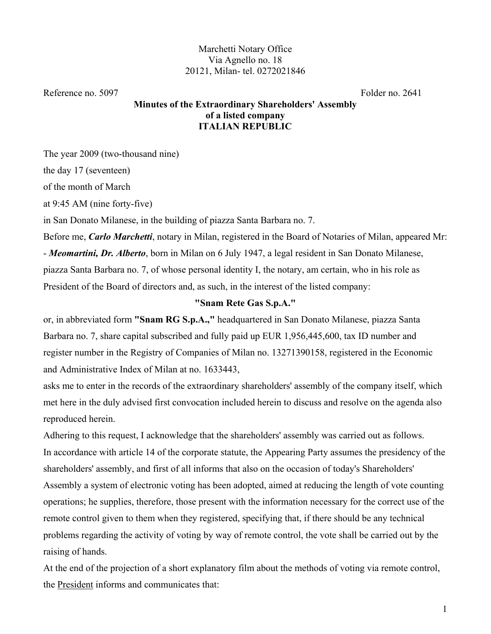#### Marchetti Notary Office Via Agnello no. 18 20121, Milan- tel. 0272021846

Reference no. 5097 Folder no. 2641

#### **Minutes of the Extraordinary Shareholders' Assembly of a listed company ITALIAN REPUBLIC**

The year 2009 (two-thousand nine) the day 17 (seventeen) of the month of March at 9:45 AM (nine forty-five)

in San Donato Milanese, in the building of piazza Santa Barbara no. 7.

Before me, *Carlo Marchetti*, notary in Milan, registered in the Board of Notaries of Milan, appeared Mr: - *Meomartini, Dr. Alberto*, born in Milan on 6 July 1947, a legal resident in San Donato Milanese, piazza Santa Barbara no. 7, of whose personal identity I, the notary, am certain, who in his role as President of the Board of directors and, as such, in the interest of the listed company:

#### **"Snam Rete Gas S.p.A."**

or, in abbreviated form **"Snam RG S.p.A.,"** headquartered in San Donato Milanese, piazza Santa Barbara no. 7, share capital subscribed and fully paid up EUR 1,956,445,600, tax ID number and register number in the Registry of Companies of Milan no. 13271390158, registered in the Economic and Administrative Index of Milan at no. 1633443,

asks me to enter in the records of the extraordinary shareholders' assembly of the company itself, which met here in the duly advised first convocation included herein to discuss and resolve on the agenda also reproduced herein.

Adhering to this request, I acknowledge that the shareholders' assembly was carried out as follows. In accordance with article 14 of the corporate statute, the Appearing Party assumes the presidency of the shareholders' assembly, and first of all informs that also on the occasion of today's Shareholders' Assembly a system of electronic voting has been adopted, aimed at reducing the length of vote counting operations; he supplies, therefore, those present with the information necessary for the correct use of the remote control given to them when they registered, specifying that, if there should be any technical problems regarding the activity of voting by way of remote control, the vote shall be carried out by the raising of hands.

At the end of the projection of a short explanatory film about the methods of voting via remote control, the President informs and communicates that: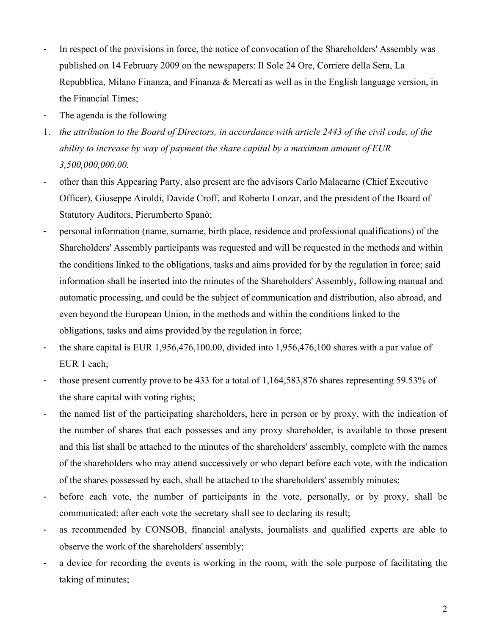- In respect of the provisions in force, the notice of convocation of the Shareholders' Assembly was published on 14 February 2009 on the newspapers: Il Sole 24 Ore, Corriere della Sera, La Repubblica, Milano Finanza, and Finanza & Mercati as well as in the English language version, in the Financial Times;
- The agenda is the following
- 1. *the attribution to the Board of Directors, in accordance with article 2443 of the civil code, of the ability to increase by way of payment the share capital by a maximum amount of EUR 3,500,000,000.00.*
- other than this Appearing Party, also present are the advisors Carlo Malacarne (Chief Executive Officer), Giuseppe Airoldi, Davide Croff, and Roberto Lonzar, and the president of the Board of Statutory Auditors, Pierumberto Spanò;
- personal information (name, surname, birth place, residence and professional qualifications) of the Shareholders' Assembly participants was requested and will be requested in the methods and within the conditions linked to the obligations, tasks and aims provided for by the regulation in force; said information shall be inserted into the minutes of the Shareholders' Assembly, following manual and automatic processing, and could be the subject of communication and distribution, also abroad, and even beyond the European Union, in the methods and within the conditions linked to the obligations, tasks and aims provided by the regulation in force;
- the share capital is EUR 1,956,476,100.00, divided into 1,956,476,100 shares with a par value of EUR 1 each;
- those present currently prove to be 433 for a total of 1,164,583,876 shares representing 59.53% of the share capital with voting rights;
- the named list of the participating shareholders, here in person or by proxy, with the indication of the number of shares that each possesses and any proxy shareholder, is available to those present and this list shall be attached to the minutes of the shareholders' assembly, complete with the names of the shareholders who may attend successively or who depart before each vote, with the indication of the shares possessed by each, shall be attached to the shareholders' assembly minutes;
- before each vote, the number of participants in the vote, personally, or by proxy, shall be communicated; after each vote the secretary shall see to declaring its result;
- as recommended by CONSOB, financial analysts, journalists and qualified experts are able to observe the work of the shareholders' assembly;
- a device for recording the events is working in the room, with the sole purpose of facilitating the taking of minutes;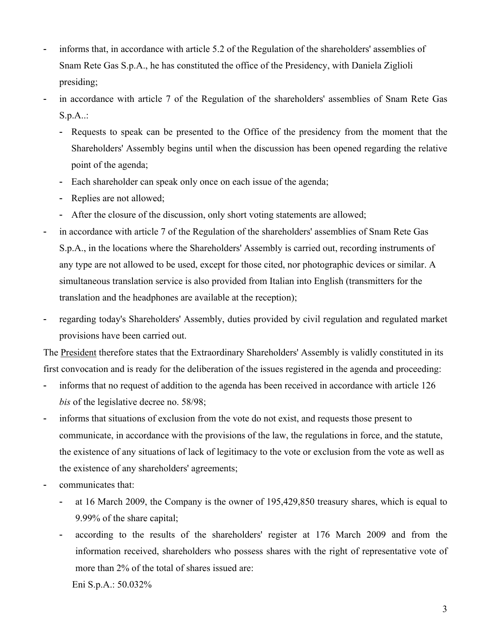- informs that, in accordance with article 5.2 of the Regulation of the shareholders' assemblies of Snam Rete Gas S.p.A., he has constituted the office of the Presidency, with Daniela Ziglioli presiding;
- in accordance with article 7 of the Regulation of the shareholders' assemblies of Snam Rete Gas S.p.A..:
	- Requests to speak can be presented to the Office of the presidency from the moment that the Shareholders' Assembly begins until when the discussion has been opened regarding the relative point of the agenda;
	- Each shareholder can speak only once on each issue of the agenda;
	- Replies are not allowed;
	- After the closure of the discussion, only short voting statements are allowed;
- in accordance with article 7 of the Regulation of the shareholders' assemblies of Snam Rete Gas S.p.A., in the locations where the Shareholders' Assembly is carried out, recording instruments of any type are not allowed to be used, except for those cited, nor photographic devices or similar. A simultaneous translation service is also provided from Italian into English (transmitters for the translation and the headphones are available at the reception);
- regarding today's Shareholders' Assembly, duties provided by civil regulation and regulated market provisions have been carried out.

The President therefore states that the Extraordinary Shareholders' Assembly is validly constituted in its first convocation and is ready for the deliberation of the issues registered in the agenda and proceeding:

- informs that no request of addition to the agenda has been received in accordance with article 126 *bis* of the legislative decree no. 58/98;
- informs that situations of exclusion from the vote do not exist, and requests those present to communicate, in accordance with the provisions of the law, the regulations in force, and the statute, the existence of any situations of lack of legitimacy to the vote or exclusion from the vote as well as the existence of any shareholders' agreements;
- communicates that:
	- at 16 March 2009, the Company is the owner of 195,429,850 treasury shares, which is equal to 9.99% of the share capital;
	- according to the results of the shareholders' register at 176 March 2009 and from the information received, shareholders who possess shares with the right of representative vote of more than 2% of the total of shares issued are:

Eni S.p.A.: 50.032%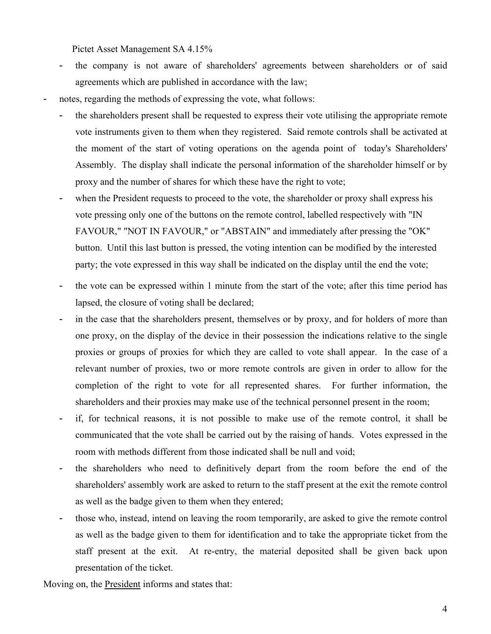Pictet Asset Management SA 4.15%

- the company is not aware of shareholders' agreements between shareholders or of said agreements which are published in accordance with the law;
- notes, regarding the methods of expressing the vote, what follows:
	- the shareholders present shall be requested to express their vote utilising the appropriate remote vote instruments given to them when they registered. Said remote controls shall be activated at the moment of the start of voting operations on the agenda point of today's Shareholders' Assembly. The display shall indicate the personal information of the shareholder himself or by proxy and the number of shares for which these have the right to vote;
	- when the President requests to proceed to the vote, the shareholder or proxy shall express his vote pressing only one of the buttons on the remote control, labelled respectively with "IN FAVOUR," "NOT IN FAVOUR," or "ABSTAIN" and immediately after pressing the "OK" button. Until this last button is pressed, the voting intention can be modified by the interested party; the vote expressed in this way shall be indicated on the display until the end the vote;
	- the vote can be expressed within 1 minute from the start of the vote; after this time period has lapsed, the closure of voting shall be declared;
	- in the case that the shareholders present, themselves or by proxy, and for holders of more than one proxy, on the display of the device in their possession the indications relative to the single proxies or groups of proxies for which they are called to vote shall appear. In the case of a relevant number of proxies, two or more remote controls are given in order to allow for the completion of the right to vote for all represented shares. For further information, the shareholders and their proxies may make use of the technical personnel present in the room;
	- if, for technical reasons, it is not possible to make use of the remote control, it shall be communicated that the vote shall be carried out by the raising of hands. Votes expressed in the room with methods different from those indicated shall be null and void;
	- the shareholders who need to definitively depart from the room before the end of the shareholders' assembly work are asked to return to the staff present at the exit the remote control as well as the badge given to them when they entered;
	- those who, instead, intend on leaving the room temporarily, are asked to give the remote control as well as the badge given to them for identification and to take the appropriate ticket from the staff present at the exit. At re-entry, the material deposited shall be given back upon presentation of the ticket.

Moving on, the President informs and states that: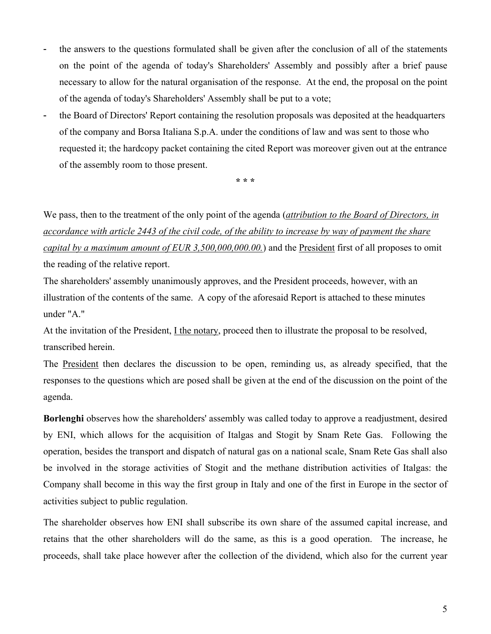- the answers to the questions formulated shall be given after the conclusion of all of the statements on the point of the agenda of today's Shareholders' Assembly and possibly after a brief pause necessary to allow for the natural organisation of the response. At the end, the proposal on the point of the agenda of today's Shareholders' Assembly shall be put to a vote;
- the Board of Directors' Report containing the resolution proposals was deposited at the headquarters of the company and Borsa Italiana S.p.A. under the conditions of law and was sent to those who requested it; the hardcopy packet containing the cited Report was moreover given out at the entrance of the assembly room to those present.

**\* \* \*** 

We pass, then to the treatment of the only point of the agenda (*attribution to the Board of Directors, in accordance with article 2443 of the civil code, of the ability to increase by way of payment the share capital by a maximum amount of EUR 3,500,000,000.00.*) and the President first of all proposes to omit the reading of the relative report.

The shareholders' assembly unanimously approves, and the President proceeds, however, with an illustration of the contents of the same. A copy of the aforesaid Report is attached to these minutes under "A."

At the invitation of the President, I the notary, proceed then to illustrate the proposal to be resolved, transcribed herein.

The President then declares the discussion to be open, reminding us, as already specified, that the responses to the questions which are posed shall be given at the end of the discussion on the point of the agenda.

**Borlenghi** observes how the shareholders' assembly was called today to approve a readjustment, desired by ENI, which allows for the acquisition of Italgas and Stogit by Snam Rete Gas. Following the operation, besides the transport and dispatch of natural gas on a national scale, Snam Rete Gas shall also be involved in the storage activities of Stogit and the methane distribution activities of Italgas: the Company shall become in this way the first group in Italy and one of the first in Europe in the sector of activities subject to public regulation.

The shareholder observes how ENI shall subscribe its own share of the assumed capital increase, and retains that the other shareholders will do the same, as this is a good operation. The increase, he proceeds, shall take place however after the collection of the dividend, which also for the current year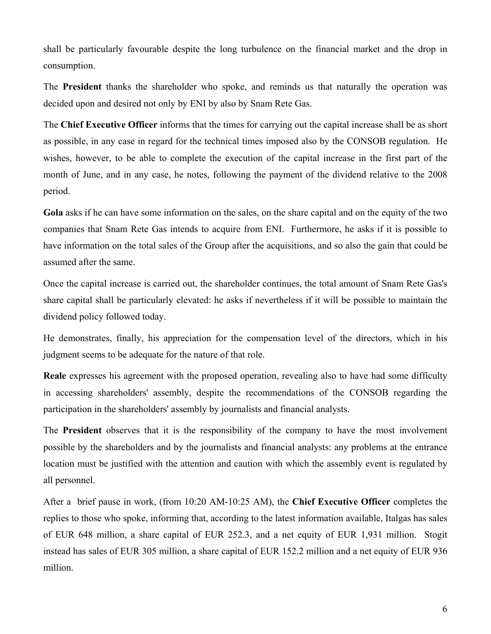shall be particularly favourable despite the long turbulence on the financial market and the drop in consumption.

The **President** thanks the shareholder who spoke, and reminds us that naturally the operation was decided upon and desired not only by ENI by also by Snam Rete Gas.

The **Chief Executive Officer** informs that the times for carrying out the capital increase shall be as short as possible, in any case in regard for the technical times imposed also by the CONSOB regulation. He wishes, however, to be able to complete the execution of the capital increase in the first part of the month of June, and in any case, he notes, following the payment of the dividend relative to the 2008 period.

**Gola** asks if he can have some information on the sales, on the share capital and on the equity of the two companies that Snam Rete Gas intends to acquire from ENI. Furthermore, he asks if it is possible to have information on the total sales of the Group after the acquisitions, and so also the gain that could be assumed after the same.

Once the capital increase is carried out, the shareholder continues, the total amount of Snam Rete Gas's share capital shall be particularly elevated: he asks if nevertheless if it will be possible to maintain the dividend policy followed today.

He demonstrates, finally, his appreciation for the compensation level of the directors, which in his judgment seems to be adequate for the nature of that role.

**Reale** expresses his agreement with the proposed operation, revealing also to have had some difficulty in accessing shareholders' assembly, despite the recommendations of the CONSOB regarding the participation in the shareholders' assembly by journalists and financial analysts.

The **President** observes that it is the responsibility of the company to have the most involvement possible by the shareholders and by the journalists and financial analysts: any problems at the entrance location must be justified with the attention and caution with which the assembly event is regulated by all personnel.

After a brief pause in work, (from 10:20 AM-10:25 AM), the **Chief Executive Officer** completes the replies to those who spoke, informing that, according to the latest information available, Italgas has sales of EUR 648 million, a share capital of EUR 252.3, and a net equity of EUR 1,931 million. Stogit instead has sales of EUR 305 million, a share capital of EUR 152.2 million and a net equity of EUR 936 million.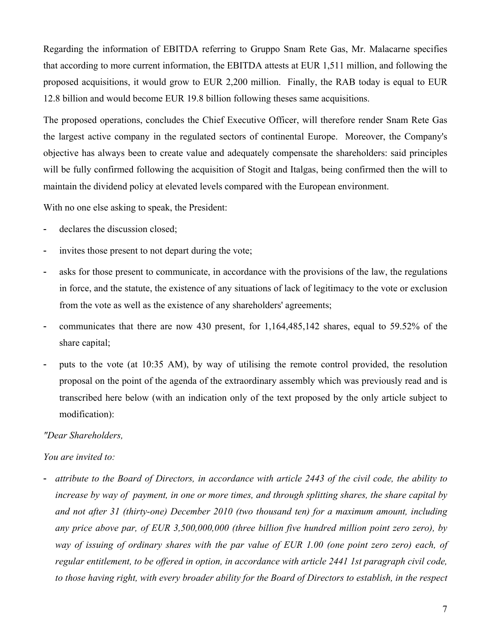Regarding the information of EBITDA referring to Gruppo Snam Rete Gas, Mr. Malacarne specifies that according to more current information, the EBITDA attests at EUR 1,511 million, and following the proposed acquisitions, it would grow to EUR 2,200 million. Finally, the RAB today is equal to EUR 12.8 billion and would become EUR 19.8 billion following theses same acquisitions.

The proposed operations, concludes the Chief Executive Officer, will therefore render Snam Rete Gas the largest active company in the regulated sectors of continental Europe. Moreover, the Company's objective has always been to create value and adequately compensate the shareholders: said principles will be fully confirmed following the acquisition of Stogit and Italgas, being confirmed then the will to maintain the dividend policy at elevated levels compared with the European environment.

With no one else asking to speak, the President:

- declares the discussion closed;
- invites those present to not depart during the vote;
- asks for those present to communicate, in accordance with the provisions of the law, the regulations in force, and the statute, the existence of any situations of lack of legitimacy to the vote or exclusion from the vote as well as the existence of any shareholders' agreements;
- communicates that there are now 430 present, for 1,164,485,142 shares, equal to 59.52% of the share capital;
- puts to the vote (at 10:35 AM), by way of utilising the remote control provided, the resolution proposal on the point of the agenda of the extraordinary assembly which was previously read and is transcribed here below (with an indication only of the text proposed by the only article subject to modification):

#### *"Dear Shareholders,*

#### *You are invited to:*

- *attribute to the Board of Directors, in accordance with article 2443 of the civil code, the ability to increase by way of payment, in one or more times, and through splitting shares, the share capital by and not after 31 (thirty-one) December 2010 (two thousand ten) for a maximum amount, including any price above par, of EUR 3,500,000,000 (three billion five hundred million point zero zero), by way of issuing of ordinary shares with the par value of EUR 1.00 (one point zero zero) each, of regular entitlement, to be offered in option, in accordance with article 2441 1st paragraph civil code, to those having right, with every broader ability for the Board of Directors to establish, in the respect*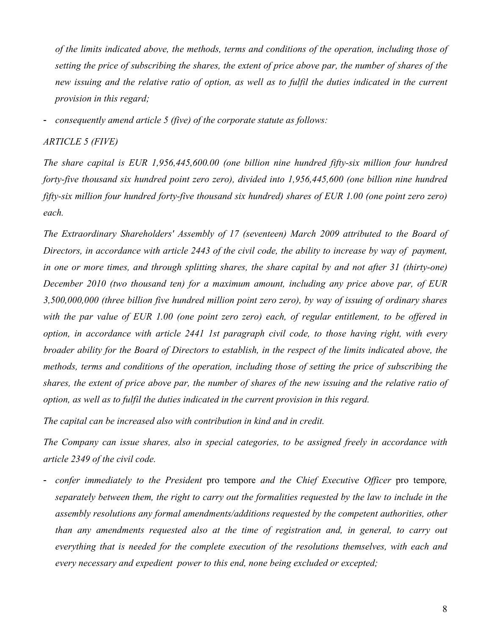*of the limits indicated above, the methods, terms and conditions of the operation, including those of setting the price of subscribing the shares, the extent of price above par, the number of shares of the new issuing and the relative ratio of option, as well as to fulfil the duties indicated in the current provision in this regard;* 

- *consequently amend article 5 (five) of the corporate statute as follows:* 

#### *ARTICLE 5 (FIVE)*

*The share capital is EUR 1,956,445,600.00 (one billion nine hundred fifty-six million four hundred forty-five thousand six hundred point zero zero), divided into 1,956,445,600 (one billion nine hundred fifty-six million four hundred forty-five thousand six hundred) shares of EUR 1.00 (one point zero zero) each.* 

*The Extraordinary Shareholders' Assembly of 17 (seventeen) March 2009 attributed to the Board of Directors, in accordance with article 2443 of the civil code, the ability to increase by way of payment, in one or more times, and through splitting shares, the share capital by and not after 31 (thirty-one) December 2010 (two thousand ten) for a maximum amount, including any price above par, of EUR 3,500,000,000 (three billion five hundred million point zero zero), by way of issuing of ordinary shares with the par value of EUR 1.00 (one point zero zero) each, of regular entitlement, to be offered in option, in accordance with article 2441 1st paragraph civil code, to those having right, with every broader ability for the Board of Directors to establish, in the respect of the limits indicated above, the methods, terms and conditions of the operation, including those of setting the price of subscribing the shares, the extent of price above par, the number of shares of the new issuing and the relative ratio of option, as well as to fulfil the duties indicated in the current provision in this regard.* 

*The capital can be increased also with contribution in kind and in credit.* 

*The Company can issue shares, also in special categories, to be assigned freely in accordance with article 2349 of the civil code.* 

- *confer immediately to the President* pro tempore *and the Chief Executive Officer* pro tempore*, separately between them, the right to carry out the formalities requested by the law to include in the assembly resolutions any formal amendments/additions requested by the competent authorities, other than any amendments requested also at the time of registration and, in general, to carry out everything that is needed for the complete execution of the resolutions themselves, with each and every necessary and expedient power to this end, none being excluded or excepted;*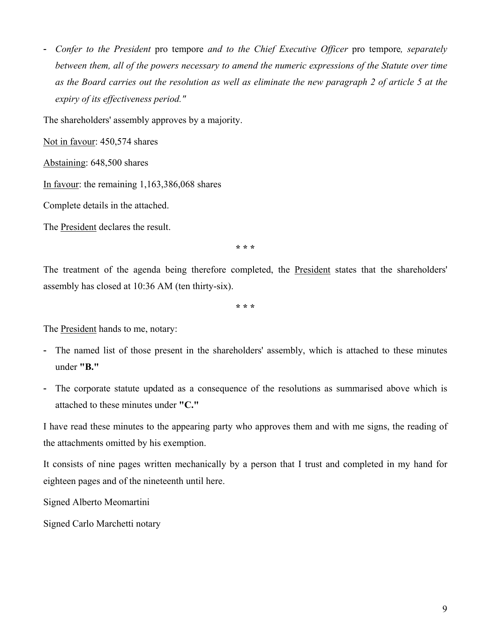- *Confer to the President* pro tempore *and to the Chief Executive Officer* pro tempore*, separately between them, all of the powers necessary to amend the numeric expressions of the Statute over time as the Board carries out the resolution as well as eliminate the new paragraph 2 of article 5 at the expiry of its effectiveness period."* 

The shareholders' assembly approves by a majority.

Not in favour: 450,574 shares

Abstaining: 648,500 shares

In favour: the remaining 1,163,386,068 shares

Complete details in the attached.

The President declares the result.

**\* \* \*** 

The treatment of the agenda being therefore completed, the President states that the shareholders' assembly has closed at 10:36 AM (ten thirty-six).

**\* \* \*** 

The President hands to me, notary:

- The named list of those present in the shareholders' assembly, which is attached to these minutes under **"B."**
- The corporate statute updated as a consequence of the resolutions as summarised above which is attached to these minutes under **"C."**

I have read these minutes to the appearing party who approves them and with me signs, the reading of the attachments omitted by his exemption.

It consists of nine pages written mechanically by a person that I trust and completed in my hand for eighteen pages and of the nineteenth until here.

Signed Alberto Meomartini

Signed Carlo Marchetti notary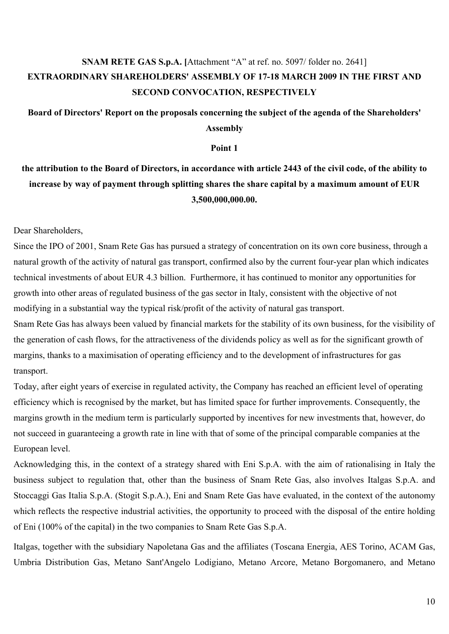# **SNAM RETE GAS S.p.A.** [Attachment "A" at ref. no. 5097/ folder no. 2641] **EXTRAORDINARY SHAREHOLDERS' ASSEMBLY OF 17-18 MARCH 2009 IN THE FIRST AND SECOND CONVOCATION, RESPECTIVELY**

### **Board of Directors' Report on the proposals concerning the subject of the agenda of the Shareholders' Assembly**

#### **Point 1**

**the attribution to the Board of Directors, in accordance with article 2443 of the civil code, of the ability to increase by way of payment through splitting shares the share capital by a maximum amount of EUR 3,500,000,000.00.** 

Dear Shareholders,

Since the IPO of 2001, Snam Rete Gas has pursued a strategy of concentration on its own core business, through a natural growth of the activity of natural gas transport, confirmed also by the current four-year plan which indicates technical investments of about EUR 4.3 billion. Furthermore, it has continued to monitor any opportunities for growth into other areas of regulated business of the gas sector in Italy, consistent with the objective of not modifying in a substantial way the typical risk/profit of the activity of natural gas transport.

Snam Rete Gas has always been valued by financial markets for the stability of its own business, for the visibility of the generation of cash flows, for the attractiveness of the dividends policy as well as for the significant growth of margins, thanks to a maximisation of operating efficiency and to the development of infrastructures for gas transport.

Today, after eight years of exercise in regulated activity, the Company has reached an efficient level of operating efficiency which is recognised by the market, but has limited space for further improvements. Consequently, the margins growth in the medium term is particularly supported by incentives for new investments that, however, do not succeed in guaranteeing a growth rate in line with that of some of the principal comparable companies at the European level.

Acknowledging this, in the context of a strategy shared with Eni S.p.A. with the aim of rationalising in Italy the business subject to regulation that, other than the business of Snam Rete Gas, also involves Italgas S.p.A. and Stoccaggi Gas Italia S.p.A. (Stogit S.p.A.), Eni and Snam Rete Gas have evaluated, in the context of the autonomy which reflects the respective industrial activities, the opportunity to proceed with the disposal of the entire holding of Eni (100% of the capital) in the two companies to Snam Rete Gas S.p.A.

Italgas, together with the subsidiary Napoletana Gas and the affiliates (Toscana Energia, AES Torino, ACAM Gas, Umbria Distribution Gas, Metano Sant'Angelo Lodigiano, Metano Arcore, Metano Borgomanero, and Metano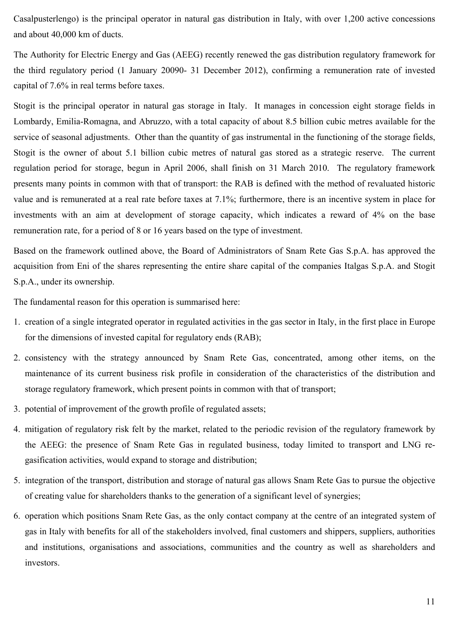Casalpusterlengo) is the principal operator in natural gas distribution in Italy, with over 1,200 active concessions and about 40,000 km of ducts.

The Authority for Electric Energy and Gas (AEEG) recently renewed the gas distribution regulatory framework for the third regulatory period (1 January 20090- 31 December 2012), confirming a remuneration rate of invested capital of 7.6% in real terms before taxes.

Stogit is the principal operator in natural gas storage in Italy. It manages in concession eight storage fields in Lombardy, Emilia-Romagna, and Abruzzo, with a total capacity of about 8.5 billion cubic metres available for the service of seasonal adjustments. Other than the quantity of gas instrumental in the functioning of the storage fields, Stogit is the owner of about 5.1 billion cubic metres of natural gas stored as a strategic reserve. The current regulation period for storage, begun in April 2006, shall finish on 31 March 2010. The regulatory framework presents many points in common with that of transport: the RAB is defined with the method of revaluated historic value and is remunerated at a real rate before taxes at 7.1%; furthermore, there is an incentive system in place for investments with an aim at development of storage capacity, which indicates a reward of 4% on the base remuneration rate, for a period of 8 or 16 years based on the type of investment.

Based on the framework outlined above, the Board of Administrators of Snam Rete Gas S.p.A. has approved the acquisition from Eni of the shares representing the entire share capital of the companies Italgas S.p.A. and Stogit S.p.A., under its ownership.

The fundamental reason for this operation is summarised here:

- 1. creation of a single integrated operator in regulated activities in the gas sector in Italy, in the first place in Europe for the dimensions of invested capital for regulatory ends (RAB);
- 2. consistency with the strategy announced by Snam Rete Gas, concentrated, among other items, on the maintenance of its current business risk profile in consideration of the characteristics of the distribution and storage regulatory framework, which present points in common with that of transport;
- 3. potential of improvement of the growth profile of regulated assets;
- 4. mitigation of regulatory risk felt by the market, related to the periodic revision of the regulatory framework by the AEEG: the presence of Snam Rete Gas in regulated business, today limited to transport and LNG regasification activities, would expand to storage and distribution;
- 5. integration of the transport, distribution and storage of natural gas allows Snam Rete Gas to pursue the objective of creating value for shareholders thanks to the generation of a significant level of synergies;
- 6. operation which positions Snam Rete Gas, as the only contact company at the centre of an integrated system of gas in Italy with benefits for all of the stakeholders involved, final customers and shippers, suppliers, authorities and institutions, organisations and associations, communities and the country as well as shareholders and investors.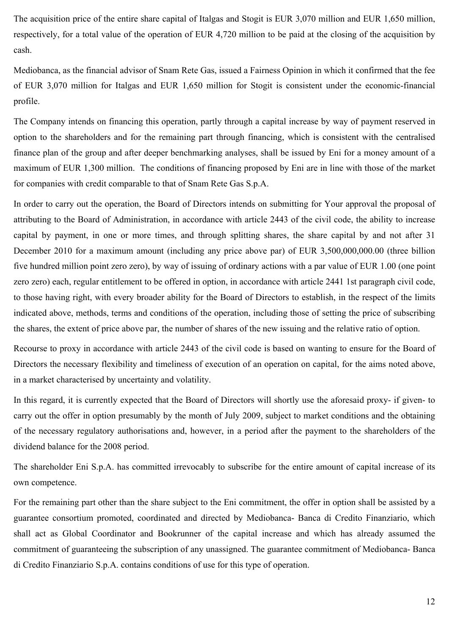The acquisition price of the entire share capital of Italgas and Stogit is EUR 3,070 million and EUR 1,650 million, respectively, for a total value of the operation of EUR 4,720 million to be paid at the closing of the acquisition by cash.

Mediobanca, as the financial advisor of Snam Rete Gas, issued a Fairness Opinion in which it confirmed that the fee of EUR 3,070 million for Italgas and EUR 1,650 million for Stogit is consistent under the economic-financial profile.

The Company intends on financing this operation, partly through a capital increase by way of payment reserved in option to the shareholders and for the remaining part through financing, which is consistent with the centralised finance plan of the group and after deeper benchmarking analyses, shall be issued by Eni for a money amount of a maximum of EUR 1,300 million. The conditions of financing proposed by Eni are in line with those of the market for companies with credit comparable to that of Snam Rete Gas S.p.A.

In order to carry out the operation, the Board of Directors intends on submitting for Your approval the proposal of attributing to the Board of Administration, in accordance with article 2443 of the civil code, the ability to increase capital by payment, in one or more times, and through splitting shares, the share capital by and not after 31 December 2010 for a maximum amount (including any price above par) of EUR 3,500,000,000.00 (three billion five hundred million point zero zero), by way of issuing of ordinary actions with a par value of EUR 1.00 (one point zero zero) each, regular entitlement to be offered in option, in accordance with article 2441 1st paragraph civil code, to those having right, with every broader ability for the Board of Directors to establish, in the respect of the limits indicated above, methods, terms and conditions of the operation, including those of setting the price of subscribing the shares, the extent of price above par, the number of shares of the new issuing and the relative ratio of option.

Recourse to proxy in accordance with article 2443 of the civil code is based on wanting to ensure for the Board of Directors the necessary flexibility and timeliness of execution of an operation on capital, for the aims noted above, in a market characterised by uncertainty and volatility.

In this regard, it is currently expected that the Board of Directors will shortly use the aforesaid proxy- if given- to carry out the offer in option presumably by the month of July 2009, subject to market conditions and the obtaining of the necessary regulatory authorisations and, however, in a period after the payment to the shareholders of the dividend balance for the 2008 period.

The shareholder Eni S.p.A. has committed irrevocably to subscribe for the entire amount of capital increase of its own competence.

For the remaining part other than the share subject to the Eni commitment, the offer in option shall be assisted by a guarantee consortium promoted, coordinated and directed by Mediobanca- Banca di Credito Finanziario, which shall act as Global Coordinator and Bookrunner of the capital increase and which has already assumed the commitment of guaranteeing the subscription of any unassigned. The guarantee commitment of Mediobanca- Banca di Credito Finanziario S.p.A. contains conditions of use for this type of operation.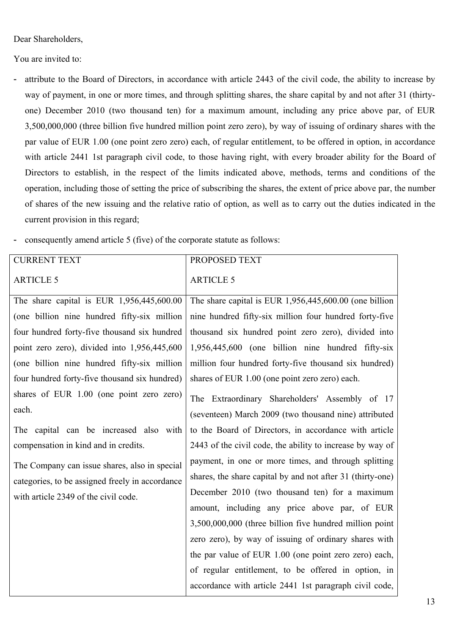#### Dear Shareholders,

You are invited to:

- attribute to the Board of Directors, in accordance with article 2443 of the civil code, the ability to increase by way of payment, in one or more times, and through splitting shares, the share capital by and not after 31 (thirtyone) December 2010 (two thousand ten) for a maximum amount, including any price above par, of EUR 3,500,000,000 (three billion five hundred million point zero zero), by way of issuing of ordinary shares with the par value of EUR 1.00 (one point zero zero) each, of regular entitlement, to be offered in option, in accordance with article 2441 1st paragraph civil code, to those having right, with every broader ability for the Board of Directors to establish, in the respect of the limits indicated above, methods, terms and conditions of the operation, including those of setting the price of subscribing the shares, the extent of price above par, the number of shares of the new issuing and the relative ratio of option, as well as to carry out the duties indicated in the current provision in this regard;
- consequently amend article 5 (five) of the corporate statute as follows:

| <b>CURRENT TEXT</b>                             | PROPOSED TEXT                                              |
|-------------------------------------------------|------------------------------------------------------------|
| <b>ARTICLE 5</b>                                | <b>ARTICLE 5</b>                                           |
| The share capital is EUR $1,956,445,600.00$     | The share capital is EUR $1,956,445,600.00$ (one billion   |
| (one billion nine hundred fifty-six million     | nine hundred fifty-six million four hundred forty-five     |
| four hundred forty-five thousand six hundred    | thousand six hundred point zero zero), divided into        |
| point zero zero), divided into 1,956,445,600    | 1,956,445,600 (one billion nine hundred fifty-six          |
| (one billion nine hundred fifty-six million     | million four hundred forty-five thousand six hundred)      |
| four hundred forty-five thousand six hundred)   | shares of EUR 1.00 (one point zero zero) each.             |
| shares of EUR 1.00 (one point zero zero)        | The Extraordinary Shareholders' Assembly of 17             |
| each.                                           | (seventeen) March 2009 (two thousand nine) attributed      |
| The capital can be increased also with          | to the Board of Directors, in accordance with article      |
| compensation in kind and in credits.            | 2443 of the civil code, the ability to increase by way of  |
| The Company can issue shares, also in special   | payment, in one or more times, and through splitting       |
| categories, to be assigned freely in accordance | shares, the share capital by and not after 31 (thirty-one) |
| with article 2349 of the civil code.            | December 2010 (two thousand ten) for a maximum             |
|                                                 | amount, including any price above par, of EUR              |
|                                                 | 3,500,000,000 (three billion five hundred million point    |
|                                                 | zero zero), by way of issuing of ordinary shares with      |
|                                                 | the par value of EUR 1.00 (one point zero zero) each,      |
|                                                 | of regular entitlement, to be offered in option, in        |
|                                                 | accordance with article 2441 1st paragraph civil code,     |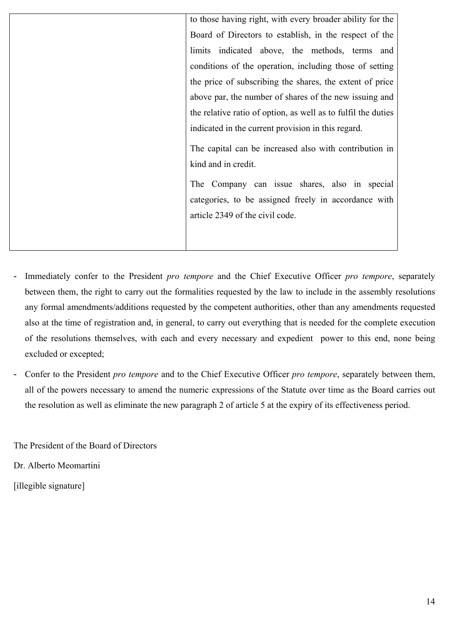| to those having right, with every broader ability for the     |
|---------------------------------------------------------------|
| Board of Directors to establish, in the respect of the        |
| limits indicated above, the methods, terms and                |
| conditions of the operation, including those of setting       |
| the price of subscribing the shares, the extent of price      |
| above par, the number of shares of the new issuing and        |
| the relative ratio of option, as well as to fulfil the duties |
| indicated in the current provision in this regard.            |
| The capital can be increased also with contribution in        |
|                                                               |
| kind and in credit.                                           |
| The Company can issue shares, also in special                 |
| categories, to be assigned freely in accordance with          |
|                                                               |
| article 2349 of the civil code.                               |
|                                                               |
|                                                               |

- Immediately confer to the President *pro tempore* and the Chief Executive Officer *pro tempore*, separately between them, the right to carry out the formalities requested by the law to include in the assembly resolutions any formal amendments/additions requested by the competent authorities, other than any amendments requested also at the time of registration and, in general, to carry out everything that is needed for the complete execution of the resolutions themselves, with each and every necessary and expedient power to this end, none being excluded or excepted;
- Confer to the President *pro tempore* and to the Chief Executive Officer *pro tempore*, separately between them, all of the powers necessary to amend the numeric expressions of the Statute over time as the Board carries out the resolution as well as eliminate the new paragraph 2 of article 5 at the expiry of its effectiveness period.

The President of the Board of Directors

Dr. Alberto Meomartini

[illegible signature]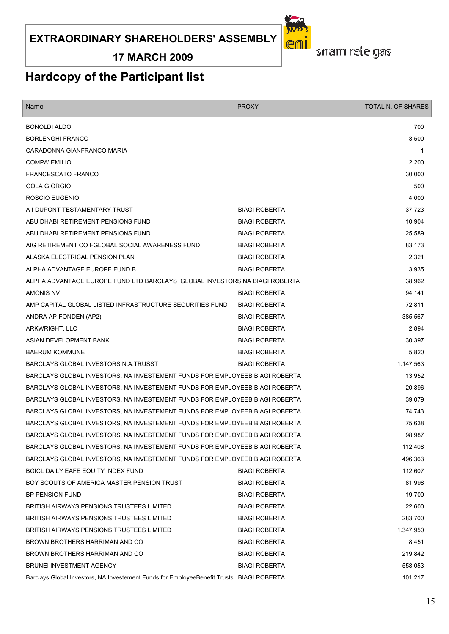# **17 MARCH 2009**



er

| Name                                                                                     | <b>PROXY</b>         | <b>TOTAL N. OF SHARES</b> |
|------------------------------------------------------------------------------------------|----------------------|---------------------------|
| <b>BONOLDI ALDO</b>                                                                      |                      | 700                       |
| <b>BORLENGHI FRANCO</b>                                                                  |                      | 3.500                     |
| CARADONNA GIANFRANCO MARIA                                                               |                      | $\mathbf{1}$              |
| <b>COMPA' EMILIO</b>                                                                     |                      | 2.200                     |
| FRANCESCATO FRANCO                                                                       |                      | 30.000                    |
| <b>GOLA GIORGIO</b>                                                                      |                      | 500                       |
| ROSCIO EUGENIO                                                                           |                      | 4.000                     |
| A I DUPONT TESTAMENTARY TRUST                                                            | <b>BIAGI ROBERTA</b> | 37.723                    |
| ABU DHABI RETIREMENT PENSIONS FUND                                                       | <b>BIAGI ROBERTA</b> | 10.904                    |
| ABU DHABI RETIREMENT PENSIONS FUND                                                       | <b>BIAGI ROBERTA</b> | 25.589                    |
| AIG RETIREMENT CO I-GLOBAL SOCIAL AWARENESS FUND                                         | <b>BIAGI ROBERTA</b> | 83.173                    |
| ALASKA ELECTRICAL PENSION PLAN                                                           | <b>BIAGI ROBERTA</b> | 2.321                     |
| ALPHA ADVANTAGE EUROPE FUND B                                                            | <b>BIAGI ROBERTA</b> | 3.935                     |
| ALPHA ADVANTAGE EUROPE FUND LTD BARCLAYS GLOBAL INVESTORS NA BIAGI ROBERTA               |                      | 38.962                    |
| <b>AMONIS NV</b>                                                                         | <b>BIAGI ROBERTA</b> | 94.141                    |
| AMP CAPITAL GLOBAL LISTED INFRASTRUCTURE SECURITIES FUND                                 | <b>BIAGI ROBERTA</b> | 72.811                    |
| ANDRA AP-FONDEN (AP2)                                                                    | <b>BIAGI ROBERTA</b> | 385.567                   |
| ARKWRIGHT, LLC                                                                           | <b>BIAGI ROBERTA</b> | 2.894                     |
| ASIAN DEVELOPMENT BANK                                                                   | <b>BIAGI ROBERTA</b> | 30.397                    |
| <b>BAERUM KOMMUNE</b>                                                                    | <b>BIAGI ROBERTA</b> | 5.820                     |
| BARCLAYS GLOBAL INVESTORS N.A. TRUSST                                                    | <b>BIAGI ROBERTA</b> | 1.147.563                 |
| BARCLAYS GLOBAL INVESTORS, NA INVESTEMENT FUNDS FOR EMPLOYEEB BIAGI ROBERTA              |                      | 13.952                    |
| BARCLAYS GLOBAL INVESTORS, NA INVESTEMENT FUNDS FOR EMPLOYEEB BIAGI ROBERTA              |                      | 20.896                    |
| BARCLAYS GLOBAL INVESTORS, NA INVESTEMENT FUNDS FOR EMPLOYEEB BIAGI ROBERTA              |                      | 39.079                    |
| BARCLAYS GLOBAL INVESTORS, NA INVESTEMENT FUNDS FOR EMPLOYEEB BIAGI ROBERTA              |                      | 74.743                    |
| BARCLAYS GLOBAL INVESTORS, NA INVESTEMENT FUNDS FOR EMPLOYEEB BIAGI ROBERTA              |                      | 75.638                    |
| BARCLAYS GLOBAL INVESTORS, NA INVESTEMENT FUNDS FOR EMPLOYEEB BIAGI ROBERTA              |                      | 98.987                    |
| BARCLAYS GLOBAL INVESTORS, NA INVESTEMENT FUNDS FOR EMPLOYEEB BIAGI ROBERTA              |                      | 112.408                   |
| BARCLAYS GLOBAL INVESTORS, NA INVESTEMENT FUNDS FOR EMPLOYEEB BIAGI ROBERTA              |                      | 496.363                   |
| BGICL DAILY EAFE EQUITY INDEX FUND                                                       | <b>BIAGI ROBERTA</b> | 112.607                   |
| BOY SCOUTS OF AMERICA MASTER PENSION TRUST                                               | <b>BIAGI ROBERTA</b> | 81.998                    |
| BP PENSION FUND                                                                          | <b>BIAGI ROBERTA</b> | 19.700                    |
| <b>BRITISH AIRWAYS PENSIONS TRUSTEES LIMITED</b>                                         | <b>BIAGI ROBERTA</b> | 22.600                    |
| BRITISH AIRWAYS PENSIONS TRUSTEES LIMITED                                                | <b>BIAGI ROBERTA</b> | 283.700                   |
| BRITISH AIRWAYS PENSIONS TRUSTEES LIMITED                                                | <b>BIAGI ROBERTA</b> | 1.347.950                 |
| BROWN BROTHERS HARRIMAN AND CO                                                           | <b>BIAGI ROBERTA</b> | 8.451                     |
| BROWN BROTHERS HARRIMAN AND CO                                                           | <b>BIAGI ROBERTA</b> | 219.842                   |
| <b>BRUNEI INVESTMENT AGENCY</b>                                                          | <b>BIAGI ROBERTA</b> | 558.053                   |
| Barclays Global Investors, NA Investement Funds for EmployeeBenefit Trusts BIAGI ROBERTA |                      | 101.217                   |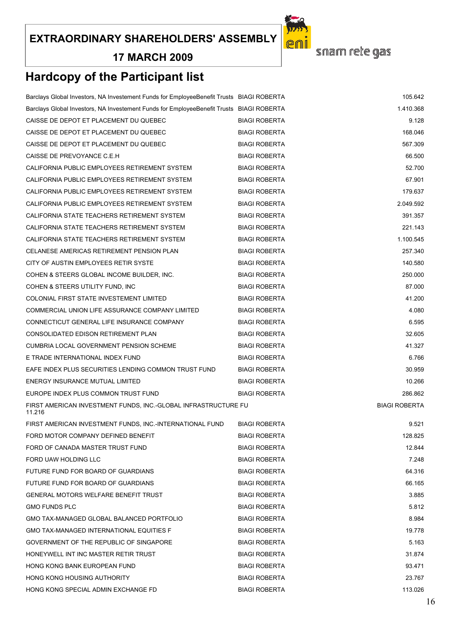# **17 MARCH 2009**

# snam rete gas

| Barclays Global Investors, NA Investement Funds for EmployeeBenefit Trusts BIAGI ROBERTA |                      | 105.642              |
|------------------------------------------------------------------------------------------|----------------------|----------------------|
| Barclays Global Investors, NA Investement Funds for EmployeeBenefit Trusts BIAGI ROBERTA |                      | 1.410.368            |
| CAISSE DE DEPOT ET PLACEMENT DU QUEBEC                                                   | <b>BIAGI ROBERTA</b> | 9.128                |
| CAISSE DE DEPOT ET PLACEMENT DU QUEBEC                                                   | <b>BIAGI ROBERTA</b> | 168.046              |
| CAISSE DE DEPOT ET PLACEMENT DU QUEBEC                                                   | <b>BIAGI ROBERTA</b> | 567.309              |
| CAISSE DE PREVOYANCE C.E.H                                                               | <b>BIAGI ROBERTA</b> | 66.500               |
| CALIFORNIA PUBLIC EMPLOYEES RETIREMENT SYSTEM                                            | <b>BIAGI ROBERTA</b> | 52.700               |
| CALIFORNIA PUBLIC EMPLOYEES RETIREMENT SYSTEM                                            | <b>BIAGI ROBERTA</b> | 67.901               |
| CALIFORNIA PUBLIC EMPLOYEES RETIREMENT SYSTEM                                            | <b>BIAGI ROBERTA</b> | 179.637              |
| CALIFORNIA PUBLIC EMPLOYEES RETIREMENT SYSTEM                                            | <b>BIAGI ROBERTA</b> | 2.049.592            |
| CALIFORNIA STATE TEACHERS RETIREMENT SYSTEM                                              | <b>BIAGI ROBERTA</b> | 391.357              |
| CALIFORNIA STATE TEACHERS RETIREMENT SYSTEM                                              | <b>BIAGI ROBERTA</b> | 221.143              |
| CALIFORNIA STATE TEACHERS RETIREMENT SYSTEM                                              | <b>BIAGI ROBERTA</b> | 1.100.545            |
| CELANESE AMERICAS RETIREMENT PENSION PLAN                                                | <b>BIAGI ROBERTA</b> | 257.340              |
| CITY OF AUSTIN EMPLOYEES RETIR SYSTE                                                     | <b>BIAGI ROBERTA</b> | 140.580              |
| COHEN & STEERS GLOBAL INCOME BUILDER, INC.                                               | <b>BIAGI ROBERTA</b> | 250.000              |
| COHEN & STEERS UTILITY FUND, INC                                                         | <b>BIAGI ROBERTA</b> | 87.000               |
| COLONIAL FIRST STATE INVESTEMENT LIMITED                                                 | <b>BIAGI ROBERTA</b> | 41.200               |
| COMMERCIAL UNION LIFE ASSURANCE COMPANY LIMITED                                          | <b>BIAGI ROBERTA</b> | 4.080                |
| CONNECTICUT GENERAL LIFE INSURANCE COMPANY                                               | <b>BIAGI ROBERTA</b> | 6.595                |
| CONSOLIDATED EDISON RETIREMENT PLAN                                                      | <b>BIAGI ROBERTA</b> | 32.605               |
| <b>CUMBRIA LOCAL GOVERNMENT PENSION SCHEME</b>                                           | <b>BIAGI ROBERTA</b> | 41.327               |
| E TRADE INTERNATIONAL INDEX FUND                                                         | <b>BIAGI ROBERTA</b> | 6.766                |
| EAFE INDEX PLUS SECURITIES LENDING COMMON TRUST FUND                                     | <b>BIAGI ROBERTA</b> | 30.959               |
| ENERGY INSURANCE MUTUAL LIMITED                                                          | <b>BIAGI ROBERTA</b> | 10.266               |
| EUROPE INDEX PLUS COMMON TRUST FUND                                                      | <b>BIAGI ROBERTA</b> | 286.862              |
| FIRST AMERICAN INVESTMENT FUNDS, INC.-GLOBAL INFRASTRUCTURE FU<br>11.216                 |                      | <b>BIAGI ROBERTA</b> |
| FIRST AMERICAN INVESTMENT FUNDS, INC.-INTERNATIONAL FUND                                 | <b>BIAGI ROBERTA</b> | 9.521                |
| FORD MOTOR COMPANY DEFINED BENEFIT                                                       | <b>BIAGI ROBERTA</b> | 128.825              |
| FORD OF CANADA MASTER TRUST FUND                                                         | <b>BIAGI ROBERTA</b> | 12.844               |
| FORD UAW HOLDING LLC                                                                     | <b>BIAGI ROBERTA</b> | 7.248                |
| FUTURE FUND FOR BOARD OF GUARDIANS                                                       | <b>BIAGI ROBERTA</b> | 64.316               |
| FUTURE FUND FOR BOARD OF GUARDIANS                                                       | <b>BIAGI ROBERTA</b> | 66.165               |
| <b>GENERAL MOTORS WELFARE BENEFIT TRUST</b>                                              | <b>BIAGI ROBERTA</b> | 3.885                |
| <b>GMO FUNDS PLC</b>                                                                     | <b>BIAGI ROBERTA</b> | 5.812                |
| GMO TAX-MANAGED GLOBAL BALANCED PORTFOLIO                                                | <b>BIAGI ROBERTA</b> | 8.984                |
| GMO TAX-MANAGED INTERNATIONAL EQUITIES F                                                 | <b>BIAGI ROBERTA</b> | 19.778               |
| GOVERNMENT OF THE REPUBLIC OF SINGAPORE                                                  | <b>BIAGI ROBERTA</b> | 5.163                |
| HONEYWELL INT INC MASTER RETIR TRUST                                                     | <b>BIAGI ROBERTA</b> | 31.874               |
| HONG KONG BANK EUROPEAN FUND                                                             | <b>BIAGI ROBERTA</b> | 93.471               |
| HONG KONG HOUSING AUTHORITY                                                              | <b>BIAGI ROBERTA</b> | 23.767               |
| HONG KONG SPECIAL ADMIN EXCHANGE FD                                                      | <b>BIAGI ROBERTA</b> | 113.026              |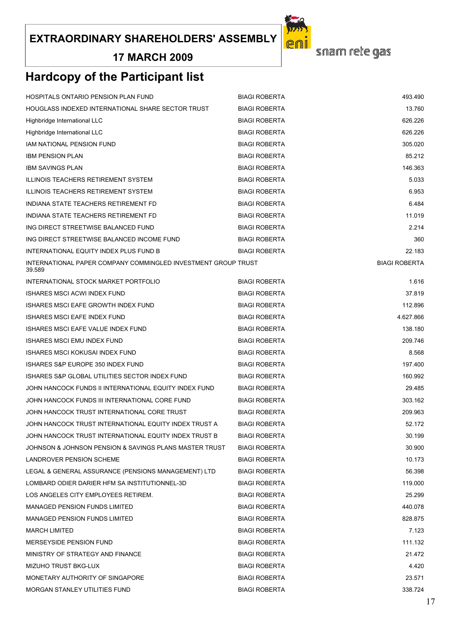# **17 MARCH 2009**



| <b>HOSPITALS ONTARIO PENSION PLAN FUND</b>                              | <b>BIAGI ROBERTA</b> | 493.490              |
|-------------------------------------------------------------------------|----------------------|----------------------|
| HOUGLASS INDEXED INTERNATIONAL SHARE SECTOR TRUST                       | <b>BIAGI ROBERTA</b> | 13.760               |
| Highbridge International LLC                                            | <b>BIAGI ROBERTA</b> | 626.226              |
| Highbridge International LLC                                            | <b>BIAGI ROBERTA</b> | 626.226              |
| <b>IAM NATIONAL PENSION FUND</b>                                        | <b>BIAGI ROBERTA</b> | 305.020              |
| <b>IBM PENSION PLAN</b>                                                 | <b>BIAGI ROBERTA</b> | 85.212               |
| <b>IBM SAVINGS PLAN</b>                                                 | <b>BIAGI ROBERTA</b> | 146.363              |
| ILLINOIS TEACHERS RETIREMENT SYSTEM                                     | <b>BIAGI ROBERTA</b> | 5.033                |
| <b>ILLINOIS TEACHERS RETIREMENT SYSTEM</b>                              | <b>BIAGI ROBERTA</b> | 6.953                |
| INDIANA STATE TEACHERS RETIREMENT FD                                    | <b>BIAGI ROBERTA</b> | 6.484                |
| INDIANA STATE TEACHERS RETIREMENT FD                                    | <b>BIAGI ROBERTA</b> | 11.019               |
| ING DIRECT STREETWISE BALANCED FUND                                     | <b>BIAGI ROBERTA</b> | 2.214                |
| ING DIRECT STREETWISE BALANCED INCOME FUND                              | <b>BIAGI ROBERTA</b> | 360                  |
| INTERNATIONAL EQUITY INDEX PLUS FUND B                                  | <b>BIAGI ROBERTA</b> | 22.183               |
| INTERNATIONAL PAPER COMPANY COMMINGLED INVESTMENT GROUP TRUST<br>39.589 |                      | <b>BIAGI ROBERTA</b> |
| INTERNATIONAL STOCK MARKET PORTFOLIO                                    | <b>BIAGI ROBERTA</b> | 1.616                |
| <b>ISHARES MSCI ACWI INDEX FUND</b>                                     | <b>BIAGI ROBERTA</b> | 37.819               |
| ISHARES MSCI EAFE GROWTH INDEX FUND                                     | <b>BIAGI ROBERTA</b> | 112.896              |
| <b>ISHARES MSCI EAFE INDEX FUND</b>                                     | <b>BIAGI ROBERTA</b> | 4.627.866            |
| ISHARES MSCI EAFE VALUE INDEX FUND                                      | <b>BIAGI ROBERTA</b> | 138.180              |
| ISHARES MSCI EMU INDEX FUND                                             | <b>BIAGI ROBERTA</b> | 209.746              |
| ISHARES MSCI KOKUSAI INDEX FUND                                         | <b>BIAGI ROBERTA</b> | 8.568                |
| ISHARES S&P EUROPE 350 INDEX FUND                                       | <b>BIAGI ROBERTA</b> | 197.400              |
| ISHARES S&P GLOBAL UTILITIES SECTOR INDEX FUND                          | <b>BIAGI ROBERTA</b> | 160.992              |
| JOHN HANCOCK FUNDS II INTERNATIONAL EQUITY INDEX FUND                   | <b>BIAGI ROBERTA</b> | 29.485               |
| JOHN HANCOCK FUNDS III INTERNATIONAL CORE FUND                          | <b>BIAGI ROBERTA</b> | 303.162              |
| JOHN HANCOCK TRUST INTERNATIONAL CORE TRUST                             | <b>BIAGI ROBERTA</b> | 209.963              |
| JOHN HANCOCK TRUST INTERNATIONAL EQUITY INDEX TRUST A                   | <b>BIAGI ROBERTA</b> | 52.172               |
| JOHN HANCOCK TRUST INTERNATIONAL EQUITY INDEX TRUST B                   | <b>BIAGI ROBERTA</b> | 30.199               |
| JOHNSON & JOHNSON PENSION & SAVINGS PLANS MASTER TRUST                  | <b>BIAGI ROBERTA</b> | 30.900               |
| LANDROVER PENSION SCHEME                                                | <b>BIAGI ROBERTA</b> | 10.173               |
| LEGAL & GENERAL ASSURANCE (PENSIONS MANAGEMENT) LTD                     | <b>BIAGI ROBERTA</b> | 56.398               |
| LOMBARD ODIER DARIER HFM SA INSTITUTIONNEL-3D                           | <b>BIAGI ROBERTA</b> | 119.000              |
| LOS ANGELES CITY EMPLOYEES RETIREM.                                     | <b>BIAGI ROBERTA</b> | 25.299               |
| <b>MANAGED PENSION FUNDS LIMITED</b>                                    | <b>BIAGI ROBERTA</b> | 440.078              |
| <b>MANAGED PENSION FUNDS LIMITED</b>                                    | <b>BIAGI ROBERTA</b> | 828.875              |
| <b>MARCH LIMITED</b>                                                    | <b>BIAGI ROBERTA</b> | 7.123                |
| <b>MERSEYSIDE PENSION FUND</b>                                          | <b>BIAGI ROBERTA</b> | 111.132              |
| MINISTRY OF STRATEGY AND FINANCE                                        | <b>BIAGI ROBERTA</b> | 21.472               |
| MIZUHO TRUST BKG-LUX                                                    | <b>BIAGI ROBERTA</b> | 4.420                |
| MONETARY AUTHORITY OF SINGAPORE                                         | <b>BIAGI ROBERTA</b> | 23.571               |
| MORGAN STANLEY UTILITIES FUND                                           | <b>BIAGI ROBERTA</b> | 338.724              |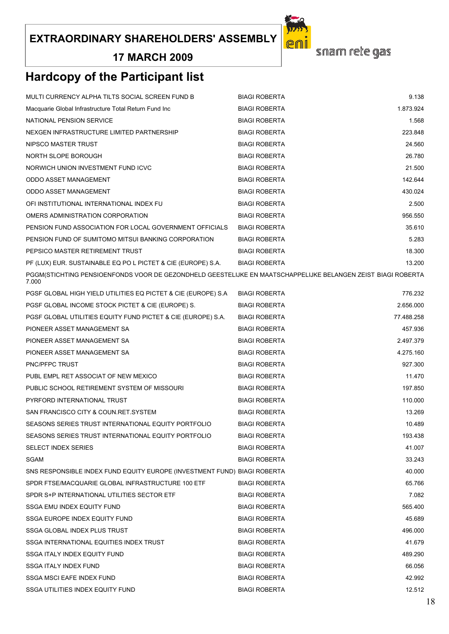**17 MARCH 2009**



| MULTI CURRENCY ALPHA TILTS SOCIAL SCREEN FUND B                                                                       | <b>BIAGI ROBERTA</b> | 9.138      |
|-----------------------------------------------------------------------------------------------------------------------|----------------------|------------|
| Macquarie Global Infrastructure Total Return Fund Inc                                                                 | <b>BIAGI ROBERTA</b> | 1.873.924  |
| NATIONAL PENSION SERVICE                                                                                              | <b>BIAGI ROBERTA</b> | 1.568      |
| NEXGEN INFRASTRUCTURE LIMITED PARTNERSHIP                                                                             | <b>BIAGI ROBERTA</b> | 223.848    |
| NIPSCO MASTER TRUST                                                                                                   | <b>BIAGI ROBERTA</b> | 24.560     |
| NORTH SLOPE BOROUGH                                                                                                   | <b>BIAGI ROBERTA</b> | 26.780     |
| NORWICH UNION INVESTMENT FUND ICVC                                                                                    | <b>BIAGI ROBERTA</b> | 21.500     |
| ODDO ASSET MANAGEMENT                                                                                                 | <b>BIAGI ROBERTA</b> | 142.644    |
| <b>ODDO ASSET MANAGEMENT</b>                                                                                          | <b>BIAGI ROBERTA</b> | 430.024    |
| OFI INSTITUTIONAL INTERNATIONAL INDEX FU                                                                              | <b>BIAGI ROBERTA</b> | 2.500      |
| OMERS ADMINISTRATION CORPORATION                                                                                      | <b>BIAGI ROBERTA</b> | 956.550    |
| PENSION FUND ASSOCIATION FOR LOCAL GOVERNMENT OFFICIALS                                                               | <b>BIAGI ROBERTA</b> | 35.610     |
| PENSION FUND OF SUMITOMO MITSUI BANKING CORPORATION                                                                   | <b>BIAGI ROBERTA</b> | 5.283      |
| PEPSICO MASTER RETIREMENT TRUST                                                                                       | <b>BIAGI ROBERTA</b> | 18.300     |
| PF (LUX) EUR. SUSTAINABLE EQ PO L PICTET & CIE (EUROPE) S.A.                                                          | <b>BIAGI ROBERTA</b> | 13.200     |
| PGGM(STICHTING PENSIOENFONDS VOOR DE GEZONDHELD GEESTELIJKE EN MAATSCHAPPELIJKE BELANGEN ZEIST BIAGI ROBERTA<br>7.000 |                      |            |
| PGSF GLOBAL HIGH YIELD UTILITIES EQ PICTET & CIE (EUROPE) S.A                                                         | <b>BIAGI ROBERTA</b> | 776.232    |
| PGSF GLOBAL INCOME STOCK PICTET & CIE (EUROPE) S.                                                                     | <b>BIAGI ROBERTA</b> | 2.656.000  |
| PGSF GLOBAL UTILITIES EQUITY FUND PICTET & CIE (EUROPE) S.A.                                                          | <b>BIAGI ROBERTA</b> | 77.488.258 |
| PIONEER ASSET MANAGEMENT SA                                                                                           | <b>BIAGI ROBERTA</b> | 457.936    |
| PIONEER ASSET MANAGEMENT SA                                                                                           | <b>BIAGI ROBERTA</b> | 2.497.379  |
| PIONEER ASSET MANAGEMENT SA                                                                                           | <b>BIAGI ROBERTA</b> | 4.275.160  |
| <b>PNC/PFPC TRUST</b>                                                                                                 | <b>BIAGI ROBERTA</b> | 927.300    |
| PUBL EMPL RET ASSOCIAT OF NEW MEXICO                                                                                  | <b>BIAGI ROBERTA</b> | 11.470     |
| PUBLIC SCHOOL RETIREMENT SYSTEM OF MISSOURI                                                                           | <b>BIAGI ROBERTA</b> | 197.850    |
| PYRFORD INTERNATIONAL TRUST                                                                                           | <b>BIAGI ROBERTA</b> | 110.000    |
| SAN FRANCISCO CITY & COUN.RET.SYSTEM                                                                                  | <b>BIAGI ROBERTA</b> | 13.269     |
| SEASONS SERIES TRUST INTERNATIONAL EQUITY PORTFOLIO                                                                   | <b>BIAGI ROBERTA</b> | 10.489     |
| SEASONS SERIES TRUST INTERNATIONAL EQUITY PORTFOLIO                                                                   | <b>BIAGI ROBERTA</b> | 193.438    |
| <b>SELECT INDEX SERIES</b>                                                                                            | <b>BIAGI ROBERTA</b> | 41.007     |
| SGAM                                                                                                                  | <b>BIAGI ROBERTA</b> | 33.243     |
| SNS RESPONSIBLE INDEX FUND EQUITY EUROPE (INVESTMENT FUND) BIAGI ROBERTA                                              |                      | 40.000     |
| SPDR FTSE/MACQUARIE GLOBAL INFRASTRUCTURE 100 ETF                                                                     | <b>BIAGI ROBERTA</b> | 65.766     |
| SPDR S+P INTERNATIONAL UTILITIES SECTOR ETF                                                                           | <b>BIAGI ROBERTA</b> | 7.082      |
| SSGA EMU INDEX EQUITY FUND                                                                                            | <b>BIAGI ROBERTA</b> | 565.400    |
| SSGA EUROPE INDEX EQUITY FUND                                                                                         | <b>BIAGI ROBERTA</b> | 45.689     |
| SSGA GLOBAL INDEX PLUS TRUST                                                                                          | <b>BIAGI ROBERTA</b> | 496.000    |
| SSGA INTERNATIONAL EQUITIES INDEX TRUST                                                                               | <b>BIAGI ROBERTA</b> | 41.679     |
| SSGA ITALY INDEX EQUITY FUND                                                                                          | <b>BIAGI ROBERTA</b> | 489.290    |
| <b>SSGA ITALY INDEX FUND</b>                                                                                          | <b>BIAGI ROBERTA</b> | 66.056     |
| SSGA MSCI EAFE INDEX FUND                                                                                             | <b>BIAGI ROBERTA</b> | 42.992     |
| SSGA UTILITIES INDEX EQUITY FUND                                                                                      | <b>BIAGI ROBERTA</b> | 12.512     |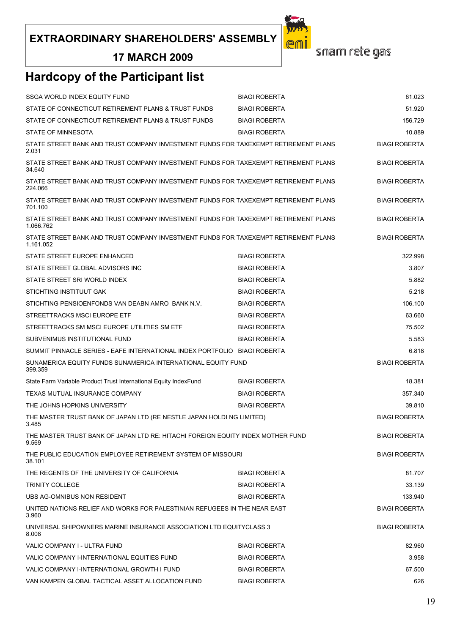snam rete gas

**17 MARCH 2009**

| SSGA WORLD INDEX EQUITY FUND                                                                     | <b>BIAGI ROBERTA</b> | 61.023               |
|--------------------------------------------------------------------------------------------------|----------------------|----------------------|
| STATE OF CONNECTICUT RETIREMENT PLANS & TRUST FUNDS                                              | <b>BIAGI ROBERTA</b> | 51.920               |
| STATE OF CONNECTICUT RETIREMENT PLANS & TRUST FUNDS                                              | <b>BIAGI ROBERTA</b> | 156.729              |
| STATE OF MINNESOTA                                                                               | <b>BIAGI ROBERTA</b> | 10.889               |
| STATE STREET BANK AND TRUST COMPANY INVESTMENT FUNDS FOR TAXEXEMPT RETIREMENT PLANS<br>2.031     |                      | <b>BIAGI ROBERTA</b> |
| STATE STREET BANK AND TRUST COMPANY INVESTMENT FUNDS FOR TAXEXEMPT RETIREMENT PLANS<br>34.640    |                      | <b>BIAGI ROBERTA</b> |
| STATE STREET BANK AND TRUST COMPANY INVESTMENT FUNDS FOR TAXEXEMPT RETIREMENT PLANS<br>224.066   |                      | <b>BIAGI ROBERTA</b> |
| STATE STREET BANK AND TRUST COMPANY INVESTMENT FUNDS FOR TAXEXEMPT RETIREMENT PLANS<br>701.100   |                      | <b>BIAGI ROBERTA</b> |
| STATE STREET BANK AND TRUST COMPANY INVESTMENT FUNDS FOR TAXEXEMPT RETIREMENT PLANS<br>1.066.762 |                      | <b>BIAGI ROBERTA</b> |
| STATE STREET BANK AND TRUST COMPANY INVESTMENT FUNDS FOR TAXEXEMPT RETIREMENT PLANS<br>1.161.052 |                      | <b>BIAGI ROBERTA</b> |
| STATE STREET EUROPE ENHANCED                                                                     | <b>BIAGI ROBERTA</b> | 322.998              |
| STATE STREET GLOBAL ADVISORS INC                                                                 | <b>BIAGI ROBERTA</b> | 3.807                |
| STATE STREET SRI WORLD INDEX                                                                     | <b>BIAGI ROBERTA</b> | 5.882                |
| STICHTING INSTITUUT GAK                                                                          | <b>BIAGI ROBERTA</b> | 5.218                |
| STICHTING PENSIOENFONDS VAN DEABN AMRO BANK N.V.                                                 | <b>BIAGI ROBERTA</b> | 106.100              |
| STREETTRACKS MSCI EUROPE ETF                                                                     | <b>BIAGI ROBERTA</b> | 63.660               |
| STREETTRACKS SM MSCI EUROPE UTILITIES SM ETF                                                     | <b>BIAGI ROBERTA</b> | 75.502               |
| SUBVENIMUS INSTITUTIONAL FUND                                                                    | <b>BIAGI ROBERTA</b> | 5.583                |
| SUMMIT PINNACLE SERIES - EAFE INTERNATIONAL INDEX PORTFOLIO BIAGI ROBERTA                        |                      | 6.818                |
| SUNAMERICA EQUITY FUNDS SUNAMERICA INTERNATIONAL EQUITY FUND<br>399.359                          |                      | <b>BIAGI ROBERTA</b> |
| State Farm Variable Product Trust International Equity IndexFund                                 | <b>BIAGI ROBERTA</b> | 18.381               |
| TEXAS MUTUAL INSURANCE COMPANY                                                                   | <b>BIAGI ROBERTA</b> | 357.340              |
| THE JOHNS HOPKINS UNIVERSITY                                                                     | <b>BIAGI ROBERTA</b> | 39.810               |
| THE MASTER TRUST BANK OF JAPAN LTD (RE NESTLE JAPAN HOLDI NG LIMITED)<br>3.485                   |                      | <b>BIAGI ROBERTA</b> |
| THE MASTER TRUST BANK OF JAPAN LTD RE: HITACHI FOREIGN EQUITY INDEX MOTHER FUND<br>9.569         |                      | <b>BIAGI ROBERTA</b> |
| THE PUBLIC EDUCATION EMPLOYEE RETIREMENT SYSTEM OF MISSOURI<br>38.101                            |                      | <b>BIAGI ROBERTA</b> |
| THE REGENTS OF THE UNIVERSITY OF CALIFORNIA                                                      | <b>BIAGI ROBERTA</b> | 81.707               |
| <b>TRINITY COLLEGE</b>                                                                           | <b>BIAGI ROBERTA</b> | 33.139               |
| UBS AG-OMNIBUS NON RESIDENT                                                                      | <b>BIAGI ROBERTA</b> | 133.940              |
| UNITED NATIONS RELIEF AND WORKS FOR PALESTINIAN REFUGEES IN THE NEAR EAST<br>3.960               |                      | <b>BIAGI ROBERTA</b> |
| UNIVERSAL SHIPOWNERS MARINE INSURANCE ASSOCIATION LTD EQUITYCLASS 3<br>8.008                     |                      | <b>BIAGI ROBERTA</b> |
| VALIC COMPANY I - ULTRA FUND                                                                     | <b>BIAGI ROBERTA</b> | 82.960               |
| VALIC COMPANY I-INTERNATIONAL EQUITIES FUND                                                      | <b>BIAGI ROBERTA</b> | 3.958                |
| VALIC COMPANY I-INTERNATIONAL GROWTH I FUND                                                      | <b>BIAGI ROBERTA</b> | 67.500               |
| VAN KAMPEN GLOBAL TACTICAL ASSET ALLOCATION FUND                                                 | <b>BIAGI ROBERTA</b> | 626                  |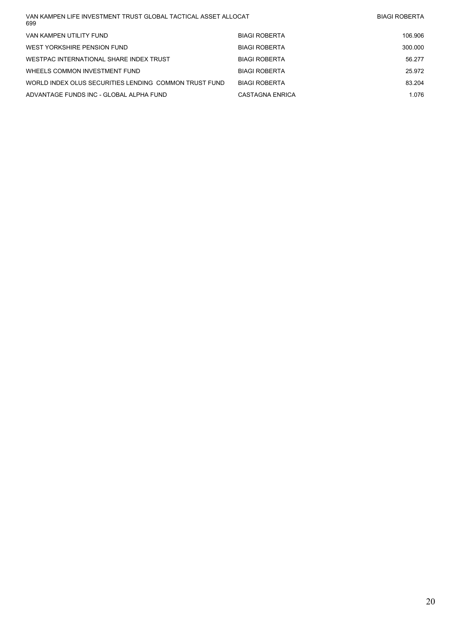| VAN KAMPEN LIFE INVESTMENT TRUST GLOBAL TACTICAL ASSET ALLOCAT<br>699 |                      | <b>BIAGI ROBERTA</b> |
|-----------------------------------------------------------------------|----------------------|----------------------|
| VAN KAMPEN UTILITY FUND                                               | <b>BIAGI ROBERTA</b> | 106.906              |
| WEST YORKSHIRE PENSION FUND                                           | <b>BIAGI ROBERTA</b> | 300.000              |
| WESTPAC INTERNATIONAL SHARE INDEX TRUST                               | <b>BIAGI ROBERTA</b> | 56.277               |
| WHEELS COMMON INVESTMENT FUND                                         | <b>BIAGI ROBERTA</b> | 25.972               |
| WORLD INDEX OLUS SECURITIES LENDING COMMON TRUST FUND                 | <b>BIAGI ROBERTA</b> | 83.204               |
| ADVANTAGE FUNDS INC - GLOBAL ALPHA FUND                               | CASTAGNA ENRICA      | 1.076                |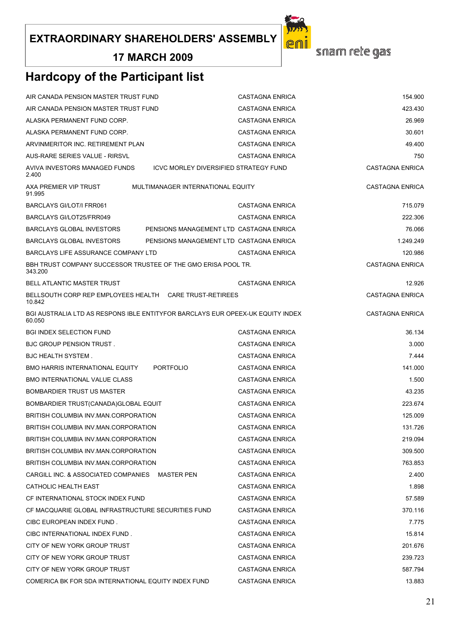**17 MARCH 2009**

# snam rete gas

| AIR CANADA PENSION MASTER TRUST FUND                                                     | <b>CASTAGNA ENRICA</b> | 154.900                |
|------------------------------------------------------------------------------------------|------------------------|------------------------|
| AIR CANADA PENSION MASTER TRUST FUND                                                     | <b>CASTAGNA ENRICA</b> | 423.430                |
| ALASKA PERMANENT FUND CORP.                                                              | CASTAGNA ENRICA        | 26.969                 |
| ALASKA PERMANENT FUND CORP.                                                              | <b>CASTAGNA ENRICA</b> | 30.601                 |
| ARVINMERITOR INC. RETIREMENT PLAN                                                        | CASTAGNA ENRICA        | 49.400                 |
| AUS-RARE SERIES VALUE - RIRSVL                                                           | <b>CASTAGNA ENRICA</b> | 750                    |
| AVIVA INVESTORS MANAGED FUNDS<br><b>ICVC MORLEY DIVERSIFIED STRATEGY FUND</b><br>2.400   |                        | <b>CASTAGNA ENRICA</b> |
| AXA PREMIER VIP TRUST<br>MULTIMANAGER INTERNATIONAL EQUITY<br>91.995                     |                        | <b>CASTAGNA ENRICA</b> |
| BARCLAYS GI/LOT/I FRR061                                                                 | CASTAGNA ENRICA        | 715.079                |
| BARCLAYS GI/LOT25/FRR049                                                                 | CASTAGNA ENRICA        | 222.306                |
| BARCLAYS GLOBAL INVESTORS<br>PENSIONS MANAGEMENT LTD CASTAGNA ENRICA                     |                        | 76.066                 |
| <b>BARCLAYS GLOBAL INVESTORS</b><br>PENSIONS MANAGEMENT LTD CASTAGNA ENRICA              |                        | 1.249.249              |
| BARCLAYS LIFE ASSURANCE COMPANY LTD                                                      | CASTAGNA ENRICA        | 120.986                |
| BBH TRUST COMPANY SUCCESSOR TRUSTEE OF THE GMO ERISA POOL TR.<br>343.200                 |                        | <b>CASTAGNA ENRICA</b> |
| <b>BELL ATLANTIC MASTER TRUST</b>                                                        | <b>CASTAGNA ENRICA</b> | 12.926                 |
| BELLSOUTH CORP REP EMPLOYEES HEALTH CARE TRUST-RETIREES<br>10.842                        |                        | <b>CASTAGNA ENRICA</b> |
| BGI AUSTRALIA LTD AS RESPONS IBLE ENTITYFOR BARCLAYS EUR OPEEX-UK EQUITY INDEX<br>60.050 |                        | <b>CASTAGNA ENRICA</b> |
| <b>BGI INDEX SELECTION FUND</b>                                                          | CASTAGNA ENRICA        | 36.134                 |
| BJC GROUP PENSION TRUST.                                                                 | CASTAGNA ENRICA        | 3.000                  |
| <b>BJC HEALTH SYSTEM.</b>                                                                | <b>CASTAGNA ENRICA</b> | 7.444                  |
| <b>BMO HARRIS INTERNATIONAL EQUITY</b><br><b>PORTFOLIO</b>                               | CASTAGNA ENRICA        | 141.000                |
| <b>BMO INTERNATIONAL VALUE CLASS</b>                                                     | <b>CASTAGNA ENRICA</b> | 1.500                  |
| <b>BOMBARDIER TRUST US MASTER</b>                                                        | CASTAGNA ENRICA        | 43.235                 |
| BOMBARDIER TRUST(CANADA)GLOBAL EQUIT                                                     | <b>CASTAGNA ENRICA</b> | 223.674                |
| BRITISH COLUMBIA INV. MAN.CORPORATION                                                    | <b>CASTAGNA ENRICA</b> | 125.009                |
| BRITISH COLUMBIA INV.MAN.CORPORATION                                                     | <b>CASTAGNA ENRICA</b> | 131.726                |
| BRITISH COLUMBIA INV.MAN.CORPORATION                                                     | CASTAGNA ENRICA        | 219.094                |
| BRITISH COLUMBIA INV MAN CORPORATION                                                     | <b>CASTAGNA ENRICA</b> | 309.500                |
| BRITISH COLUMBIA INV MAN.CORPORATION                                                     | CASTAGNA ENRICA        | 763.853                |
| CARGILL INC. & ASSOCIATED COMPANIES<br>MASTER PEN                                        | CASTAGNA ENRICA        | 2.400                  |
| CATHOLIC HEALTH EAST                                                                     | CASTAGNA ENRICA        | 1.898                  |
| CF INTERNATIONAL STOCK INDEX FUND                                                        | CASTAGNA ENRICA        | 57.589                 |
| CF MACQUARIE GLOBAL INFRASTRUCTURE SECURITIES FUND                                       | CASTAGNA ENRICA        | 370.116                |
| CIBC EUROPEAN INDEX FUND.                                                                | CASTAGNA ENRICA        | 7.775                  |
| CIBC INTERNATIONAL INDEX FUND.                                                           | CASTAGNA ENRICA        | 15.814                 |
| CITY OF NEW YORK GROUP TRUST                                                             | CASTAGNA ENRICA        | 201.676                |
| CITY OF NEW YORK GROUP TRUST                                                             | CASTAGNA ENRICA        | 239.723                |
| CITY OF NEW YORK GROUP TRUST                                                             | CASTAGNA ENRICA        | 587.794                |
| COMERICA BK FOR SDA INTERNATIONAL EQUITY INDEX FUND                                      | CASTAGNA ENRICA        | 13.883                 |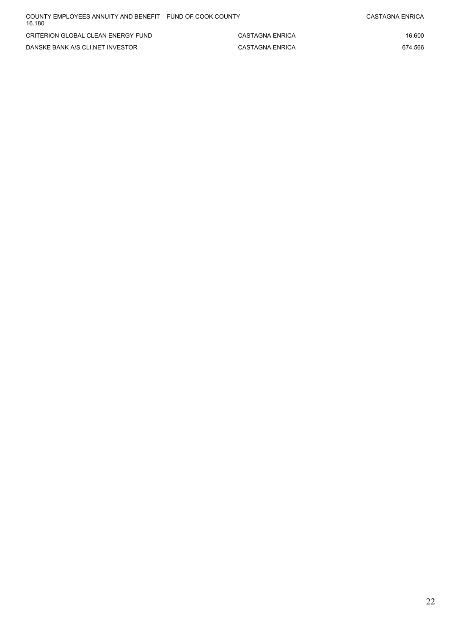| COUNTY EMPLOYEES ANNUITY AND BENEFIT FUND OF COOK COUNTY<br>16.180 |                 | <b>CASTAGNA ENRICA</b> |
|--------------------------------------------------------------------|-----------------|------------------------|
| CRITERION GLOBAL CLEAN ENERGY FUND                                 | CASTAGNA ENRICA | 16.600                 |
| DANSKE BANK A/S CLI NET INVESTOR                                   | CASTAGNA ENRICA | 674.566                |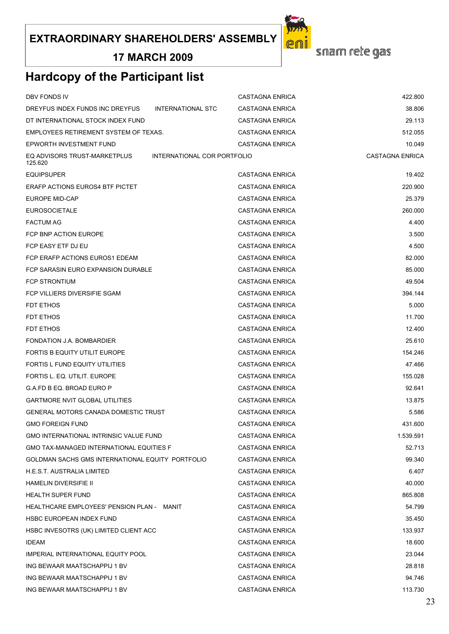**17 MARCH 2009**

# snam rete gas

| DBV FONDS IV                                     |                             | <b>CASTAGNA ENRICA</b> | 422.800                |
|--------------------------------------------------|-----------------------------|------------------------|------------------------|
| DREYFUS INDEX FUNDS INC DREYFUS                  | INTERNATIONAL STC           | CASTAGNA ENRICA        | 38.806                 |
| DT INTERNATIONAL STOCK INDEX FUND                |                             | CASTAGNA ENRICA        | 29.113                 |
| EMPLOYEES RETIREMENT SYSTEM OF TEXAS.            |                             | CASTAGNA ENRICA        | 512.055                |
| EPWORTH INVESTMENT FUND                          |                             | CASTAGNA ENRICA        | 10.049                 |
| EQ ADVISORS TRUST-MARKETPLUS<br>125.620          | INTERNATIONAL COR PORTFOLIO |                        | <b>CASTAGNA ENRICA</b> |
| <b>EQUIPSUPER</b>                                |                             | CASTAGNA ENRICA        | 19.402                 |
| <b>ERAFP ACTIONS EUROS4 BTF PICTET</b>           |                             | CASTAGNA ENRICA        | 220.900                |
| EUROPE MID-CAP                                   |                             | CASTAGNA ENRICA        | 25.379                 |
| <b>EUROSOCIETALE</b>                             |                             | CASTAGNA ENRICA        | 260.000                |
| <b>FACTUM AG</b>                                 |                             | CASTAGNA ENRICA        | 4.400                  |
| FCP BNP ACTION EUROPE                            |                             | CASTAGNA ENRICA        | 3.500                  |
| FCP EASY ETF DJ EU                               |                             | CASTAGNA ENRICA        | 4.500                  |
| FCP ERAFP ACTIONS EUROS1 EDEAM                   |                             | <b>CASTAGNA ENRICA</b> | 82.000                 |
| FCP SARASIN EURO EXPANSION DURABLE               |                             | CASTAGNA ENRICA        | 85,000                 |
| FCP STRONTIUM                                    |                             | CASTAGNA ENRICA        | 49.504                 |
| FCP VILLIERS DIVERSIFIE SGAM                     |                             | CASTAGNA ENRICA        | 394.144                |
| <b>FDT ETHOS</b>                                 |                             | CASTAGNA ENRICA        | 5.000                  |
| FDT ETHOS                                        |                             | <b>CASTAGNA ENRICA</b> | 11.700                 |
| <b>FDT ETHOS</b>                                 |                             | CASTAGNA ENRICA        | 12.400                 |
| FONDATION J.A. BOMBARDIER                        |                             | CASTAGNA ENRICA        | 25.610                 |
| FORTIS B EQUITY UTILIT EUROPE                    |                             | CASTAGNA ENRICA        | 154.246                |
| FORTIS L FUND EQUITY UTILITIES                   |                             | CASTAGNA ENRICA        | 47.466                 |
| FORTIS L. EQ. UTILIT. EUROPE                     |                             | <b>CASTAGNA ENRICA</b> | 155.028                |
| G.A.FD B EQ. BROAD EURO P                        |                             | CASTAGNA ENRICA        | 92.641                 |
| <b>GARTMORE NVIT GLOBAL UTILITIES</b>            |                             | <b>CASTAGNA ENRICA</b> | 13.875                 |
| GENERAL MOTORS CANADA DOMESTIC TRUST             |                             | CASTAGNA ENRICA        | 5.586                  |
| <b>GMO FOREIGN FUND</b>                          |                             | <b>CASTAGNA ENRICA</b> | 431.600                |
| GMO INTERNATIONAL INTRINSIC VALUE FUND           |                             | <b>CASTAGNA ENRICA</b> | 1.539.591              |
| <b>GMO TAX-MANAGED INTERNATIONAL EQUITIES F</b>  |                             | <b>CASTAGNA ENRICA</b> | 52.713                 |
| GOLDMAN SACHS GMS INTERNATIONAL EQUITY PORTFOLIO |                             | CASTAGNA ENRICA        | 99.340                 |
| H.E.S.T. AUSTRALIA LIMITED                       |                             | <b>CASTAGNA ENRICA</b> | 6.407                  |
| HAMELIN DIVERSIFIE II                            |                             | CASTAGNA ENRICA        | 40.000                 |
| <b>HEALTH SUPER FUND</b>                         |                             | CASTAGNA ENRICA        | 865.808                |
| HEALTHCARE EMPLOYEES' PENSION PLAN - MANIT       |                             | <b>CASTAGNA ENRICA</b> | 54.799                 |
| <b>HSBC EUROPEAN INDEX FUND</b>                  |                             | CASTAGNA ENRICA        | 35.450                 |
| HSBC INVESOTRS (UK) LIMITED CLIENT ACC           |                             | CASTAGNA ENRICA        | 133.937                |
| <b>IDEAM</b>                                     |                             | <b>CASTAGNA ENRICA</b> | 18.600                 |
| IMPERIAL INTERNATIONAL EQUITY POOL               |                             | CASTAGNA ENRICA        | 23.044                 |
| ING BEWAAR MAATSCHAPPIJ 1 BV                     |                             | CASTAGNA ENRICA        | 28.818                 |
| ING BEWAAR MAATSCHAPPIJ 1 BV                     |                             | CASTAGNA ENRICA        | 94.746                 |
| ING BEWAAR MAATSCHAPPIJ 1 BV                     |                             | CASTAGNA ENRICA        | 113.730                |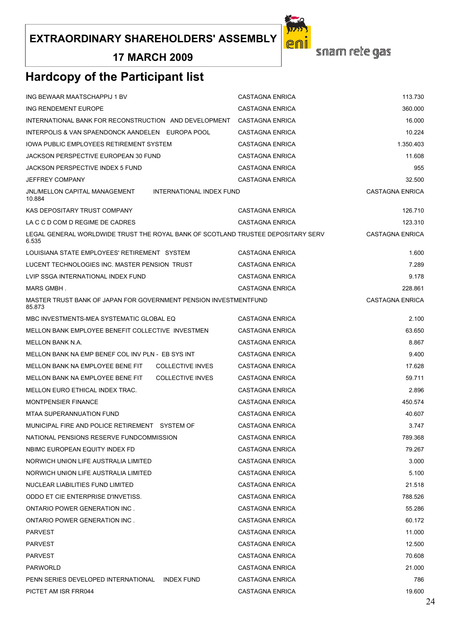snam rete gas

**17 MARCH 2009**

| ING BEWAAR MAATSCHAPPIJ 1 BV                                                              | <b>CASTAGNA ENRICA</b> | 113.730                |
|-------------------------------------------------------------------------------------------|------------------------|------------------------|
| ING RENDEMENT EUROPE                                                                      | CASTAGNA ENRICA        | 360.000                |
| INTERNATIONAL BANK FOR RECONSTRUCTION AND DEVELOPMENT                                     | CASTAGNA ENRICA        | 16.000                 |
| INTERPOLIS & VAN SPAENDONCK AANDELEN EUROPA POOL                                          | CASTAGNA ENRICA        | 10.224                 |
| <b>IOWA PUBLIC EMPLOYEES RETIREMENT SYSTEM</b>                                            | <b>CASTAGNA ENRICA</b> | 1.350.403              |
| JACKSON PERSPECTIVE EUROPEAN 30 FUND                                                      | CASTAGNA ENRICA        | 11.608                 |
| JACKSON PERSPECTIVE INDEX 5 FUND                                                          | CASTAGNA ENRICA        | 955                    |
| JEFFREY COMPANY                                                                           | CASTAGNA ENRICA        | 32.500                 |
| JNL/MELLON CAPITAL MANAGEMENT<br>INTERNATIONAL INDEX FUND<br>10.884                       |                        | <b>CASTAGNA ENRICA</b> |
| KAS DEPOSITARY TRUST COMPANY                                                              | CASTAGNA ENRICA        | 126.710                |
| LA C C D COM D REGIME DE CADRES                                                           | CASTAGNA ENRICA        | 123.310                |
| LEGAL GENERAL WORLDWIDE TRUST THE ROYAL BANK OF SCOTLAND TRUSTEE DEPOSITARY SERV<br>6.535 |                        | <b>CASTAGNA ENRICA</b> |
| LOUISIANA STATE EMPLOYEES' RETIREMENT SYSTEM                                              | <b>CASTAGNA ENRICA</b> | 1.600                  |
| LUCENT TECHNOLOGIES INC. MASTER PENSION TRUST                                             | CASTAGNA ENRICA        | 7.289                  |
| LVIP SSGA INTERNATIONAL INDEX FUND                                                        | CASTAGNA ENRICA        | 9.178                  |
| MARS GMBH.                                                                                | CASTAGNA ENRICA        | 228.861                |
| MASTER TRUST BANK OF JAPAN FOR GOVERNMENT PENSION INVESTMENTFUND<br>85.873                |                        | <b>CASTAGNA ENRICA</b> |
| MBC INVESTMENTS-MEA SYSTEMATIC GLOBAL EQ                                                  | CASTAGNA ENRICA        | 2.100                  |
| MELLON BANK EMPLOYEE BENEFIT COLLECTIVE INVESTMEN                                         | CASTAGNA ENRICA        | 63.650                 |
| MELLON BANK N.A.                                                                          | CASTAGNA ENRICA        | 8.867                  |
| MELLON BANK NA EMP BENEF COL INV PLN - EB SYS INT                                         | CASTAGNA ENRICA        | 9.400                  |
| MELLON BANK NA EMPLOYEE BENE FIT<br><b>COLLECTIVE INVES</b>                               | <b>CASTAGNA ENRICA</b> | 17.628                 |
| MELLON BANK NA EMPLOYEE BENE FIT<br><b>COLLECTIVE INVES</b>                               | CASTAGNA ENRICA        | 59.711                 |
| MELLON EURO ETHICAL INDEX TRAC.                                                           | <b>CASTAGNA ENRICA</b> | 2.896                  |
| <b>MONTPENSIER FINANCE</b>                                                                | CASTAGNA ENRICA        | 450.574                |
| MTAA SUPERANNUATION FUND                                                                  | CASTAGNA ENRICA        | 40.607                 |
| MUNICIPAL FIRE AND POLICE RETIREMENT SYSTEM OF                                            | CASTAGNA ENRICA        | 3.747                  |
| NATIONAL PENSIONS RESERVE FUNDCOMMISSION                                                  | CASTAGNA ENRICA        | 789.368                |
| NBIMC EUROPEAN EQUITY INDEX FD                                                            | CASTAGNA ENRICA        | 79.267                 |
| NORWICH UNION LIFE AUSTRALIA LIMITED                                                      | <b>CASTAGNA ENRICA</b> | 3.000                  |
| NORWICH UNION LIFE AUSTRALIA LIMITED                                                      | CASTAGNA ENRICA        | 5.100                  |
| NUCLEAR LIABILITIES FUND LIMITED                                                          | CASTAGNA ENRICA        | 21.518                 |
| ODDO ET CIE ENTERPRISE D'INVETISS.                                                        | CASTAGNA ENRICA        | 788.526                |
| ONTARIO POWER GENERATION INC.                                                             | CASTAGNA ENRICA        | 55.286                 |
| ONTARIO POWER GENERATION INC.                                                             | CASTAGNA ENRICA        | 60.172                 |
| <b>PARVEST</b>                                                                            | CASTAGNA ENRICA        | 11.000                 |
| <b>PARVEST</b>                                                                            | CASTAGNA ENRICA        | 12.500                 |
| PARVEST                                                                                   | CASTAGNA ENRICA        | 70.608                 |
| <b>PARWORLD</b>                                                                           | CASTAGNA ENRICA        | 21.000                 |
| PENN SERIES DEVELOPED INTERNATIONAL<br><b>INDEX FUND</b>                                  | CASTAGNA ENRICA        | 786                    |
| PICTET AM ISR FRR044                                                                      | CASTAGNA ENRICA        | 19.600                 |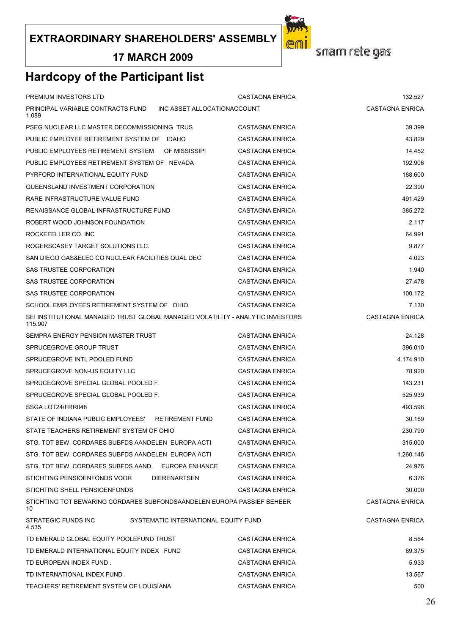**17 MARCH 2009**



| PREMIUM INVESTORS LTD                                                                     | CASTAGNA ENRICA        | 132.527                |
|-------------------------------------------------------------------------------------------|------------------------|------------------------|
| INC ASSET ALLOCATIONACCOUNT<br>PRINCIPAL VARIABLE CONTRACTS FUND<br>1.089                 |                        | <b>CASTAGNA ENRICA</b> |
| PSEG NUCLEAR LLC MASTER DECOMMISSIONING TRUS                                              | CASTAGNA ENRICA        | 39.399                 |
| PUBLIC EMPLOYEE RETIREMENT SYSTEM OF IDAHO                                                | <b>CASTAGNA ENRICA</b> | 43.829                 |
| PUBLIC EMPLOYEES RETIREMENT SYSTEM<br>OF MISSISSIPI                                       | <b>CASTAGNA ENRICA</b> | 14.452                 |
| PUBLIC EMPLOYEES RETIREMENT SYSTEM OF NEVADA                                              | CASTAGNA ENRICA        | 192.906                |
| PYRFORD INTERNATIONAL EQUITY FUND                                                         | <b>CASTAGNA ENRICA</b> | 188.600                |
| QUEENSLAND INVESTMENT CORPORATION                                                         | <b>CASTAGNA ENRICA</b> | 22.390                 |
| RARE INFRASTRUCTURE VALUE FUND                                                            | <b>CASTAGNA ENRICA</b> | 491.429                |
| RENAISSANCE GLOBAL INFRASTRUCTURE FUND                                                    | CASTAGNA ENRICA        | 385.272                |
| ROBERT WOOD JOHNSON FOUNDATION                                                            | CASTAGNA ENRICA        | 2.117                  |
| ROCKEFELLER CO. INC                                                                       | <b>CASTAGNA ENRICA</b> | 64.991                 |
| ROGERSCASEY TARGET SOLUTIONS LLC.                                                         | CASTAGNA ENRICA        | 9.877                  |
| SAN DIEGO GAS&ELEC CO NUCLEAR FACILITIES QUAL DEC                                         | CASTAGNA ENRICA        | 4.023                  |
| SAS TRUSTEE CORPORATION                                                                   | <b>CASTAGNA ENRICA</b> | 1.940                  |
| SAS TRUSTEE CORPORATION                                                                   | CASTAGNA ENRICA        | 27.478                 |
| SAS TRUSTEE CORPORATION                                                                   | <b>CASTAGNA ENRICA</b> | 100.172                |
| SCHOOL EMPLOYEES RETIREMENT SYSTEM OF OHIO                                                | CASTAGNA ENRICA        | 7.130                  |
| SEI INSTITUTIONAL MANAGED TRUST GLOBAL MANAGED VOLATILITY - ANALYTIC INVESTORS<br>115.907 |                        | <b>CASTAGNA ENRICA</b> |
| SEMPRA ENERGY PENSION MASTER TRUST                                                        | CASTAGNA ENRICA        | 24.128                 |
| SPRUCEGROVE GROUP TRUST                                                                   | <b>CASTAGNA ENRICA</b> | 396.010                |
| SPRUCEGROVE INTL POOLED FUND                                                              | CASTAGNA ENRICA        | 4.174.910              |
| SPRUCEGROVE NON-US EQUITY LLC                                                             | CASTAGNA ENRICA        | 78.920                 |
| SPRUCEGROVE SPECIAL GLOBAL POOLED F.                                                      | <b>CASTAGNA ENRICA</b> | 143.231                |
| SPRUCEGROVE SPECIAL GLOBAL POOLED F.                                                      | CASTAGNA ENRICA        | 525.939                |
| SSGA LOT24/FRR048                                                                         | CASTAGNA ENRICA        | 493.598                |
| STATE OF INDIANA PUBLIC EMPLOYEES'<br><b>RETIREMENT FUND</b>                              | <b>CASTAGNA ENRICA</b> | 30.169                 |
| STATE TEACHERS RETIREMENT SYSTEM OF OHIO                                                  | CASTAGNA ENRICA        | 230.790                |
| STG. TOT BEW. CORDARES SUBFDS AANDELEN EUROPA ACTI                                        | CASTAGNA ENRICA        | 315.000                |
| STG. TOT BEW. CORDARES SUBFDS AANDELEN EUROPA ACTI                                        | CASTAGNA ENRICA        | 1.260.146              |
| STG. TOT BEW. CORDARES SUBFDS.AAND. EUROPA ENHANCE                                        | CASTAGNA ENRICA        | 24.976                 |
| STICHTING PENSIOENFONDS VOOR<br><b>DIERENARTSEN</b>                                       | <b>CASTAGNA ENRICA</b> | 6.376                  |
| STICHTING SHELL PENSIOENFONDS                                                             | CASTAGNA ENRICA        | 30.000                 |
| STICHTING TOT BEWARING CORDARES SUBFONDSAANDELEN EUROPA PASSIEF BEHEER<br>10              |                        | <b>CASTAGNA ENRICA</b> |
| STRATEGIC FUNDS INC<br>SYSTEMATIC INTERNATIONAL EQUITY FUND<br>4.535                      |                        | CASTAGNA ENRICA        |
| TD EMERALD GLOBAL EQUITY POOLEFUND TRUST                                                  | CASTAGNA ENRICA        | 8.564                  |
| TD EMERALD INTERNATIONAL EQUITY INDEX FUND                                                | CASTAGNA ENRICA        | 69.375                 |
| TD EUROPEAN INDEX FUND.                                                                   | CASTAGNA ENRICA        | 5.933                  |
| TD INTERNATIONAL INDEX FUND.                                                              | CASTAGNA ENRICA        | 13.567                 |
| TEACHERS' RETIREMENT SYSTEM OF LOUISIANA                                                  | CASTAGNA ENRICA        | 500                    |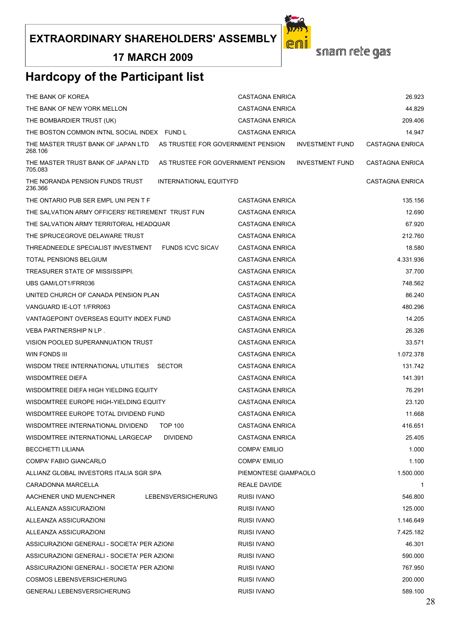snam rete gas

**17 MARCH 2009**

| THE BANK OF KOREA                                                               | <b>CASTAGNA ENRICA</b>                     | 26.923                                           |
|---------------------------------------------------------------------------------|--------------------------------------------|--------------------------------------------------|
| THE BANK OF NEW YORK MELLON                                                     | CASTAGNA ENRICA                            | 44.829                                           |
| THE BOMBARDIER TRUST (UK)                                                       | <b>CASTAGNA ENRICA</b>                     | 209.406                                          |
| THE BOSTON COMMON INTNL SOCIAL INDEX FUND L                                     | CASTAGNA ENRICA                            | 14.947                                           |
| THE MASTER TRUST BANK OF JAPAN LTD AS TRUSTEE FOR GOVERNMENT PENSION<br>268.106 |                                            | <b>INVESTMENT FUND</b><br>CASTAGNA ENRICA        |
| THE MASTER TRUST BANK OF JAPAN LTD<br>705.083                                   | AS TRUSTEE FOR GOVERNMENT PENSION          | <b>INVESTMENT FUND</b><br><b>CASTAGNA ENRICA</b> |
| THE NORANDA PENSION FUNDS TRUST<br>236.366                                      | INTERNATIONAL EQUITYFD                     | <b>CASTAGNA ENRICA</b>                           |
| THE ONTARIO PUB SER EMPL UNI PEN T F                                            | CASTAGNA ENRICA                            | 135.156                                          |
| THE SALVATION ARMY OFFICERS' RETIREMENT TRUST FUN                               | CASTAGNA ENRICA                            | 12.690                                           |
| THE SALVATION ARMY TERRITORIAL HEADQUAR                                         | CASTAGNA ENRICA                            | 67.920                                           |
| THE SPRUCEGROVE DELAWARE TRUST                                                  | CASTAGNA ENRICA                            | 212.760                                          |
| THREADNEEDLE SPECIALIST INVESTMENT                                              | <b>FUNDS ICVC SICAV</b><br>CASTAGNA ENRICA | 18.580                                           |
| TOTAL PENSIONS BELGIUM                                                          | CASTAGNA ENRICA                            | 4.331.936                                        |
| TREASURER STATE OF MISSISSIPPI.                                                 | CASTAGNA ENRICA                            | 37.700                                           |
| UBS GAM/LOT1/FRR036                                                             | CASTAGNA ENRICA                            | 748.562                                          |
| UNITED CHURCH OF CANADA PENSION PLAN                                            | CASTAGNA ENRICA                            | 86.240                                           |
| VANGUARD IE-LOT 1/FRR063                                                        | CASTAGNA ENRICA                            | 480.296                                          |
| VANTAGEPOINT OVERSEAS EQUITY INDEX FUND                                         | CASTAGNA ENRICA                            | 14.205                                           |
| VEBA PARTNERSHIP N LP.                                                          | CASTAGNA ENRICA                            | 26.326                                           |
| VISION POOLED SUPERANNUATION TRUST                                              | CASTAGNA ENRICA                            | 33.571                                           |
| WIN FONDS III                                                                   | CASTAGNA ENRICA                            | 1.072.378                                        |
| WISDOM TREE INTERNATIONAL UTILITIES SECTOR                                      | CASTAGNA ENRICA                            | 131.742                                          |
| WISDOMTREE DIEFA                                                                | CASTAGNA ENRICA                            | 141.391                                          |
| WISDOMTREE DIEFA HIGH YIELDING EQUITY                                           | <b>CASTAGNA ENRICA</b>                     | 76.291                                           |
| WISDOMTREE EUROPE HIGH-YIELDING EQUITY                                          | CASTAGNA ENRICA                            | 23.120                                           |
| WISDOMTREE EUROPE TOTAL DIVIDEND FUND                                           | <b>CASTAGNA ENRICA</b>                     | 11.668                                           |
| WISDOMTREE INTERNATIONAL DIVIDEND<br><b>TOP 100</b>                             | CASTAGNA ENRICA                            | 416.651                                          |
| WISDOMTREE INTERNATIONAL LARGECAP<br><b>DIVIDEND</b>                            | CASTAGNA ENRICA                            | 25.405                                           |
| <b>BECCHETTI LILIANA</b>                                                        | <b>COMPA' EMILIO</b>                       | 1.000                                            |
| COMPA' FABIO GIANCARLO                                                          | <b>COMPA' EMILIO</b>                       | 1.100                                            |
| ALLIANZ GLOBAL INVESTORS ITALIA SGR SPA                                         | PIEMONTESE GIAMPAOLO                       | 1.500.000                                        |
| CARADONNA MARCELLA                                                              | REALE DAVIDE                               | 1                                                |
| AACHENER UND MUENCHNER<br>LEBENSVERSICHERUNG                                    | RUISI IVANO                                | 546.800                                          |
| ALLEANZA ASSICURAZIONI                                                          | RUISI IVANO                                | 125.000                                          |
| ALLEANZA ASSICURAZIONI                                                          | RUISI IVANO                                | 1.146.649                                        |
| ALLEANZA ASSICURAZIONI                                                          | RUISI IVANO                                | 7.425.182                                        |
| ASSICURAZIONI GENERALI - SOCIETA' PER AZIONI                                    | RUISI IVANO                                | 46.301                                           |
| ASSICURAZIONI GENERALI - SOCIETA' PER AZIONI                                    | RUISI IVANO                                | 590.000                                          |
| ASSICURAZIONI GENERALI - SOCIETA' PER AZIONI                                    | RUISI IVANO                                | 767.950                                          |
| COSMOS LEBENSVERSICHERUNG                                                       | RUISI IVANO                                | 200.000                                          |
| <b>GENERALI LEBENSVERSICHERUNG</b>                                              | RUISI IVANO                                | 589.100                                          |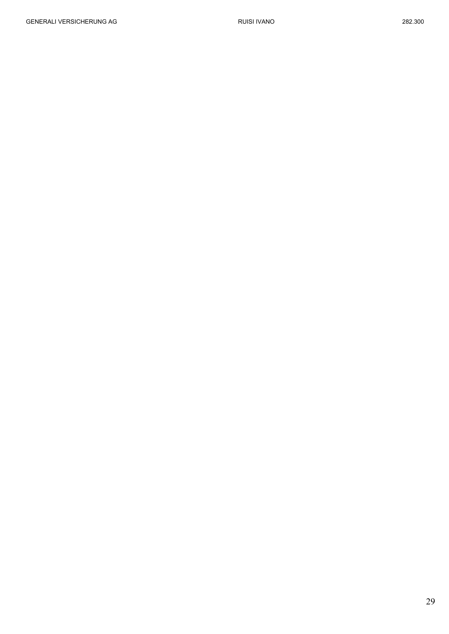GENERALI VERSICHERUNG AG **RUISI IVANO** RUISI IVANO 282.300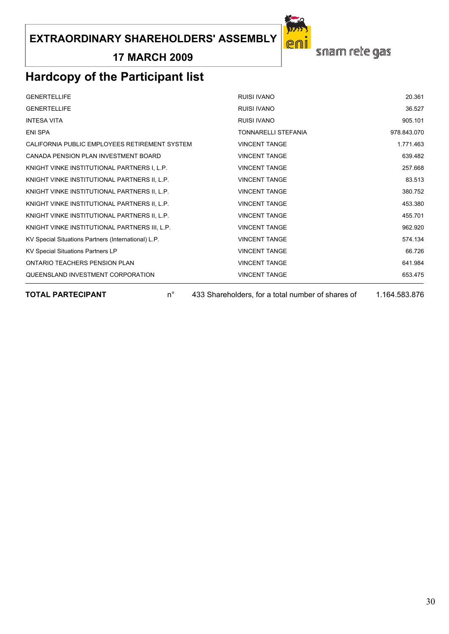**17 MARCH 2009**

**Hardcopy of the Participant list**



snam rete gas

### GENERTELLIFE 20.361 GENERTELLIFE RUISI IVANO 36.527 INTESA VITA RUISI IVANO 905.101 ENI SPA TONNARELLI STEFANIA 978.843.070 CALIFORNIA PUBLIC EMPLOYEES RETIREMENT SYSTEM VINCENT TANGE 1.771.463 CANADA PENSION PLAN INVESTMENT BOARD VINCENT TANGE 639.482 KNIGHT VINKE INSTITUTIONAL PARTNERS I, L.P. VINCENT TANGE 257.668 KNIGHT VINKE INSTITUTIONAL PARTNERS II, L.P. VINCENT TANGE 83.513 KNIGHT VINKE INSTITUTIONAL PARTNERS II, L.P. VINCENT TANGE 380.752 KNIGHT VINKE INSTITUTIONAL PARTNERS II, L.P. VINCENT TANGE 453.380 KNIGHT VINKE INSTITUTIONAL PARTNERS II, L.P. VINCENT TANGE 455.701 KNIGHT VINKE INSTITUTIONAL PARTNERS III, L.P. VINCENT TANGE 962.920 KV Special Situations Partners (International) L.P. Same State of the State of MCCENT TANGE 574.134 KV Special Situations Partners LP 66.726 ONTARIO TEACHERS PENSION PLAN VINCENT TANGE 641.984 QUEENSLAND INVESTMENT CORPORATION VINCENT TANGE 653.475

**TOTAL PARTECIPANT** n<sup>°</sup> 433 Shareholders, for a total number of shares of 1.164.583.876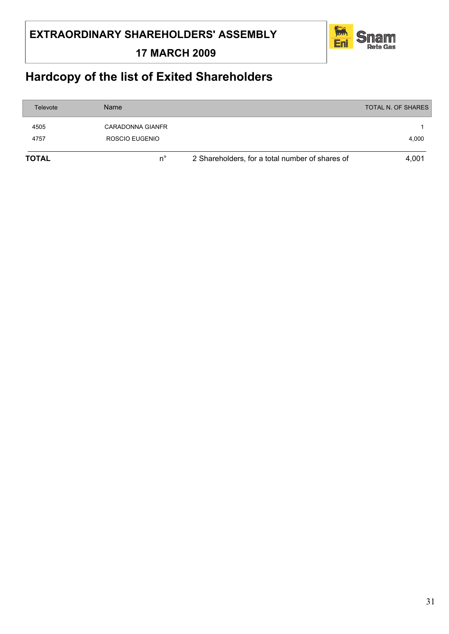

**17 MARCH 2009**

# **Hardcopy of the list of Exited Shareholders**

| Televote     | <b>Name</b>      |                                                 | <b>TOTAL N. OF SHARES</b> |
|--------------|------------------|-------------------------------------------------|---------------------------|
| 4505         | CARADONNA GIANFR |                                                 |                           |
| 4757         | ROSCIO EUGENIO   |                                                 | 4.000                     |
| <b>TOTAL</b> | $n^{\circ}$      | 2 Shareholders, for a total number of shares of | 4,001                     |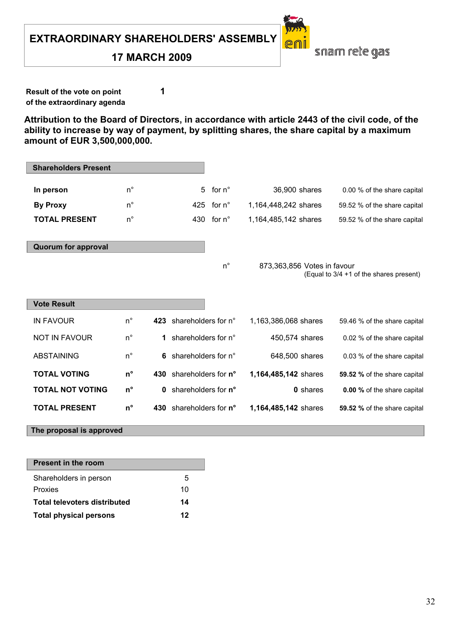# **17 MARCH 2009 17 MARCH 2009**

**Result of the vote on point 1 of the extraordinary agenda**

| <b>Shareholders Present</b> |             |     |                         |                     |                             |          |                                         |
|-----------------------------|-------------|-----|-------------------------|---------------------|-----------------------------|----------|-----------------------------------------|
| In person                   | $n^{\circ}$ |     | 5                       | for $n^{\circ}$     | 36,900 shares               |          | 0.00 % of the share capital             |
| <b>By Proxy</b>             | $n^{\circ}$ |     |                         | 425 for $n^{\circ}$ | 1,164,448,242 shares        |          | 59.52 % of the share capital            |
| <b>TOTAL PRESENT</b>        | $n^{\circ}$ |     |                         | 430 for $n^{\circ}$ | 1,164,485,142 shares        |          | 59.52 % of the share capital            |
|                             |             |     |                         |                     |                             |          |                                         |
| <b>Quorum for approval</b>  |             |     |                         |                     |                             |          |                                         |
|                             |             |     |                         | $n^{\circ}$         | 873,363,856 Votes in favour |          |                                         |
|                             |             |     |                         |                     |                             |          | (Equal to 3/4 +1 of the shares present) |
|                             |             |     |                         |                     |                             |          |                                         |
| <b>Vote Result</b>          |             |     |                         |                     |                             |          |                                         |
| <b>IN FAVOUR</b>            | $n^{\circ}$ | 423 | shareholders for n°     |                     | 1,163,386,068 shares        |          | 59.46 % of the share capital            |
| <b>NOT IN FAVOUR</b>        | $n^{\circ}$ |     | 1 shareholders for n°   |                     | 450,574 shares              |          | 0.02 % of the share capital             |
| <b>ABSTAINING</b>           | $n^{\circ}$ | 6   | shareholders for n°     |                     | 648,500 shares              |          | 0.03 % of the share capital             |
| <b>TOTAL VOTING</b>         | $n^{\circ}$ |     | 430 shareholders for n° |                     | 1,164,485,142 shares        |          | 59.52 % of the share capital            |
| <b>TOTAL NOT VOTING</b>     | $n^{\circ}$ | 0   | shareholders for n°     |                     |                             | 0 shares | 0.00 % of the share capital             |
| <b>TOTAL PRESENT</b>        | $n^{\circ}$ |     | 430 shareholders for n° |                     | 1,164,485,142 shares        |          | 59.52 % of the share capital            |
| The proposal is approved    |             |     |                         |                     |                             |          |                                         |
|                             |             |     |                         |                     |                             |          |                                         |
|                             |             |     |                         |                     |                             |          |                                         |

| <b>Present in the room</b>          |    |
|-------------------------------------|----|
| Shareholders in person              | 5  |
| Proxies                             | 10 |
| <b>Total televoters distributed</b> | 14 |
| <b>Total physical persons</b>       | 12 |
|                                     |    |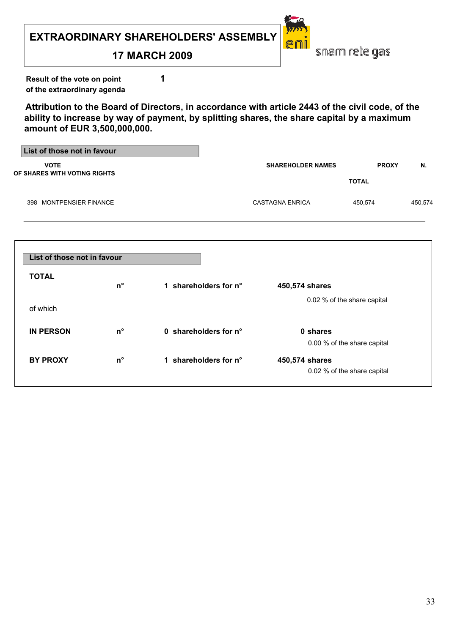**17 MARCH 2009**

**Result of the vote on point 1 of the extraordinary agenda**

**Attribution to the Board of Directors, in accordance with article 2443 of the civil code, of the ability to increase by way of payment, by splitting shares, the share capital by a maximum amount of EUR 3,500,000,000.**

snam rete gas

| List of those not in favour                 |                          |              |         |
|---------------------------------------------|--------------------------|--------------|---------|
| <b>VOTE</b><br>OF SHARES WITH VOTING RIGHTS | <b>SHAREHOLDER NAMES</b> | <b>PROXY</b> | N.      |
|                                             |                          | <b>TOTAL</b> |         |
| 398 MONTPENSIER FINANCE                     | <b>CASTAGNA ENRICA</b>   | 450.574      | 450.574 |

| <b>TOTAL</b>     | $n^{\circ}$ | 1 shareholders for n° | 450,574 shares              |
|------------------|-------------|-----------------------|-----------------------------|
| of which         |             |                       | 0.02 % of the share capital |
| <b>IN PERSON</b> | $n^{\circ}$ | 0 shareholders for n° | 0 shares                    |
|                  |             |                       | 0.00 % of the share capital |
| <b>BY PROXY</b>  | $n^{\circ}$ | 1 shareholders for n° | 450,574 shares              |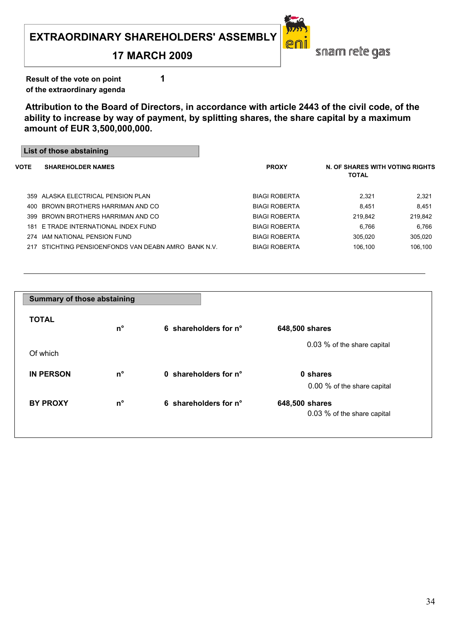**17 MARCH 2009**

**Result of the vote on point 1 of the extraordinary agenda**

**List of those abstaining**

**Attribution to the Board of Directors, in accordance with article 2443 of the civil code, of the ability to increase by way of payment, by splitting shares, the share capital by a maximum amount of EUR 3,500,000,000.**

|             | List of those abstaining                             |                      |                                                 |         |
|-------------|------------------------------------------------------|----------------------|-------------------------------------------------|---------|
| <b>VOTE</b> | <b>SHAREHOLDER NAMES</b>                             | <b>PROXY</b>         | N. OF SHARES WITH VOTING RIGHTS<br><b>TOTAL</b> |         |
|             | 359 ALASKA ELECTRICAL PENSION PLAN                   | <b>BIAGI ROBERTA</b> | 2.321                                           | 2,321   |
| 400         | BROWN BROTHERS HARRIMAN AND CO                       | <b>BIAGI ROBERTA</b> | 8.451                                           | 8.451   |
| 399.        | BROWN BROTHERS HARRIMAN AND CO                       | <b>BIAGI ROBERTA</b> | 219.842                                         | 219,842 |
| 181         | E TRADE INTERNATIONAL INDEX FUND                     | <b>BIAGI ROBERTA</b> | 6.766                                           | 6.766   |
| 274         | IAM NATIONAL PENSION FUND                            | <b>BIAGI ROBERTA</b> | 305.020                                         | 305.020 |
|             | 217 STICHTING PENSIOENFONDS VAN DEABN AMRO BANK N.V. | <b>BIAGI ROBERTA</b> | 106,100                                         | 106,100 |

| <b>Summary of those abstaining</b> |             |                       |                                               |
|------------------------------------|-------------|-----------------------|-----------------------------------------------|
| <b>TOTAL</b>                       | $n^{\circ}$ | 6 shareholders for n° | 648,500 shares                                |
| Of which                           |             |                       | 0.03 % of the share capital                   |
| <b>IN PERSON</b>                   | $n^{\circ}$ | 0 shareholders for n° | 0 shares<br>0.00 % of the share capital       |
| <b>BY PROXY</b>                    | n°          | 6 shareholders for n° | 648,500 shares<br>0.03 % of the share capital |
|                                    |             |                       |                                               |

snam rete gas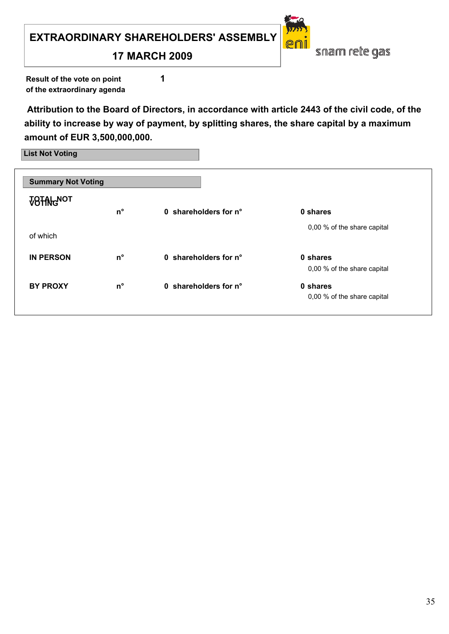**17 MARCH 2009**



**Result of the vote on point 1 of the extraordinary agenda**

**Attribution to the Board of Directors, in accordance with article 2443 of the civil code, of the ability to increase by way of payment, by splitting shares, the share capital by a maximum amount of EUR 3,500,000,000.**

**List Not Voting**

| <b>Summary Not Voting</b> |             |                       |                                         |
|---------------------------|-------------|-----------------------|-----------------------------------------|
| <b>VOTAL NOT</b>          | $n^{\circ}$ | 0 shareholders for n° | 0 shares                                |
| of which                  |             |                       | 0,00 % of the share capital             |
| <b>IN PERSON</b>          | $n^{\circ}$ | 0 shareholders for n° | 0 shares<br>0,00 % of the share capital |
| <b>BY PROXY</b>           | $n^{\circ}$ | 0 shareholders for n° | 0 shares<br>0,00 % of the share capital |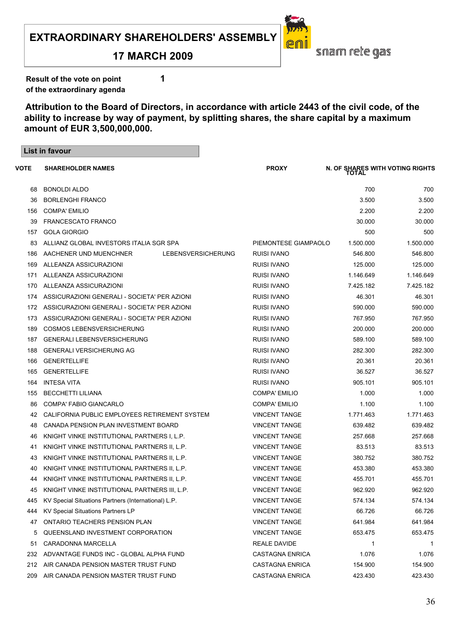**17 MARCH 2009**

snam rete gas

**Result of the vote on point 1 of the extraordinary agenda**

**Attribution to the Board of Directors, in accordance with article 2443 of the civil code, of the ability to increase by way of payment, by splitting shares, the share capital by a maximum amount of EUR 3,500,000,000.**

**List in favour HARES TOTAL VOTE SHAREHOLDER NAMES PROXY N. OF S WITH VOTING RIGHTS** BONOLDI ALDO <sup>700</sup> <sup>700</sup> 36 BORLENGHI FRANCO 3.500 3.500 COMPA' EMILIO 2.200 2.200 FRANCESCATO FRANCO 30.000 30.000 157 GOLA GIORGIO 600 SOCIEDADE EN 1989 EN 1989 EN 1989 EN 1989 EN 1989 EN 1989 EN 1989 EN 1989 EN 1989 EN 1989 83 ALLIANZ GLOBAL INVESTORS ITALIA SGR SPA PIEMONTESE GIAMPAOLO 1.500.000 1.500.000 AACHENER UND MUENCHNER LEBENSVERSICHERUNG RUISI IVANO 546.800 546.800 ALLEANZA ASSICURAZIONI RUISI IVANO 125.000 125.000 ALLEANZA ASSICURAZIONI RUISI IVANO 1.146.649 1.146.649 ALLEANZA ASSICURAZIONI RUISI IVANO 7.425.182 7.425.182 ASSICURAZIONI GENERALI - SOCIETA' PER AZIONI RUISI IVANO 46.301 46.301 ASSICURAZIONI GENERALI - SOCIETA' PER AZIONI RUISI IVANO 590.000 590.000 ASSICURAZIONI GENERALI - SOCIETA' PER AZIONI RUISI IVANO 767.950 767.950 COSMOS LEBENSVERSICHERUNG RUISI IVANO 200.000 200.000 GENERALI LEBENSVERSICHERUNG RUISI IVANO 589.100 589.100 GENERALI VERSICHERUNG AG RUISI IVANO 282.300 282.300 GENERTELLIFE RUISI IVANO 20.361 20.361 GENERTELLIFE RUISI IVANO 36.527 36.527 INTESA VITA RUISI IVANO 905.101 905.101 BECCHETTI LILIANA COMPA' EMILIO 1.000 1.000 COMPA' FABIO GIANCARLO COMPA' EMILIO 1.100 1.100 42 CALIFORNIA PUBLIC EMPLOYEES RETIREMENT SYSTEM VINCENT TANGE 1.771.463 1.771.463 1.771.463 CANADA PENSION PLAN INVESTMENT BOARD VINCENT TANGE 639.482 639.482 46 KNIGHT VINKE INSTITUTIONAL PARTNERS I, L.P. 251 VINCENT TANGE 257.668 257.668 257.668 KNIGHT VINKE INSTITUTIONAL PARTNERS II, L.P. VINCENT TANGE 83.513 83.513 KNIGHT VINKE INSTITUTIONAL PARTNERS II, L.P. VINCENT TANGE 380.752 380.752 KNIGHT VINKE INSTITUTIONAL PARTNERS II, L.P. VINCENT TANGE 453.380 453.380 KNIGHT VINKE INSTITUTIONAL PARTNERS II, L.P. VINCENT TANGE 455.701 455.701 KNIGHT VINKE INSTITUTIONAL PARTNERS III, L.P. VINCENT TANGE 962.920 962.920 KV Special Situations Partners (International) L.P. VINCENT TANGE 574.134 574.134 444 KV Special Situations Partners LP **120 COVID-120 COVID-20 COVID-20 COVID-20 COVID-20 COVID-20 COVID-20 COVID-** ONTARIO TEACHERS PENSION PLAN VINCENT TANGE 641.984 641.984 QUEENSLAND INVESTMENT CORPORATION VINCENT TANGE 653.475 653.475 51 CARADONNA MARCELLA DE CONTROLLE DE CONTROLLE DAVIDE NEALE DAVIDE 2012 1 232 ADVANTAGE FUNDS INC - GLOBAL ALPHA FUND CASTAGNA ENRICA 1.076 1.076 1.076 212 AIR CANADA PENSION MASTER TRUST FUND CASTAGNA ENRICA 154.900 154.900 154.900

AIR CANADA PENSION MASTER TRUST FUND CASTAGNA ENRICA 423.430 423.430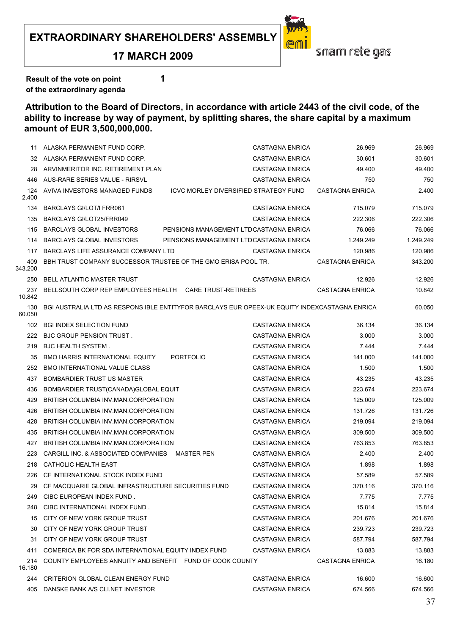snam rete gas

**17 MARCH 2009**

| Result of the vote on point | 1 |
|-----------------------------|---|
| of the extraordinary agenda |   |

|                | 11 ALASKA PERMANENT FUND CORP.                                                                | CASTAGNA ENRICA        | 26.969                 | 26.969    |
|----------------|-----------------------------------------------------------------------------------------------|------------------------|------------------------|-----------|
| 32             | ALASKA PERMANENT FUND CORP.                                                                   | <b>CASTAGNA ENRICA</b> | 30.601                 | 30.601    |
| 28             | ARVINMERITOR INC. RETIREMENT PLAN                                                             | <b>CASTAGNA ENRICA</b> | 49.400                 | 49.400    |
| 446            | AUS-RARE SERIES VALUE - RIRSVL                                                                | <b>CASTAGNA ENRICA</b> | 750                    | 750       |
| 124<br>2.400   | AVIVA INVESTORS MANAGED FUNDS<br>ICVC MORLEY DIVERSIFIED STRATEGY FUND                        |                        | <b>CASTAGNA ENRICA</b> | 2.400     |
| 134            | <b>BARCLAYS GI/LOT/I FRR061</b>                                                               | <b>CASTAGNA ENRICA</b> | 715.079                | 715.079   |
| 135            | BARCLAYS GI/LOT25/FRR049                                                                      | <b>CASTAGNA ENRICA</b> | 222.306                | 222.306   |
| 115            | <b>BARCLAYS GLOBAL INVESTORS</b><br>PENSIONS MANAGEMENT LTDCASTAGNA ENRICA                    |                        | 76.066                 | 76.066    |
| 114            | <b>BARCLAYS GLOBAL INVESTORS</b><br>PENSIONS MANAGEMENT LTDCASTAGNA ENRICA                    |                        | 1.249.249              | 1.249.249 |
| 117            | BARCLAYS LIFE ASSURANCE COMPANY LTD                                                           | CASTAGNA ENRICA        | 120.986                | 120.986   |
| 409<br>343.200 | BBH TRUST COMPANY SUCCESSOR TRUSTEE OF THE GMO ERISA POOL TR.                                 |                        | <b>CASTAGNA ENRICA</b> | 343.200   |
| 250            | <b>BELL ATLANTIC MASTER TRUST</b>                                                             | <b>CASTAGNA ENRICA</b> | 12.926                 | 12.926    |
| 237<br>10.842  | BELLSOUTH CORP REP EMPLOYEES HEALTH CARE TRUST-RETIREES                                       |                        | <b>CASTAGNA ENRICA</b> | 10.842    |
| 130<br>60.050  | BGI AUSTRALIA LTD AS RESPONS IBLE ENTITYFOR BARCLAYS EUR OPEEX-UK EQUITY INDEXCASTAGNA ENRICA |                        |                        | 60.050    |
| 102            | <b>BGI INDEX SELECTION FUND</b>                                                               | <b>CASTAGNA ENRICA</b> | 36.134                 | 36.134    |
|                | 222 BJC GROUP PENSION TRUST.                                                                  | CASTAGNA ENRICA        | 3.000                  | 3.000     |
| 219            | <b>BJC HEALTH SYSTEM.</b>                                                                     | <b>CASTAGNA ENRICA</b> | 7.444                  | 7.444     |
| 35             | <b>BMO HARRIS INTERNATIONAL EQUITY</b><br><b>PORTFOLIO</b>                                    | <b>CASTAGNA ENRICA</b> | 141.000                | 141.000   |
| 252            | <b>BMO INTERNATIONAL VALUE CLASS</b>                                                          | CASTAGNA ENRICA        | 1.500                  | 1.500     |
| 437            | <b>BOMBARDIER TRUST US MASTER</b>                                                             | <b>CASTAGNA ENRICA</b> | 43.235                 | 43.235    |
| 436            | BOMBARDIER TRUST(CANADA)GLOBAL EQUIT                                                          | <b>CASTAGNA ENRICA</b> | 223.674                | 223.674   |
| 429            | BRITISH COLUMBIA INV.MAN.CORPORATION                                                          | CASTAGNA ENRICA        | 125.009                | 125.009   |
| 426            | BRITISH COLUMBIA INV.MAN.CORPORATION                                                          | CASTAGNA ENRICA        | 131.726                | 131.726   |
| 428            | BRITISH COLUMBIA INV.MAN.CORPORATION                                                          | <b>CASTAGNA ENRICA</b> | 219.094                | 219.094   |
| 435            | BRITISH COLUMBIA INV.MAN.CORPORATION                                                          | CASTAGNA ENRICA        | 309.500                | 309.500   |
| 427            | BRITISH COLUMBIA INV MAN CORPORATION                                                          | <b>CASTAGNA ENRICA</b> | 763.853                | 763.853   |
| 223            | CARGILL INC. & ASSOCIATED COMPANIES MASTER PEN                                                | <b>CASTAGNA ENRICA</b> | 2.400                  | 2.400     |
| 218            | CATHOLIC HEALTH EAST                                                                          | CASTAGNA ENRICA        | 1.898                  | 1.898     |
|                | 226 CF INTERNATIONAL STOCK INDEX FUND                                                         | <b>CASTAGNA ENRICA</b> | 57.589                 | 57.589    |
| 29             | CF MACQUARIE GLOBAL INFRASTRUCTURE SECURITIES FUND                                            | <b>CASTAGNA ENRICA</b> | 370.116                | 370.116   |
| 249            | CIBC EUROPEAN INDEX FUND.                                                                     | CASTAGNA ENRICA        | 7.775                  | 7.775     |
| 248            | CIBC INTERNATIONAL INDEX FUND.                                                                | CASTAGNA ENRICA        | 15.814                 | 15.814    |
| 15             | CITY OF NEW YORK GROUP TRUST                                                                  | <b>CASTAGNA ENRICA</b> | 201.676                | 201.676   |
| 30             | CITY OF NEW YORK GROUP TRUST                                                                  | <b>CASTAGNA ENRICA</b> | 239.723                | 239.723   |
| 31             | CITY OF NEW YORK GROUP TRUST                                                                  | <b>CASTAGNA ENRICA</b> | 587.794                | 587.794   |
| 411            | COMERICA BK FOR SDA INTERNATIONAL EQUITY INDEX FUND                                           | CASTAGNA ENRICA        | 13.883                 | 13.883    |
| 214<br>16.180  | COUNTY EMPLOYEES ANNUITY AND BENEFIT FUND OF COOK COUNTY                                      |                        | <b>CASTAGNA ENRICA</b> | 16.180    |
| 244            | <b>CRITERION GLOBAL CLEAN ENERGY FUND</b>                                                     | <b>CASTAGNA ENRICA</b> | 16.600                 | 16.600    |
| 405            | DANSKE BANK A/S CLI.NET INVESTOR                                                              | CASTAGNA ENRICA        | 674.566                | 674.566   |
|                |                                                                                               |                        |                        | 37        |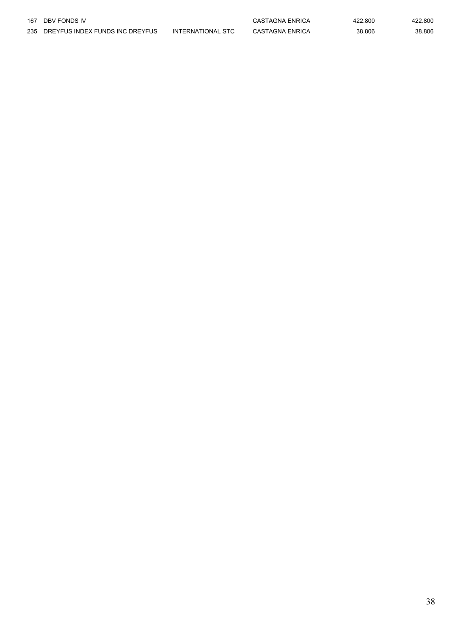| 167 DBV FONDS IV                    |                   | <b>CASTAGNA ENRICA</b> | 422.800 | 422.800 |
|-------------------------------------|-------------------|------------------------|---------|---------|
| 235 DREYFUS INDEX FUNDS INC DREYFUS | INTERNATIONAL STC | CASTAGNA ENRICA        | 38.806  | 38.806  |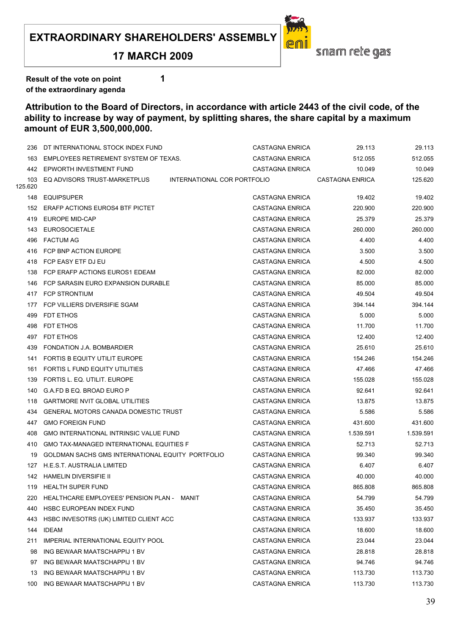**17 MARCH 2009**



**Result of the vote on point 1 of the extraordinary agenda**

|         | 236 DT INTERNATIONAL STOCK INDEX FUND            |                             | <b>CASTAGNA ENRICA</b> | 29.113                 | 29.113    |
|---------|--------------------------------------------------|-----------------------------|------------------------|------------------------|-----------|
| 163     | EMPLOYEES RETIREMENT SYSTEM OF TEXAS.            |                             | CASTAGNA ENRICA        | 512.055                | 512.055   |
|         | 442 EPWORTH INVESTMENT FUND                      |                             | CASTAGNA ENRICA        | 10.049                 | 10.049    |
| 125.620 | 103 EQ ADVISORS TRUST-MARKETPLUS                 | INTERNATIONAL COR PORTFOLIO |                        | <b>CASTAGNA ENRICA</b> | 125.620   |
|         | 148 EQUIPSUPER                                   |                             | <b>CASTAGNA ENRICA</b> | 19.402                 | 19.402    |
|         | 152 ERAFP ACTIONS EUROS4 BTF PICTET              |                             | <b>CASTAGNA ENRICA</b> | 220.900                | 220.900   |
|         | 419 EUROPE MID-CAP                               |                             | <b>CASTAGNA ENRICA</b> | 25.379                 | 25.379    |
|         | 143 EUROSOCIETALE                                |                             | <b>CASTAGNA ENRICA</b> | 260.000                | 260,000   |
|         | 496 FACTUM AG                                    |                             | CASTAGNA ENRICA        | 4.400                  | 4.400     |
|         | 416 FCP BNP ACTION EUROPE                        |                             | <b>CASTAGNA ENRICA</b> | 3.500                  | 3.500     |
|         | 418 FCP EASY ETF DJ EU                           |                             | <b>CASTAGNA ENRICA</b> | 4.500                  | 4.500     |
|         | 138 FCP ERAFP ACTIONS EUROS1 EDEAM               |                             | CASTAGNA ENRICA        | 82.000                 | 82.000    |
|         | 146 FCP SARASIN EURO EXPANSION DURABLE           |                             | CASTAGNA ENRICA        | 85.000                 | 85.000    |
|         | 417 FCP STRONTIUM                                |                             | <b>CASTAGNA ENRICA</b> | 49.504                 | 49.504    |
|         | 177 FCP VILLIERS DIVERSIFIE SGAM                 |                             | CASTAGNA ENRICA        | 394.144                | 394.144   |
| 499     | FDT ETHOS                                        |                             | CASTAGNA ENRICA        | 5.000                  | 5.000     |
| 498     | FDT ETHOS                                        |                             | <b>CASTAGNA ENRICA</b> | 11.700                 | 11.700    |
|         | 497 FDT ETHOS                                    |                             | <b>CASTAGNA ENRICA</b> | 12.400                 | 12.400    |
|         | 439 FONDATION J.A. BOMBARDIER                    |                             | <b>CASTAGNA ENRICA</b> | 25.610                 | 25.610    |
|         | 141 FORTIS B EQUITY UTILIT EUROPE                |                             | <b>CASTAGNA ENRICA</b> | 154.246                | 154.246   |
|         | 161 FORTIS L FUND EQUITY UTILITIES               |                             | <b>CASTAGNA ENRICA</b> | 47.466                 | 47.466    |
| 139     | FORTIS L. EQ. UTILIT. EUROPE                     |                             | <b>CASTAGNA ENRICA</b> | 155.028                | 155.028   |
| 140     | G.A.FD B EQ. BROAD EURO P                        |                             | <b>CASTAGNA ENRICA</b> | 92.641                 | 92.641    |
|         | 118 GARTMORE NVIT GLOBAL UTILITIES               |                             | CASTAGNA ENRICA        | 13.875                 | 13.875    |
| 434     | GENERAL MOTORS CANADA DOMESTIC TRUST             |                             | CASTAGNA ENRICA        | 5.586                  | 5.586     |
| 447     | <b>GMO FOREIGN FUND</b>                          |                             | CASTAGNA ENRICA        | 431.600                | 431.600   |
| 408     | <b>GMO INTERNATIONAL INTRINSIC VALUE FUND</b>    |                             | <b>CASTAGNA ENRICA</b> | 1.539.591              | 1.539.591 |
|         | 410 GMO TAX-MANAGED INTERNATIONAL EQUITIES F     |                             | CASTAGNA ENRICA        | 52.713                 | 52.713    |
| 19      | GOLDMAN SACHS GMS INTERNATIONAL EQUITY PORTFOLIO |                             | CASTAGNA ENRICA        | 99.340                 | 99.340    |
| 127     | H.E.S.T. AUSTRALIA LIMITED                       |                             | <b>CASTAGNA ENRICA</b> | 6.407                  | 6.407     |
|         | 142 HAMELIN DIVERSIFIE II                        |                             | <b>CASTAGNA ENRICA</b> | 40.000                 | 40.000    |
|         | 119 HEALTH SUPER FUND                            |                             | <b>CASTAGNA ENRICA</b> | 865.808                | 865.808   |
| 220     | HEALTHCARE EMPLOYEES' PENSION PLAN - MANIT       |                             | CASTAGNA ENRICA        | 54.799                 | 54.799    |
| 440     | <b>HSBC EUROPEAN INDEX FUND</b>                  |                             | <b>CASTAGNA ENRICA</b> | 35.450                 | 35.450    |
| 443     | HSBC INVESOTRS (UK) LIMITED CLIENT ACC           |                             | <b>CASTAGNA ENRICA</b> | 133.937                | 133.937   |
| 144     | <b>IDEAM</b>                                     |                             | <b>CASTAGNA ENRICA</b> | 18.600                 | 18.600    |
| 211     | IMPERIAL INTERNATIONAL EQUITY POOL               |                             | <b>CASTAGNA ENRICA</b> | 23.044                 | 23.044    |
| 98      | ING BEWAAR MAATSCHAPPIJ 1 BV                     |                             | <b>CASTAGNA ENRICA</b> | 28.818                 | 28.818    |
| 97      | ING BEWAAR MAATSCHAPPIJ 1 BV                     |                             | <b>CASTAGNA ENRICA</b> | 94.746                 | 94.746    |
| 13      | ING BEWAAR MAATSCHAPPIJ 1 BV                     |                             | <b>CASTAGNA ENRICA</b> | 113.730                | 113.730   |
| 100     | ING BEWAAR MAATSCHAPPIJ 1 BV                     |                             | <b>CASTAGNA ENRICA</b> | 113.730                | 113.730   |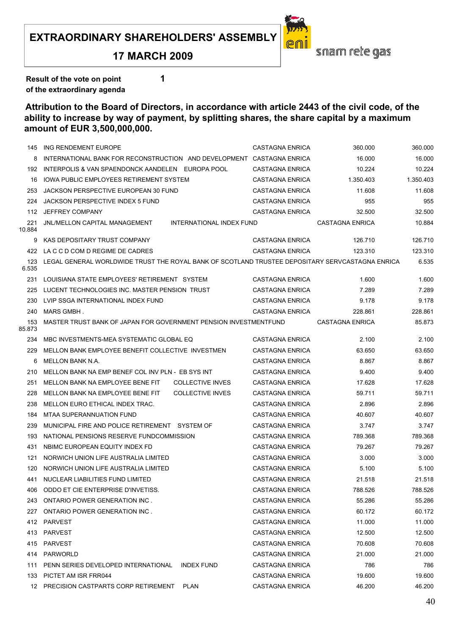**17 MARCH 2009**



**Result of the vote on point 1 of the extraordinary agenda**

| 145           | ING RENDEMENT EUROPE                                                                            | <b>CASTAGNA ENRICA</b> | 360.000                | 360.000   |
|---------------|-------------------------------------------------------------------------------------------------|------------------------|------------------------|-----------|
| 8             | INTERNATIONAL BANK FOR RECONSTRUCTION AND DEVELOPMENT CASTAGNA ENRICA                           |                        | 16.000                 | 16.000    |
| 192           | INTERPOLIS & VAN SPAENDONCK AANDELEN EUROPA POOL                                                | CASTAGNA ENRICA        | 10.224                 | 10.224    |
| 16            | <b>IOWA PUBLIC EMPLOYEES RETIREMENT SYSTEM</b>                                                  | <b>CASTAGNA ENRICA</b> | 1.350.403              | 1.350.403 |
| 253           | JACKSON PERSPECTIVE EUROPEAN 30 FUND                                                            | CASTAGNA ENRICA        | 11.608                 | 11.608    |
| 224           | JACKSON PERSPECTIVE INDEX 5 FUND                                                                | CASTAGNA ENRICA        | 955                    | 955       |
| 112           | <b>JEFFREY COMPANY</b>                                                                          | <b>CASTAGNA ENRICA</b> | 32.500                 | 32.500    |
| 221<br>10.884 | <b>JNL/MELLON CAPITAL MANAGEMENT</b><br>INTERNATIONAL INDEX FUND                                |                        | <b>CASTAGNA ENRICA</b> | 10.884    |
| 9             | KAS DEPOSITARY TRUST COMPANY                                                                    | <b>CASTAGNA ENRICA</b> | 126.710                | 126.710   |
| 422           | LA C C D COM D REGIME DE CADRES                                                                 | CASTAGNA ENRICA        | 123.310                | 123.310   |
| 123<br>6.535  | LEGAL GENERAL WORLDWIDE TRUST THE ROYAL BANK OF SCOTLAND TRUSTEE DEPOSITARY SERVCASTAGNA ENRICA |                        |                        | 6.535     |
| 231           | LOUISIANA STATE EMPLOYEES' RETIREMENT SYSTEM                                                    | <b>CASTAGNA ENRICA</b> | 1.600                  | 1.600     |
| 225           | LUCENT TECHNOLOGIES INC. MASTER PENSION TRUST                                                   | <b>CASTAGNA ENRICA</b> | 7.289                  | 7.289     |
| 230           | LVIP SSGA INTERNATIONAL INDEX FUND                                                              | CASTAGNA ENRICA        | 9.178                  | 9.178     |
| 240           | MARS GMBH.                                                                                      | <b>CASTAGNA ENRICA</b> | 228.861                | 228.861   |
| 153<br>85.873 | MASTER TRUST BANK OF JAPAN FOR GOVERNMENT PENSION INVESTMENTFUND                                |                        | <b>CASTAGNA ENRICA</b> | 85.873    |
| 234           | MBC INVESTMENTS-MEA SYSTEMATIC GLOBAL EQ                                                        | CASTAGNA ENRICA        | 2.100                  | 2.100     |
| 229           | MELLON BANK EMPLOYEE BENEFIT COLLECTIVE INVESTMEN                                               | <b>CASTAGNA ENRICA</b> | 63.650                 | 63.650    |
| 6             | <b>MELLON BANK N.A.</b>                                                                         | CASTAGNA ENRICA        | 8.867                  | 8.867     |
| 210           | MELLON BANK NA EMP BENEF COL INV PLN - EB SYS INT                                               | CASTAGNA ENRICA        | 9.400                  | 9.400     |
| 251           | MELLON BANK NA EMPLOYEE BENE FIT<br><b>COLLECTIVE INVES</b>                                     | <b>CASTAGNA ENRICA</b> | 17.628                 | 17.628    |
| 228           | <b>COLLECTIVE INVES</b><br>MELLON BANK NA EMPLOYEE BENE FIT                                     | CASTAGNA ENRICA        | 59.711                 | 59.711    |
| 238           | MELLON EURO ETHICAL INDEX TRAC.                                                                 | <b>CASTAGNA ENRICA</b> | 2.896                  | 2.896     |
| 184           | <b>MTAA SUPERANNUATION FUND</b>                                                                 | CASTAGNA ENRICA        | 40.607                 | 40.607    |
| 239           | MUNICIPAL FIRE AND POLICE RETIREMENT SYSTEM OF                                                  | CASTAGNA ENRICA        | 3.747                  | 3.747     |
| 193           | NATIONAL PENSIONS RESERVE FUNDCOMMISSION                                                        | CASTAGNA ENRICA        | 789.368                | 789.368   |
| 431           | NBIMC EUROPEAN EQUITY INDEX FD                                                                  | CASTAGNA ENRICA        | 79.267                 | 79.267    |
| 121           | NORWICH UNION LIFE AUSTRALIA LIMITED                                                            | <b>CASTAGNA ENRICA</b> | 3.000                  | 3.000     |
| 120           | NORWICH UNION LIFE AUSTRALIA LIMITED                                                            | <b>CASTAGNA ENRICA</b> | 5.100                  | 5.100     |
| 441           | NUCLEAR LIABILITIES FUND LIMITED                                                                | CASTAGNA ENRICA        | 21.518                 | 21.518    |
| 406           | ODDO ET CIE ENTERPRISE D'INVETISS.                                                              | CASTAGNA ENRICA        | 788.526                | 788.526   |
| 243           | ONTARIO POWER GENERATION INC.                                                                   | <b>CASTAGNA ENRICA</b> | 55.286                 | 55.286    |
| 227           | ONTARIO POWER GENERATION INC.                                                                   | CASTAGNA ENRICA        | 60.172                 | 60.172    |
|               | 412 PARVEST                                                                                     | <b>CASTAGNA ENRICA</b> | 11.000                 | 11.000    |
|               | 413 PARVEST                                                                                     | CASTAGNA ENRICA        | 12.500                 | 12.500    |
| 415           | <b>PARVEST</b>                                                                                  | CASTAGNA ENRICA        | 70.608                 | 70.608    |
| 414           | <b>PARWORLD</b>                                                                                 | CASTAGNA ENRICA        | 21.000                 | 21.000    |
| 111           | PENN SERIES DEVELOPED INTERNATIONAL<br><b>INDEX FUND</b>                                        | CASTAGNA ENRICA        | 786                    | 786       |
|               | 133 PICTET AM ISR FRR044                                                                        | CASTAGNA ENRICA        | 19.600                 | 19.600    |
|               | 12 PRECISION CASTPARTS CORP RETIREMENT<br><b>PLAN</b>                                           | <b>CASTAGNA ENRICA</b> | 46.200                 | 46.200    |
|               |                                                                                                 |                        |                        |           |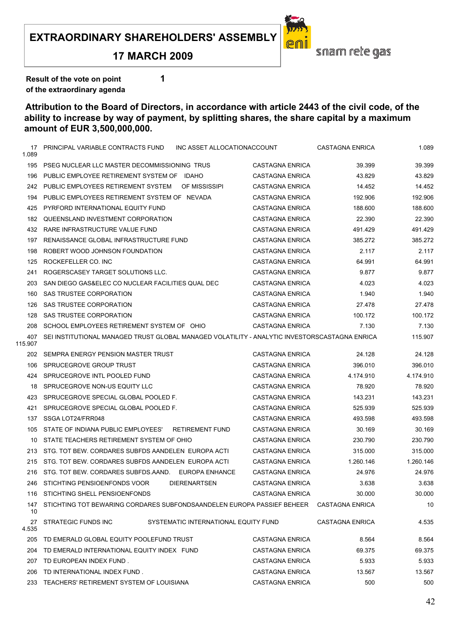**17 MARCH 2009**



snam rete gas

**Result of the vote on point 1 of the extraordinary agenda**

| 17<br>1.089    | PRINCIPAL VARIABLE CONTRACTS FUND<br>INC ASSET ALLOCATIONACCOUNT                              |                        | <b>CASTAGNA ENRICA</b> | 1.089     |
|----------------|-----------------------------------------------------------------------------------------------|------------------------|------------------------|-----------|
| 195            | PSEG NUCLEAR LLC MASTER DECOMMISSIONING TRUS                                                  | <b>CASTAGNA ENRICA</b> | 39.399                 | 39.399    |
| 196            | PUBLIC EMPLOYEE RETIREMENT SYSTEM OF IDAHO                                                    | CASTAGNA ENRICA        | 43.829                 | 43.829    |
|                | 242 PUBLIC EMPLOYEES RETIREMENT SYSTEM<br>OF MISSISSIPI                                       | <b>CASTAGNA ENRICA</b> | 14.452                 | 14.452    |
| 194            | PUBLIC EMPLOYEES RETIREMENT SYSTEM OF NEVADA                                                  | <b>CASTAGNA ENRICA</b> | 192.906                | 192.906   |
| 425            | PYRFORD INTERNATIONAL EQUITY FUND                                                             | <b>CASTAGNA ENRICA</b> | 188.600                | 188.600   |
| 182            | QUEENSLAND INVESTMENT CORPORATION                                                             | <b>CASTAGNA ENRICA</b> | 22.390                 | 22.390    |
| 432            | RARE INFRASTRUCTURE VALUE FUND                                                                | CASTAGNA ENRICA        | 491.429                | 491.429   |
| 197            | RENAISSANCE GLOBAL INFRASTRUCTURE FUND                                                        | <b>CASTAGNA ENRICA</b> | 385.272                | 385.272   |
| 198            | ROBERT WOOD JOHNSON FOUNDATION                                                                | <b>CASTAGNA ENRICA</b> | 2.117                  | 2.117     |
| 125            | ROCKEFELLER CO. INC                                                                           | <b>CASTAGNA ENRICA</b> | 64.991                 | 64.991    |
| 241            | ROGERSCASEY TARGET SOLUTIONS LLC.                                                             | <b>CASTAGNA ENRICA</b> | 9.877                  | 9.877     |
| 203            | SAN DIEGO GAS&ELEC CO NUCLEAR FACILITIES QUAL DEC                                             | CASTAGNA ENRICA        | 4.023                  | 4.023     |
| 160            | SAS TRUSTEE CORPORATION                                                                       | <b>CASTAGNA ENRICA</b> | 1.940                  | 1.940     |
| 126            | SAS TRUSTEE CORPORATION                                                                       | <b>CASTAGNA ENRICA</b> | 27.478                 | 27.478    |
| 128            | <b>SAS TRUSTEE CORPORATION</b>                                                                | <b>CASTAGNA ENRICA</b> | 100.172                | 100.172   |
| 208            | SCHOOL EMPLOYEES RETIREMENT SYSTEM OF OHIO                                                    | <b>CASTAGNA ENRICA</b> | 7.130                  | 7.130     |
| 407<br>115.907 | SEI INSTITUTIONAL MANAGED TRUST GLOBAL MANAGED VOLATILITY - ANALYTIC INVESTORSCASTAGNA ENRICA |                        |                        | 115.907   |
|                | 202 SEMPRA ENERGY PENSION MASTER TRUST                                                        | CASTAGNA ENRICA        | 24.128                 | 24.128    |
| 106            | SPRUCEGROVE GROUP TRUST                                                                       | CASTAGNA ENRICA        | 396.010                | 396.010   |
| 424            | SPRUCEGROVE INTL POOLED FUND                                                                  | <b>CASTAGNA ENRICA</b> | 4.174.910              | 4.174.910 |
| 18             | SPRUCEGROVE NON-US EQUITY LLC                                                                 | CASTAGNA ENRICA        | 78.920                 | 78.920    |
| 423            | SPRUCEGROVE SPECIAL GLOBAL POOLED F.                                                          | <b>CASTAGNA ENRICA</b> | 143.231                | 143.231   |
| 421            | SPRUCEGROVE SPECIAL GLOBAL POOLED F.                                                          | <b>CASTAGNA ENRICA</b> | 525.939                | 525.939   |
| 137            | SSGA LOT24/FRR048                                                                             | CASTAGNA ENRICA        | 493.598                | 493.598   |
| 105            | STATE OF INDIANA PUBLIC EMPLOYEES'<br><b>RETIREMENT FUND</b>                                  | CASTAGNA ENRICA        | 30.169                 | 30.169    |
| 10             | STATE TEACHERS RETIREMENT SYSTEM OF OHIO                                                      | CASTAGNA ENRICA        | 230.790                | 230.790   |
| 213            | STG. TOT BEW. CORDARES SUBFDS AANDELEN EUROPA ACTI                                            | <b>CASTAGNA ENRICA</b> | 315.000                | 315.000   |
| 215            | STG. TOT BEW. CORDARES SUBFDS AANDELEN EUROPA ACTI                                            | <b>CASTAGNA ENRICA</b> | 1.260.146              | 1.260.146 |
|                | 216 STG. TOT BEW. CORDARES SUBFDS.AAND. EUROPA ENHANCE                                        | CASTAGNA ENRICA        | 24.976                 | 24.976    |
| 246            | STICHTING PENSIOENFONDS VOOR<br><b>DIERENARTSEN</b>                                           | <b>CASTAGNA ENRICA</b> | 3.638                  | 3.638     |
| 116            | STICHTING SHELL PENSIOENFONDS                                                                 | <b>CASTAGNA ENRICA</b> | 30.000                 | 30.000    |
| 147<br>10      | STICHTING TOT BEWARING CORDARES SUBFONDSAANDELEN EUROPA PASSIEF BEHEER                        |                        | <b>CASTAGNA ENRICA</b> | 10        |
| 27<br>4.535    | STRATEGIC FUNDS INC<br>SYSTEMATIC INTERNATIONAL EQUITY FUND                                   |                        | <b>CASTAGNA ENRICA</b> | 4.535     |
| 205            | TD EMERALD GLOBAL EQUITY POOLEFUND TRUST                                                      | CASTAGNA ENRICA        | 8.564                  | 8.564     |
| 204            | TD EMERALD INTERNATIONAL EQUITY INDEX FUND                                                    | CASTAGNA ENRICA        | 69.375                 | 69.375    |
| 207            | TD EUROPEAN INDEX FUND.                                                                       | CASTAGNA ENRICA        | 5.933                  | 5.933     |
| 206            | TD INTERNATIONAL INDEX FUND.                                                                  | CASTAGNA ENRICA        | 13.567                 | 13.567    |
| 233            | TEACHERS' RETIREMENT SYSTEM OF LOUISIANA                                                      | <b>CASTAGNA ENRICA</b> | 500                    | 500       |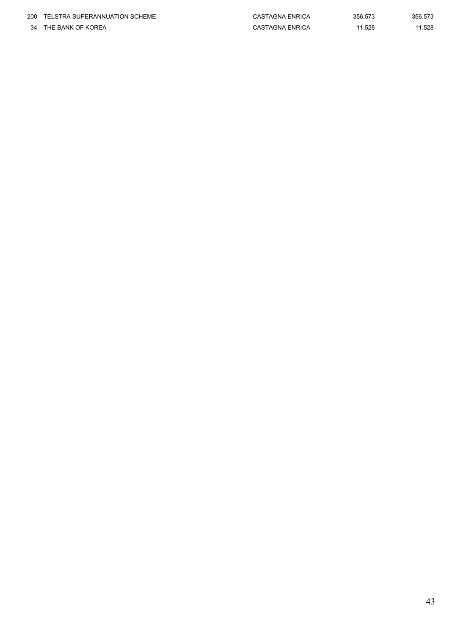| 200 TELSTRA SUPERANNUATION SCHEME | <b>CASTAGNA ENRICA</b> | 356.573 | 356.573 |
|-----------------------------------|------------------------|---------|---------|
| 34 THE BANK OF KOREA              | CASTAGNA ENRICA        | 11.528  | 11.528  |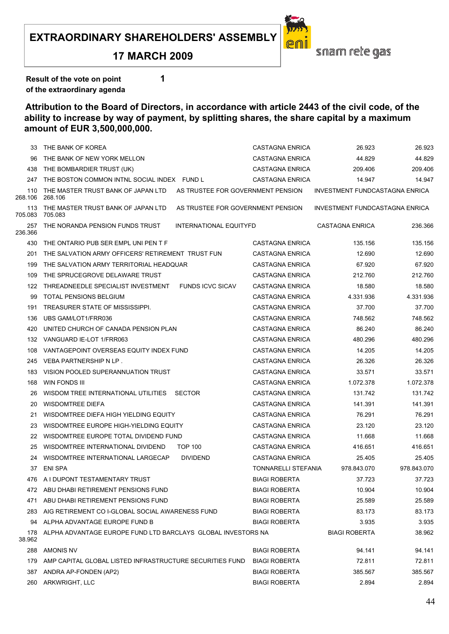**17 MARCH 2009**



**Result of the vote on point 1 of the extraordinary agenda**

| 33             | THE BANK OF KOREA                                                                  | CASTAGNA ENRICA        | 26.923                         | 26.923      |
|----------------|------------------------------------------------------------------------------------|------------------------|--------------------------------|-------------|
| 96             | THE BANK OF NEW YORK MELLON                                                        | <b>CASTAGNA ENRICA</b> | 44.829                         | 44.829      |
| 438            | THE BOMBARDIER TRUST (UK)                                                          | CASTAGNA ENRICA        | 209.406                        | 209.406     |
| 247            | THE BOSTON COMMON INTNL SOCIAL INDEX FUND L                                        | <b>CASTAGNA ENRICA</b> | 14.947                         | 14.947      |
| 110<br>268.106 | THE MASTER TRUST BANK OF JAPAN LTD<br>AS TRUSTEE FOR GOVERNMENT PENSION<br>268.106 |                        | INVESTMENT FUNDCASTAGNA ENRICA |             |
| 113<br>705.083 | THE MASTER TRUST BANK OF JAPAN LTD<br>AS TRUSTEE FOR GOVERNMENT PENSION<br>705.083 |                        | INVESTMENT FUNDCASTAGNA ENRICA |             |
| 257<br>236.366 | THE NORANDA PENSION FUNDS TRUST<br><b>INTERNATIONAL EQUITYFD</b>                   |                        | <b>CASTAGNA ENRICA</b>         | 236.366     |
| 430            | THE ONTARIO PUB SER EMPL UNI PEN T F                                               | <b>CASTAGNA ENRICA</b> | 135.156                        | 135.156     |
| 201            | THE SALVATION ARMY OFFICERS' RETIREMENT TRUST FUN                                  | CASTAGNA ENRICA        | 12.690                         | 12.690      |
| 199            | THE SALVATION ARMY TERRITORIAL HEADQUAR                                            | CASTAGNA ENRICA        | 67.920                         | 67.920      |
| 109            | THE SPRUCEGROVE DELAWARE TRUST                                                     | CASTAGNA ENRICA        | 212.760                        | 212.760     |
| 122            | <b>FUNDS ICVC SICAV</b><br>THREADNEEDLE SPECIALIST INVESTMENT                      | CASTAGNA ENRICA        | 18.580                         | 18.580      |
| 99             | TOTAL PENSIONS BELGIUM                                                             | CASTAGNA ENRICA        | 4.331.936                      | 4.331.936   |
| 191            | TREASURER STATE OF MISSISSIPPI.                                                    | <b>CASTAGNA ENRICA</b> | 37.700                         | 37.700      |
| 136            | UBS GAM/LOT1/FRR036                                                                | CASTAGNA ENRICA        | 748.562                        | 748.562     |
| 420            | UNITED CHURCH OF CANADA PENSION PLAN                                               | CASTAGNA ENRICA        | 86.240                         | 86.240      |
| 132            | VANGUARD IE-LOT 1/FRR063                                                           | <b>CASTAGNA ENRICA</b> | 480.296                        | 480.296     |
| 108            | VANTAGEPOINT OVERSEAS EQUITY INDEX FUND                                            | CASTAGNA ENRICA        | 14.205                         | 14.205      |
| 245            | VEBA PARTNERSHIP N LP.                                                             | CASTAGNA ENRICA        | 26.326                         | 26.326      |
| 183            | VISION POOLED SUPERANNUATION TRUST                                                 | CASTAGNA ENRICA        | 33.571                         | 33.571      |
| 168            | WIN FONDS III                                                                      | CASTAGNA ENRICA        | 1.072.378                      | 1.072.378   |
| 26             | WISDOM TREE INTERNATIONAL UTILITIES<br>SECTOR                                      | <b>CASTAGNA ENRICA</b> | 131.742                        | 131.742     |
| 20             | <b>WISDOMTREE DIEFA</b>                                                            | CASTAGNA ENRICA        | 141.391                        | 141.391     |
| 21             | WISDOMTREE DIEFA HIGH YIELDING EQUITY                                              | <b>CASTAGNA ENRICA</b> | 76.291                         | 76.291      |
| 23             | WISDOMTREE EUROPE HIGH-YIELDING EQUITY                                             | CASTAGNA ENRICA        | 23.120                         | 23.120      |
| 22             | WISDOMTREE EUROPE TOTAL DIVIDEND FUND                                              | CASTAGNA ENRICA        | 11.668                         | 11.668      |
| 25             | WISDOMTREE INTERNATIONAL DIVIDEND<br><b>TOP 100</b>                                | CASTAGNA ENRICA        | 416.651                        | 416.651     |
| 24             | WISDOMTREE INTERNATIONAL LARGECAP<br><b>DIVIDEND</b>                               | CASTAGNA ENRICA        | 25.405                         | 25.405      |
|                | 37 ENISPA                                                                          | TONNARELLI STEFANIA    | 978.843.070                    | 978.843.070 |
|                | 476 A I DUPONT TESTAMENTARY TRUST                                                  | <b>BIAGI ROBERTA</b>   | 37.723                         | 37.723      |
|                | 472 ABU DHABI RETIREMENT PENSIONS FUND                                             | <b>BIAGI ROBERTA</b>   | 10.904                         | 10.904      |
| 471            | ABU DHABI RETIREMENT PENSIONS FUND                                                 | <b>BIAGI ROBERTA</b>   | 25.589                         | 25.589      |
| 283            | AIG RETIREMENT CO I-GLOBAL SOCIAL AWARENESS FUND                                   | <b>BIAGI ROBERTA</b>   | 83.173                         | 83.173      |
| 94             | ALPHA ADVANTAGE EUROPE FUND B                                                      | <b>BIAGI ROBERTA</b>   | 3.935                          | 3.935       |
| 178<br>38.962  | ALPHA ADVANTAGE EUROPE FUND LTD BARCLAYS GLOBAL INVESTORS NA                       |                        | <b>BIAGI ROBERTA</b>           | 38.962      |
| 288            | <b>AMONIS NV</b>                                                                   | <b>BIAGI ROBERTA</b>   | 94.141                         | 94.141      |
| 179            | AMP CAPITAL GLOBAL LISTED INFRASTRUCTURE SECURITIES FUND                           | <b>BIAGI ROBERTA</b>   | 72.811                         | 72.811      |
| 387            | ANDRA AP-FONDEN (AP2)                                                              | <b>BIAGI ROBERTA</b>   | 385.567                        | 385.567     |
| 260            | ARKWRIGHT, LLC                                                                     | <b>BIAGI ROBERTA</b>   | 2.894                          | 2.894       |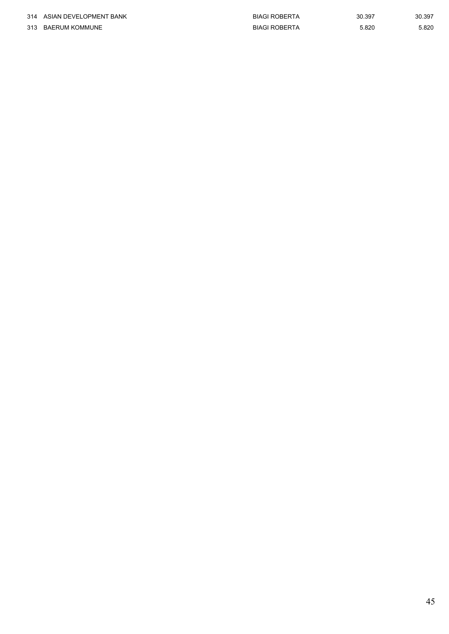| 314 ASIAN DEVELOPMENT BANK | BIAGI ROBERTA | 30.397 | 30.397 |
|----------------------------|---------------|--------|--------|
| 313 BAERUM KOMMUNE         | BIAGI ROBERTA | 5.820  | 5.820  |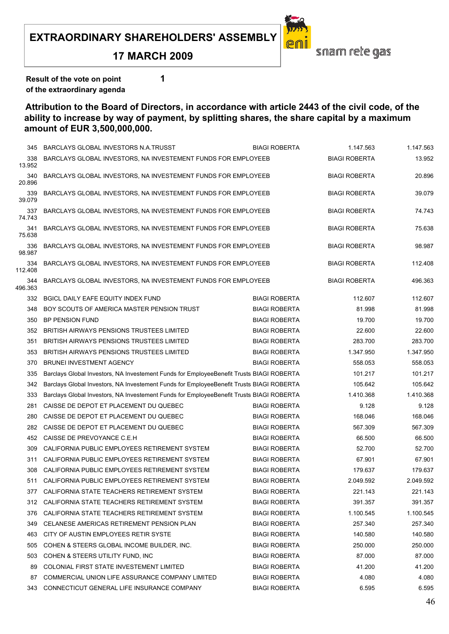**17 MARCH 2009**



**Result of the vote on point 1 of the extraordinary agenda**

| 345            | BARCLAYS GLOBAL INVESTORS N.A. TRUSST                                                    | <b>BIAGI ROBERTA</b> | 1.147.563            | 1.147.563 |
|----------------|------------------------------------------------------------------------------------------|----------------------|----------------------|-----------|
| 338<br>13.952  | BARCLAYS GLOBAL INVESTORS, NA INVESTEMENT FUNDS FOR EMPLOYEEB                            |                      | <b>BIAGI ROBERTA</b> | 13.952    |
| 340<br>20.896  | BARCLAYS GLOBAL INVESTORS, NA INVESTEMENT FUNDS FOR EMPLOYEEB                            |                      | <b>BIAGI ROBERTA</b> | 20.896    |
| 339<br>39.079  | BARCLAYS GLOBAL INVESTORS, NA INVESTEMENT FUNDS FOR EMPLOYEEB                            |                      | <b>BIAGI ROBERTA</b> | 39.079    |
| 337<br>74.743  | BARCLAYS GLOBAL INVESTORS, NA INVESTEMENT FUNDS FOR EMPLOYEEB                            |                      | <b>BIAGI ROBERTA</b> | 74.743    |
| 341<br>75.638  | BARCLAYS GLOBAL INVESTORS, NA INVESTEMENT FUNDS FOR EMPLOYEEB                            |                      | <b>BIAGI ROBERTA</b> | 75.638    |
| 336<br>98.987  | BARCLAYS GLOBAL INVESTORS, NA INVESTEMENT FUNDS FOR EMPLOYEEB                            |                      | <b>BIAGI ROBERTA</b> | 98.987    |
| 334<br>112.408 | BARCLAYS GLOBAL INVESTORS, NA INVESTEMENT FUNDS FOR EMPLOYEEB                            |                      | <b>BIAGI ROBERTA</b> | 112.408   |
| 344<br>496.363 | BARCLAYS GLOBAL INVESTORS, NA INVESTEMENT FUNDS FOR EMPLOYEEB                            |                      | <b>BIAGI ROBERTA</b> | 496.363   |
| 332            | <b>BGICL DAILY EAFE EQUITY INDEX FUND</b>                                                | <b>BIAGI ROBERTA</b> | 112.607              | 112.607   |
| 348            | BOY SCOUTS OF AMERICA MASTER PENSION TRUST                                               | <b>BIAGI ROBERTA</b> | 81.998               | 81.998    |
| 350            | <b>BP PENSION FUND</b>                                                                   | <b>BIAGI ROBERTA</b> | 19.700               | 19.700    |
| 352            | <b>BRITISH AIRWAYS PENSIONS TRUSTEES LIMITED</b>                                         | <b>BIAGI ROBERTA</b> | 22.600               | 22.600    |
| 351            | <b>BRITISH AIRWAYS PENSIONS TRUSTEES LIMITED</b>                                         | <b>BIAGI ROBERTA</b> | 283.700              | 283.700   |
| 353            | <b>BRITISH AIRWAYS PENSIONS TRUSTEES LIMITED</b>                                         | <b>BIAGI ROBERTA</b> | 1.347.950            | 1.347.950 |
| 370            | <b>BRUNEI INVESTMENT AGENCY</b>                                                          | <b>BIAGI ROBERTA</b> | 558.053              | 558.053   |
| 335            | Barclays Global Investors, NA Investement Funds for EmployeeBenefit Trusts BIAGI ROBERTA |                      | 101.217              | 101.217   |
| 342            | Barclays Global Investors, NA Investement Funds for EmployeeBenefit Trusts BIAGI ROBERTA |                      | 105.642              | 105.642   |
| 333            | Barclays Global Investors, NA Investement Funds for EmployeeBenefit Trusts BIAGI ROBERTA |                      | 1.410.368            | 1.410.368 |
| 281            | CAISSE DE DEPOT ET PLACEMENT DU QUEBEC                                                   | <b>BIAGI ROBERTA</b> | 9.128                | 9.128     |
| 280            | CAISSE DE DEPOT ET PLACEMENT DU QUEBEC                                                   | <b>BIAGI ROBERTA</b> | 168.046              | 168.046   |
| 282            | CAISSE DE DEPOT ET PLACEMENT DU QUEBEC                                                   | <b>BIAGI ROBERTA</b> | 567.309              | 567.309   |
| 452            | CAISSE DE PREVOYANCE C.E.H                                                               | <b>BIAGI ROBERTA</b> | 66.500               | 66.500    |
| 309            | CALIFORNIA PUBLIC EMPLOYEES RETIREMENT SYSTEM                                            | <b>BIAGI ROBERTA</b> | 52.700               | 52.700    |
| 311            | CALIFORNIA PUBLIC EMPLOYEES RETIREMENT SYSTEM                                            | <b>BIAGI ROBERTA</b> | 67.901               | 67.901    |
| 308            | CALIFORNIA PUBLIC EMPLOYEES RETIREMENT SYSTEM                                            | <b>BIAGI ROBERTA</b> | 179.637              | 179.637   |
| 511            | CALIFORNIA PUBLIC EMPLOYEES RETIREMENT SYSTEM                                            | <b>BIAGI ROBERTA</b> | 2.049.592            | 2.049.592 |
| 377            | CALIFORNIA STATE TEACHERS RETIREMENT SYSTEM                                              | <b>BIAGI ROBERTA</b> | 221.143              | 221.143   |
| 312            | CALIFORNIA STATE TEACHERS RETIREMENT SYSTEM                                              | <b>BIAGI ROBERTA</b> | 391.357              | 391.357   |
| 376            | CALIFORNIA STATE TEACHERS RETIREMENT SYSTEM                                              | <b>BIAGI ROBERTA</b> | 1.100.545            | 1.100.545 |
| 349            | CELANESE AMERICAS RETIREMENT PENSION PLAN                                                | <b>BIAGI ROBERTA</b> | 257.340              | 257.340   |
| 463            | CITY OF AUSTIN EMPLOYEES RETIR SYSTE                                                     | <b>BIAGI ROBERTA</b> | 140.580              | 140.580   |
| 505            | COHEN & STEERS GLOBAL INCOME BUILDER, INC.                                               | <b>BIAGI ROBERTA</b> | 250.000              | 250,000   |
| 503            | COHEN & STEERS UTILITY FUND, INC                                                         | <b>BIAGI ROBERTA</b> | 87.000               | 87.000    |
| 89             | <b>COLONIAL FIRST STATE INVESTEMENT LIMITED</b>                                          | <b>BIAGI ROBERTA</b> | 41.200               | 41.200    |
| 87             | COMMERCIAL UNION LIFE ASSURANCE COMPANY LIMITED                                          | <b>BIAGI ROBERTA</b> | 4.080                | 4.080     |
| 343            | CONNECTICUT GENERAL LIFE INSURANCE COMPANY                                               | <b>BIAGI ROBERTA</b> | 6.595                | 6.595     |
|                |                                                                                          |                      |                      |           |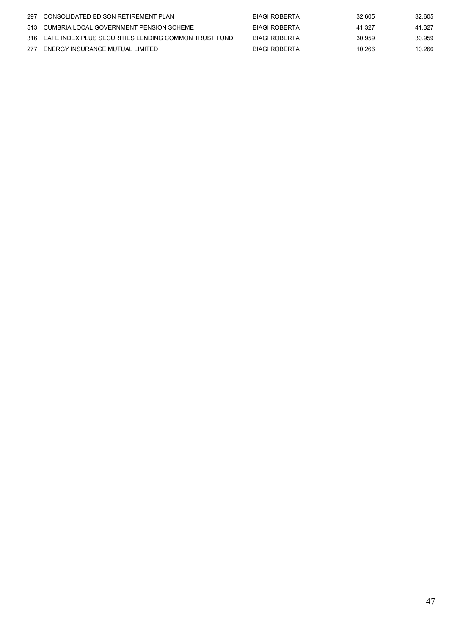| 297 | CONSOLIDATED EDISON RETIREMENT PLAN                      | <b>BIAGI ROBERTA</b> | 32.605 | 32.605 |
|-----|----------------------------------------------------------|----------------------|--------|--------|
|     | 513 CUMBRIA LOCAL GOVERNMENT PENSION SCHEME              | BIAGI ROBERTA        | 41 327 | 41 327 |
|     | 316 FAFE INDEX PLUS SECURITIES LENDING COMMON TRUST FUND | BIAGI ROBERTA        | 30.959 | 30.959 |
|     | 277 ENERGY INSURANCE MUTUAL LIMITED                      | BIAGI ROBERTA        | 10.266 | 10.266 |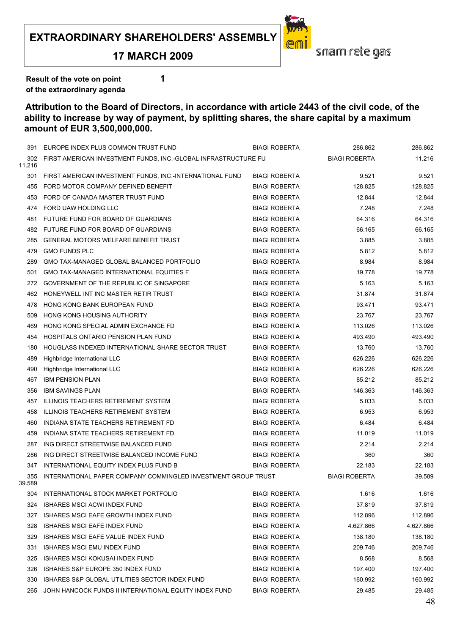**17 MARCH 2009**



**Result of the vote on point 1 of the extraordinary agenda**

| 391           | EUROPE INDEX PLUS COMMON TRUST FUND                               | <b>BIAGI ROBERTA</b> | 286.862              | 286.862   |
|---------------|-------------------------------------------------------------------|----------------------|----------------------|-----------|
| 302<br>11.216 | FIRST AMERICAN INVESTMENT FUNDS, INC.-GLOBAL INFRASTRUCTURE FU    |                      | <b>BIAGI ROBERTA</b> | 11.216    |
| 301           | FIRST AMERICAN INVESTMENT FUNDS, INC.-INTERNATIONAL FUND          | <b>BIAGI ROBERTA</b> | 9.521                | 9.521     |
| 455           | FORD MOTOR COMPANY DEFINED BENEFIT                                | <b>BIAGI ROBERTA</b> | 128.825              | 128.825   |
| 453           | FORD OF CANADA MASTER TRUST FUND                                  | <b>BIAGI ROBERTA</b> | 12.844               | 12.844    |
| 474           | FORD UAW HOLDING LLC                                              | <b>BIAGI ROBERTA</b> | 7.248                | 7.248     |
| 481           | FUTURE FUND FOR BOARD OF GUARDIANS                                | <b>BIAGI ROBERTA</b> | 64.316               | 64.316    |
| 482           | FUTURE FUND FOR BOARD OF GUARDIANS                                | <b>BIAGI ROBERTA</b> | 66.165               | 66.165    |
| 285           | <b>GENERAL MOTORS WELFARE BENEFIT TRUST</b>                       | <b>BIAGI ROBERTA</b> | 3.885                | 3.885     |
| 479           | <b>GMO FUNDS PLC</b>                                              | <b>BIAGI ROBERTA</b> | 5.812                | 5.812     |
| 289           | GMO TAX-MANAGED GLOBAL BALANCED PORTFOLIO                         | <b>BIAGI ROBERTA</b> | 8.984                | 8.984     |
| 501           | <b>GMO TAX-MANAGED INTERNATIONAL EQUITIES F</b>                   | <b>BIAGI ROBERTA</b> | 19.778               | 19.778    |
| 272           | GOVERNMENT OF THE REPUBLIC OF SINGAPORE                           | <b>BIAGI ROBERTA</b> | 5.163                | 5.163     |
| 462           | HONEYWELL INT INC MASTER RETIR TRUST                              | <b>BIAGI ROBERTA</b> | 31.874               | 31.874    |
| 478           | HONG KONG BANK EUROPEAN FUND                                      | <b>BIAGI ROBERTA</b> | 93.471               | 93.471    |
| 509           | <b>HONG KONG HOUSING AUTHORITY</b>                                | <b>BIAGI ROBERTA</b> | 23.767               | 23.767    |
| 469           | HONG KONG SPECIAL ADMIN EXCHANGE FD                               | <b>BIAGI ROBERTA</b> | 113.026              | 113.026   |
| 454           | HOSPITALS ONTARIO PENSION PLAN FUND                               | <b>BIAGI ROBERTA</b> | 493.490              | 493.490   |
| 180           | HOUGLASS INDEXED INTERNATIONAL SHARE SECTOR TRUST                 | <b>BIAGI ROBERTA</b> | 13.760               | 13.760    |
| 489           | Highbridge International LLC                                      | <b>BIAGI ROBERTA</b> | 626.226              | 626.226   |
| 490           | Highbridge International LLC                                      | <b>BIAGI ROBERTA</b> | 626.226              | 626.226   |
| 467           | <b>IBM PENSION PLAN</b>                                           | <b>BIAGI ROBERTA</b> | 85.212               | 85.212    |
| 356           | <b>IBM SAVINGS PLAN</b>                                           | <b>BIAGI ROBERTA</b> | 146.363              | 146.363   |
| 457           | ILLINOIS TEACHERS RETIREMENT SYSTEM                               | <b>BIAGI ROBERTA</b> | 5.033                | 5.033     |
| 458           | <b>ILLINOIS TEACHERS RETIREMENT SYSTEM</b>                        | <b>BIAGI ROBERTA</b> | 6.953                | 6.953     |
| 460           | INDIANA STATE TEACHERS RETIREMENT FD                              | <b>BIAGI ROBERTA</b> | 6.484                | 6.484     |
| 459           | INDIANA STATE TEACHERS RETIREMENT FD                              | <b>BIAGI ROBERTA</b> | 11.019               | 11.019    |
| 287           | ING DIRECT STREETWISE BALANCED FUND                               | <b>BIAGI ROBERTA</b> | 2.214                | 2.214     |
| 286           | ING DIRECT STREETWISE BALANCED INCOME FUND                        | <b>BIAGI ROBERTA</b> | 360                  | 360       |
| 347           | INTERNATIONAL EQUITY INDEX PLUS FUND B                            | <b>BIAGI ROBERTA</b> | 22.183               | 22.183    |
| 39.589        | 355 INTERNATIONAL PAPER COMPANY COMMINGLED INVESTMENT GROUP TRUST |                      | <b>BIAGI ROBERTA</b> | 39.589    |
| 304           | INTERNATIONAL STOCK MARKET PORTFOLIO                              | <b>BIAGI ROBERTA</b> | 1.616                | 1.616     |
| 324           | ISHARES MSCI ACWI INDEX FUND                                      | <b>BIAGI ROBERTA</b> | 37.819               | 37.819    |
| 327           | ISHARES MSCI EAFE GROWTH INDEX FUND                               | <b>BIAGI ROBERTA</b> | 112.896              | 112.896   |
| 328           | ISHARES MSCI EAFE INDEX FUND                                      | <b>BIAGI ROBERTA</b> | 4.627.866            | 4.627.866 |
| 329           | ISHARES MSCI EAFE VALUE INDEX FUND                                | <b>BIAGI ROBERTA</b> | 138.180              | 138.180   |
| 331           | ISHARES MSCI EMU INDEX FUND                                       | <b>BIAGI ROBERTA</b> | 209.746              | 209.746   |
| 325           | ISHARES MSCI KOKUSAI INDEX FUND                                   | <b>BIAGI ROBERTA</b> | 8.568                | 8.568     |
| 326           | ISHARES S&P EUROPE 350 INDEX FUND                                 | <b>BIAGI ROBERTA</b> | 197.400              | 197.400   |
| 330           | ISHARES S&P GLOBAL UTILITIES SECTOR INDEX FUND                    | <b>BIAGI ROBERTA</b> | 160.992              | 160.992   |
| 265           | JOHN HANCOCK FUNDS II INTERNATIONAL EQUITY INDEX FUND             | <b>BIAGI ROBERTA</b> | 29.485               | 29.485    |
|               |                                                                   |                      |                      | 48        |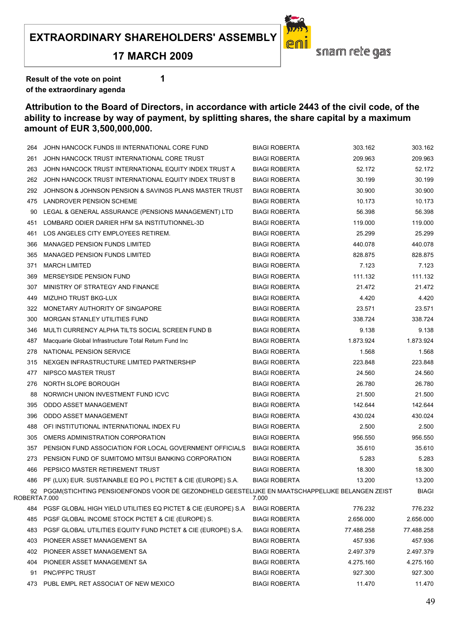**17 MARCH 2009**



**Result of the vote on point 1 of the extraordinary agenda**

|               | 264 JOHN HANCOCK FUNDS III INTERNATIONAL CORE FUND                                                | <b>BIAGI ROBERTA</b> | 303.162    | 303.162    |
|---------------|---------------------------------------------------------------------------------------------------|----------------------|------------|------------|
| 261           | JOHN HANCOCK TRUST INTERNATIONAL CORE TRUST                                                       | <b>BIAGI ROBERTA</b> | 209.963    | 209.963    |
| 263           | JOHN HANCOCK TRUST INTERNATIONAL EQUITY INDEX TRUST A                                             | <b>BIAGI ROBERTA</b> | 52.172     | 52.172     |
| 262           | JOHN HANCOCK TRUST INTERNATIONAL EQUITY INDEX TRUST B                                             | <b>BIAGI ROBERTA</b> | 30.199     | 30.199     |
| 292           | JOHNSON & JOHNSON PENSION & SAVINGS PLANS MASTER TRUST                                            | <b>BIAGI ROBERTA</b> | 30.900     | 30.900     |
| 475           | LANDROVER PENSION SCHEME                                                                          | <b>BIAGI ROBERTA</b> | 10.173     | 10.173     |
| 90            | LEGAL & GENERAL ASSURANCE (PENSIONS MANAGEMENT) LTD                                               | <b>BIAGI ROBERTA</b> | 56.398     | 56.398     |
| 451           | LOMBARD ODIER DARIER HFM SA INSTITUTIONNEL-3D                                                     | <b>BIAGI ROBERTA</b> | 119.000    | 119.000    |
| 461           | LOS ANGELES CITY EMPLOYEES RETIREM.                                                               | <b>BIAGI ROBERTA</b> | 25.299     | 25.299     |
| 366           | <b>MANAGED PENSION FUNDS LIMITED</b>                                                              | <b>BIAGI ROBERTA</b> | 440.078    | 440.078    |
| 365           | MANAGED PENSION FUNDS LIMITED                                                                     | <b>BIAGI ROBERTA</b> | 828.875    | 828.875    |
| 371           | <b>MARCH LIMITED</b>                                                                              | <b>BIAGI ROBERTA</b> | 7.123      | 7.123      |
| 369           | MERSEYSIDE PENSION FUND                                                                           | <b>BIAGI ROBERTA</b> | 111.132    | 111.132    |
| 307           | MINISTRY OF STRATEGY AND FINANCE                                                                  | <b>BIAGI ROBERTA</b> | 21.472     | 21.472     |
| 449           | <b>MIZUHO TRUST BKG-LUX</b>                                                                       | <b>BIAGI ROBERTA</b> | 4.420      | 4.420      |
| 322           | MONETARY AUTHORITY OF SINGAPORE                                                                   | <b>BIAGI ROBERTA</b> | 23.571     | 23.571     |
| 300           | MORGAN STANLEY UTILITIES FUND                                                                     | <b>BIAGI ROBERTA</b> | 338.724    | 338.724    |
| 346           | MULTI CURRENCY ALPHA TILTS SOCIAL SCREEN FUND B                                                   | <b>BIAGI ROBERTA</b> | 9.138      | 9.138      |
| 487           | Macquarie Global Infrastructure Total Return Fund Inc                                             | <b>BIAGI ROBERTA</b> | 1.873.924  | 1.873.924  |
| 278           | NATIONAL PENSION SERVICE                                                                          | <b>BIAGI ROBERTA</b> | 1.568      | 1.568      |
| 315           | NEXGEN INFRASTRUCTURE LIMITED PARTNERSHIP                                                         | <b>BIAGI ROBERTA</b> | 223.848    | 223.848    |
| 477           | NIPSCO MASTER TRUST                                                                               | <b>BIAGI ROBERTA</b> | 24.560     | 24.560     |
| 276           | NORTH SLOPE BOROUGH                                                                               | <b>BIAGI ROBERTA</b> | 26.780     | 26.780     |
| 88            | NORWICH UNION INVESTMENT FUND ICVC                                                                | <b>BIAGI ROBERTA</b> | 21.500     | 21.500     |
| 395           | ODDO ASSET MANAGEMENT                                                                             | <b>BIAGI ROBERTA</b> | 142.644    | 142.644    |
| 396           | ODDO ASSET MANAGEMENT                                                                             | <b>BIAGI ROBERTA</b> | 430.024    | 430.024    |
| 488           | OFI INSTITUTIONAL INTERNATIONAL INDEX FU                                                          | <b>BIAGI ROBERTA</b> | 2.500      | 2.500      |
| 305           | OMERS ADMINISTRATION CORPORATION                                                                  | <b>BIAGI ROBERTA</b> | 956.550    | 956.550    |
| 357           | PENSION FUND ASSOCIATION FOR LOCAL GOVERNMENT OFFICIALS                                           | BIAGI ROBERTA        | 35.610     | 35.610     |
| 273           | PENSION FUND OF SUMITOMO MITSUI BANKING CORPORATION                                               | <b>BIAGI ROBERTA</b> | 5.283      | 5.283      |
| 466           | PEPSICO MASTER RETIREMENT TRUST                                                                   | <b>BIAGI ROBERTA</b> | 18.300     | 18.300     |
|               | PF (LUX) EUR. SUSTAINABLE EQ PO L PICTET & CIE (EUROPE) S.A.                                      | <b>BIAGI ROBERTA</b> | 13.200     | 13.200     |
| ROBERTA 7.000 | 92 PGGM(STICHTING PENSIOENFONDS VOOR DE GEZONDHELD GEESTELIJKE EN MAATSCHAPPELIJKE BELANGEN ZEIST | 7.000                |            | BIAGI      |
|               | 484 PGSF GLOBAL HIGH YIELD UTILITIES EQ PICTET & CIE (EUROPE) S.A.                                | <b>BIAGI ROBERTA</b> | 776.232    | 776.232    |
| 485           | PGSF GLOBAL INCOME STOCK PICTET & CIE (EUROPE) S.                                                 | <b>BIAGI ROBERTA</b> | 2.656.000  | 2.656.000  |
| 483           | PGSF GLOBAL UTILITIES EQUITY FUND PICTET & CIE (EUROPE) S.A.                                      | <b>BIAGI ROBERTA</b> | 77.488.258 | 77.488.258 |
| 403           | PIONEER ASSET MANAGEMENT SA                                                                       | <b>BIAGI ROBERTA</b> | 457.936    | 457.936    |
| 402           | PIONEER ASSET MANAGEMENT SA                                                                       | <b>BIAGI ROBERTA</b> | 2.497.379  | 2.497.379  |
| 404           | PIONEER ASSET MANAGEMENT SA                                                                       | <b>BIAGI ROBERTA</b> | 4.275.160  | 4.275.160  |
| 91            | PNC/PFPC TRUST                                                                                    | <b>BIAGI ROBERTA</b> | 927.300    | 927.300    |
|               | 473 PUBL EMPL RET ASSOCIAT OF NEW MEXICO                                                          | <b>BIAGI ROBERTA</b> | 11.470     | 11.470     |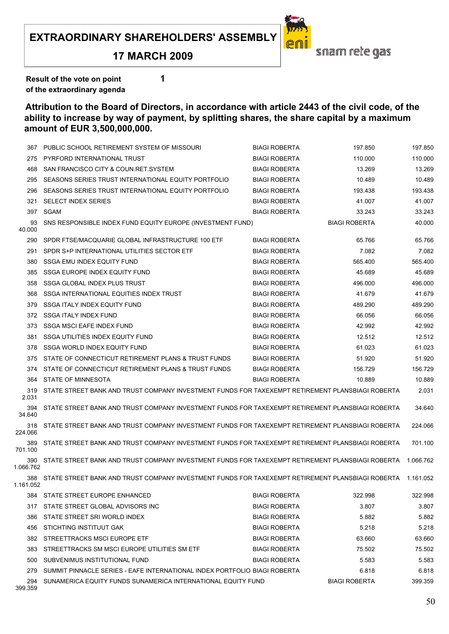**17 MARCH 2009**



**Result of the vote on point 1** 

**of the extraordinary agenda**

| 367              | PUBLIC SCHOOL RETIREMENT SYSTEM OF MISSOURI                                                                    | <b>BIAGI ROBERTA</b> | 197.850              | 197.850   |
|------------------|----------------------------------------------------------------------------------------------------------------|----------------------|----------------------|-----------|
| 275              | PYRFORD INTERNATIONAL TRUST                                                                                    | <b>BIAGI ROBERTA</b> | 110.000              | 110.000   |
| 468              | SAN FRANCISCO CITY & COUN RET SYSTEM                                                                           | <b>BIAGI ROBERTA</b> | 13.269               | 13.269    |
| 295              | SEASONS SERIES TRUST INTERNATIONAL EQUITY PORTFOLIO                                                            | <b>BIAGI ROBERTA</b> | 10.489               | 10.489    |
| 296              | SEASONS SERIES TRUST INTERNATIONAL EQUITY PORTFOLIO                                                            | <b>BIAGI ROBERTA</b> | 193.438              | 193.438   |
| 321              | <b>SELECT INDEX SERIES</b>                                                                                     | <b>BIAGI ROBERTA</b> | 41.007               | 41.007    |
| 397              | SGAM                                                                                                           | <b>BIAGI ROBERTA</b> | 33.243               | 33.243    |
| 93<br>40.000     | SNS RESPONSIBLE INDEX FUND EQUITY EUROPE (INVESTMENT FUND)                                                     |                      | <b>BIAGI ROBERTA</b> | 40.000    |
| 290              | SPDR FTSE/MACQUARIE GLOBAL INFRASTRUCTURE 100 ETF                                                              | <b>BIAGI ROBERTA</b> | 65.766               | 65.766    |
| 291              | SPDR S+P INTERNATIONAL UTILITIES SECTOR ETF                                                                    | <b>BIAGI ROBERTA</b> | 7.082                | 7.082     |
| 380              | SSGA EMU INDEX EQUITY FUND                                                                                     | <b>BIAGI ROBERTA</b> | 565.400              | 565.400   |
| 385              | SSGA EUROPE INDEX EQUITY FUND                                                                                  | <b>BIAGI ROBERTA</b> | 45.689               | 45.689    |
| 358              | SSGA GLOBAL INDEX PLUS TRUST                                                                                   | <b>BIAGI ROBERTA</b> | 496.000              | 496.000   |
| 368              | SSGA INTERNATIONAL EQUITIES INDEX TRUST                                                                        | <b>BIAGI ROBERTA</b> | 41.679               | 41.679    |
| 379              | SSGA ITALY INDEX EQUITY FUND                                                                                   | <b>BIAGI ROBERTA</b> | 489.290              | 489.290   |
| 372              | <b>SSGA ITALY INDEX FUND</b>                                                                                   | <b>BIAGI ROBERTA</b> | 66.056               | 66.056    |
| 373              | <b>SSGA MSCI EAFE INDEX FUND</b>                                                                               | <b>BIAGI ROBERTA</b> | 42.992               | 42.992    |
| 381              | SSGA UTILITIES INDEX EQUITY FUND                                                                               | <b>BIAGI ROBERTA</b> | 12.512               | 12.512    |
| 378              | <b>SSGA WORLD INDEX EQUITY FUND</b>                                                                            | <b>BIAGI ROBERTA</b> | 61.023               | 61.023    |
| 375              | STATE OF CONNECTICUT RETIREMENT PLANS & TRUST FUNDS                                                            | <b>BIAGI ROBERTA</b> | 51.920               | 51.920    |
| 374              | STATE OF CONNECTICUT RETIREMENT PLANS & TRUST FUNDS                                                            | <b>BIAGI ROBERTA</b> | 156.729              | 156.729   |
| 364              | <b>STATE OF MINNESOTA</b>                                                                                      | <b>BIAGI ROBERTA</b> | 10.889               | 10.889    |
| 319<br>2.031     | STATE STREET BANK AND TRUST COMPANY INVESTMENT FUNDS FOR TAXEXEMPT RETIREMENT PLANSBIAGI ROBERTA               |                      |                      | 2.031     |
| 394<br>34.640    | STATE STREET BANK AND TRUST COMPANY INVESTMENT FUNDS FOR TAXEXEMPT RETIREMENT PLANSBIAGI ROBERTA               |                      |                      | 34.640    |
| 224.066          | 318 STATE STREET BANK AND TRUST COMPANY INVESTMENT FUNDS FOR TAXEXEMPT RETIREMENT PLANSBIAGI ROBERTA           |                      |                      | 224.066   |
| 389<br>701.100   | STATE STREET BANK AND TRUST COMPANY INVESTMENT FUNDS FOR TAXEXEMPT RETIREMENT PLANSBIAGI ROBERTA               |                      |                      | 701.100   |
| 390<br>1.066.762 | STATE STREET BANK AND TRUST COMPANY INVESTMENT FUNDS FOR TAXEXEMPT RETIREMENT PLANSBIAGI ROBERTA               |                      |                      | 1.066.762 |
| 1.161.052        | 388 STATE STREET BANK AND TRUST COMPANY INVESTMENT FUNDS FOR TAXEXEMPT RETIREMENT PLANSBIAGI ROBERTA 1.161.052 |                      |                      |           |
|                  | 384 STATE STREET EUROPE ENHANCED                                                                               | <b>BIAGI ROBERTA</b> | 322.998              | 322.998   |
|                  | 317 STATE STREET GLOBAL ADVISORS INC                                                                           | <b>BIAGI ROBERTA</b> | 3.807                | 3.807     |
| 386              | STATE STREET SRI WORLD INDEX                                                                                   | <b>BIAGI ROBERTA</b> | 5.882                | 5.882     |
| 456              | STICHTING INSTITUUT GAK                                                                                        | <b>BIAGI ROBERTA</b> | 5.218                | 5.218     |
| 382              | STREETTRACKS MSCI EUROPE ETF                                                                                   | <b>BIAGI ROBERTA</b> | 63.660               | 63.660    |
| 383              | STREETTRACKS SM MSCI EUROPE UTILITIES SM ETF                                                                   | <b>BIAGI ROBERTA</b> | 75.502               | 75.502    |
| 500              | SUBVENIMUS INSTITUTIONAL FUND                                                                                  | <b>BIAGI ROBERTA</b> | 5.583                | 5.583     |
| 279              | SUMMIT PINNACLE SERIES - EAFE INTERNATIONAL INDEX PORTFOLIO BIAGI ROBERTA                                      |                      | 6.818                | 6.818     |
| 294<br>399.359   | SUNAMERICA EQUITY FUNDS SUNAMERICA INTERNATIONAL EQUITY FUND                                                   |                      | <b>BIAGI ROBERTA</b> | 399.359   |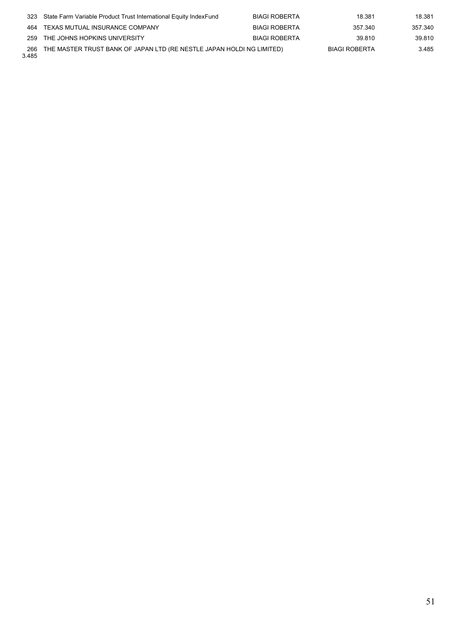|              | 323 State Farm Variable Product Trust International Equity IndexFund  | <b>BIAGI ROBERTA</b> | 18.381        | 18.381  |
|--------------|-----------------------------------------------------------------------|----------------------|---------------|---------|
| 464          | TEXAS MUTUAL INSURANCE COMPANY                                        | <b>BIAGI ROBERTA</b> | 357.340       | 357.340 |
| 259          | THE JOHNS HOPKINS UNIVERSITY                                          | <b>BIAGI ROBERTA</b> | 39.810        | 39.810  |
| 266<br>3.485 | THE MASTER TRUST BANK OF JAPAN LTD (RE NESTLE JAPAN HOLDI NG LIMITED) |                      | BIAGI ROBERTA | 3.485   |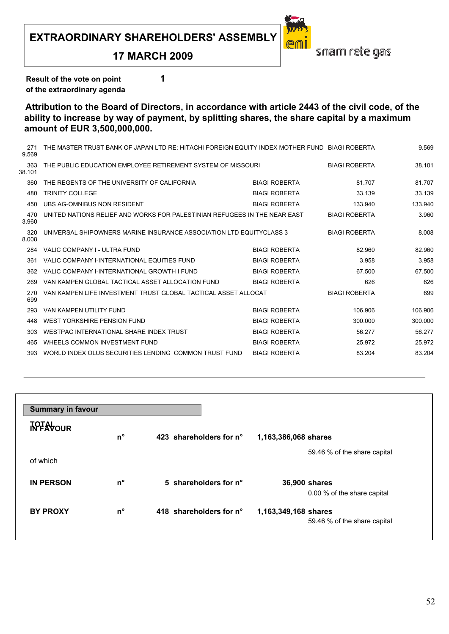**17 MARCH 2009**



**Result of the vote on point 1 of the extraordinary agenda**

| 271<br>9.569  | THE MASTER TRUST BANK OF JAPAN LTD RE: HITACHI FOREIGN EQUITY INDEX MOTHER FUND BIAGI ROBERTA |                      | 9.569                |         |
|---------------|-----------------------------------------------------------------------------------------------|----------------------|----------------------|---------|
| 363<br>38.101 | THE PUBLIC EDUCATION EMPLOYEE RETIREMENT SYSTEM OF MISSOURI                                   |                      | <b>BIAGI ROBERTA</b> | 38.101  |
| 360           | THE REGENTS OF THE UNIVERSITY OF CALIFORNIA                                                   | <b>BIAGI ROBERTA</b> | 81.707               | 81.707  |
| 480           | <b>TRINITY COLLEGE</b>                                                                        | <b>BIAGI ROBERTA</b> | 33.139               | 33.139  |
| 450           | UBS AG-OMNIBUS NON RESIDENT                                                                   | <b>BIAGI ROBERTA</b> | 133.940              | 133.940 |
| 470<br>3.960  | UNITED NATIONS RELIEF AND WORKS FOR PALESTINIAN REFUGEES IN THE NEAR EAST                     | <b>BIAGI ROBERTA</b> | 3.960                |         |
| 320<br>8.008  | UNIVERSAL SHIPOWNERS MARINE INSURANCE ASSOCIATION LTD EQUITYCLASS 3                           |                      | <b>BIAGI ROBERTA</b> | 8.008   |
| 284           | VALIC COMPANY I - ULTRA FUND                                                                  | <b>BIAGI ROBERTA</b> | 82.960               | 82.960  |
| 361           | VALIC COMPANY I-INTERNATIONAL EQUITIES FUND                                                   | <b>BIAGI ROBERTA</b> | 3.958                | 3.958   |
| 362           | VALIC COMPANY I-INTERNATIONAL GROWTH I FUND                                                   | <b>BIAGI ROBERTA</b> | 67.500               | 67.500  |
| 269           | VAN KAMPEN GLOBAL TACTICAL ASSET ALLOCATION FUND                                              | <b>BIAGI ROBERTA</b> | 626                  | 626     |
| 270<br>699    | VAN KAMPEN LIFE INVESTMENT TRUST GLOBAL TACTICAL ASSET ALLOCAT                                |                      | <b>BIAGI ROBERTA</b> | 699     |
| 293           | VAN KAMPEN UTILITY FUND                                                                       | <b>BIAGI ROBERTA</b> | 106.906              | 106.906 |
| 448           | WEST YORKSHIRE PENSION FUND                                                                   | <b>BIAGI ROBERTA</b> | 300.000              | 300.000 |
| 303           | WESTPAC INTERNATIONAL SHARE INDEX TRUST                                                       | <b>BIAGI ROBERTA</b> | 56.277               | 56.277  |
| 465           | WHEELS COMMON INVESTMENT FUND                                                                 | <b>BIAGI ROBERTA</b> | 25.972               | 25.972  |
| 393           | WORLD INDEX OLUS SECURITIES LENDING COMMON TRUST FUND                                         | <b>BIAGI ROBERTA</b> | 83.204               | 83.204  |

| <b>Summary in favour</b> |             |                         |                                                      |  |  |  |
|--------------------------|-------------|-------------------------|------------------------------------------------------|--|--|--|
| <b>MPLATOUR</b>          | $n^{\circ}$ | 423 shareholders for n° | 1,163,386,068 shares                                 |  |  |  |
| of which                 |             |                         | 59.46 % of the share capital                         |  |  |  |
| <b>IN PERSON</b>         | $n^{\circ}$ | 5 shareholders for n°   | 36,900 shares<br>0.00 % of the share capital         |  |  |  |
| <b>BY PROXY</b>          | $n^{\circ}$ | 418 shareholders for n° | 1,163,349,168 shares<br>59.46 % of the share capital |  |  |  |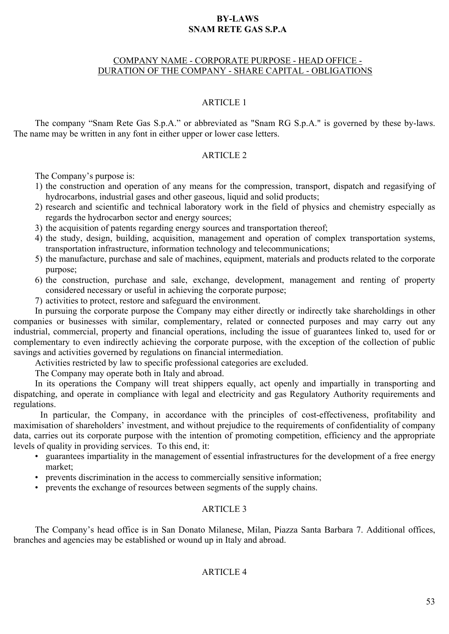#### **BY-LAWS SNAM RETE GAS S.P.A**

#### COMPANY NAME - CORPORATE PURPOSE - HEAD OFFICE - DURATION OF THE COMPANY - SHARE CAPITAL - OBLIGATIONS

#### ARTICLE 1

The company "Snam Rete Gas S.p.A." or abbreviated as "Snam RG S.p.A." is governed by these by-laws. The name may be written in any font in either upper or lower case letters.

#### ARTICLE 2

The Company's purpose is:

- 1) the construction and operation of any means for the compression, transport, dispatch and regasifying of hydrocarbons, industrial gases and other gaseous, liquid and solid products;
- 2) research and scientific and technical laboratory work in the field of physics and chemistry especially as regards the hydrocarbon sector and energy sources;
- 3) the acquisition of patents regarding energy sources and transportation thereof;
- 4) the study, design, building, acquisition, management and operation of complex transportation systems, transportation infrastructure, information technology and telecommunications;
- 5) the manufacture, purchase and sale of machines, equipment, materials and products related to the corporate purpose;
- 6) the construction, purchase and sale, exchange, development, management and renting of property considered necessary or useful in achieving the corporate purpose;
- 7) activities to protect, restore and safeguard the environment.

In pursuing the corporate purpose the Company may either directly or indirectly take shareholdings in other companies or businesses with similar, complementary, related or connected purposes and may carry out any industrial, commercial, property and financial operations, including the issue of guarantees linked to, used for or complementary to even indirectly achieving the corporate purpose, with the exception of the collection of public savings and activities governed by regulations on financial intermediation.

Activities restricted by law to specific professional categories are excluded.

The Company may operate both in Italy and abroad.

In its operations the Company will treat shippers equally, act openly and impartially in transporting and dispatching, and operate in compliance with legal and electricity and gas Regulatory Authority requirements and regulations.

In particular, the Company, in accordance with the principles of cost-effectiveness, profitability and maximisation of shareholders' investment, and without prejudice to the requirements of confidentiality of company data, carries out its corporate purpose with the intention of promoting competition, efficiency and the appropriate levels of quality in providing services. To this end, it:

- guarantees impartiality in the management of essential infrastructures for the development of a free energy market;
- prevents discrimination in the access to commercially sensitive information;
- prevents the exchange of resources between segments of the supply chains.

#### ARTICLE 3

The Company's head office is in San Donato Milanese, Milan, Piazza Santa Barbara 7. Additional offices, branches and agencies may be established or wound up in Italy and abroad.

#### ARTICLE 4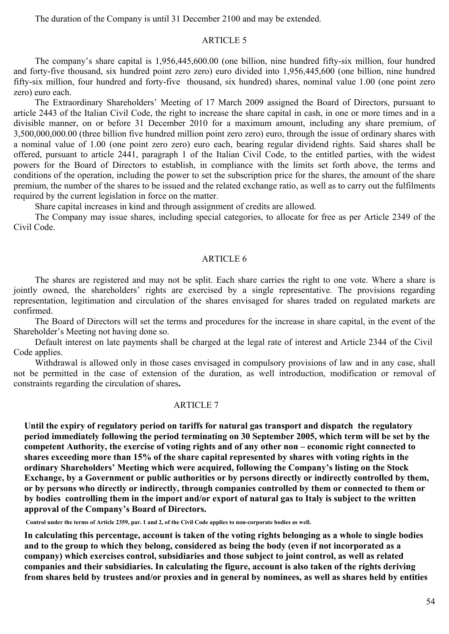The duration of the Company is until 31 December 2100 and may be extended.

#### ARTICLE 5

The company's share capital is 1,956,445,600.00 (one billion, nine hundred fifty-six million, four hundred and forty-five thousand, six hundred point zero zero) euro divided into 1,956,445,600 (one billion, nine hundred fifty-six million, four hundred and forty-five thousand, six hundred) shares, nominal value 1.00 (one point zero zero) euro each.

The Extraordinary Shareholders' Meeting of 17 March 2009 assigned the Board of Directors, pursuant to article 2443 of the Italian Civil Code, the right to increase the share capital in cash, in one or more times and in a divisible manner, on or before 31 December 2010 for a maximum amount, including any share premium, of 3,500,000,000.00 (three billion five hundred million point zero zero) euro, through the issue of ordinary shares with a nominal value of 1.00 (one point zero zero) euro each, bearing regular dividend rights. Said shares shall be offered, pursuant to article 2441, paragraph 1 of the Italian Civil Code, to the entitled parties, with the widest powers for the Board of Directors to establish, in compliance with the limits set forth above, the terms and conditions of the operation, including the power to set the subscription price for the shares, the amount of the share premium, the number of the shares to be issued and the related exchange ratio, as well as to carry out the fulfilments required by the current legislation in force on the matter.

Share capital increases in kind and through assignment of credits are allowed.

The Company may issue shares, including special categories, to allocate for free as per Article 2349 of the Civil Code.

#### ARTICLE 6

The shares are registered and may not be split. Each share carries the right to one vote. Where a share is jointly owned, the shareholders' rights are exercised by a single representative. The provisions regarding representation, legitimation and circulation of the shares envisaged for shares traded on regulated markets are confirmed.

The Board of Directors will set the terms and procedures for the increase in share capital, in the event of the Shareholder's Meeting not having done so.

Default interest on late payments shall be charged at the legal rate of interest and Article 2344 of the Civil Code applies.

Withdrawal is allowed only in those cases envisaged in compulsory provisions of law and in any case, shall not be permitted in the case of extension of the duration, as well introduction, modification or removal of constraints regarding the circulation of shares**.** 

#### ARTICLE 7

**Until the expiry of regulatory period on tariffs for natural gas transport and dispatch the regulatory period immediately following the period terminating on 30 September 2005, which term will be set by the competent Authority, the exercise of voting rights and of any other non – economic right connected to shares exceeding more than 15% of the share capital represented by shares with voting rights in the ordinary Shareholders' Meeting which were acquired, following the Company's listing on the Stock Exchange, by a Government or public authorities or by persons directly or indirectly controlled by them, or by persons who directly or indirectly, through companies controlled by them or connected to them or by bodies controlling them in the import and/or export of natural gas to Italy is subject to the written approval of the Company's Board of Directors.** 

 **Control under the terms of Article 2359, par. 1 and 2, of the Civil Code applies to non-corporate bodies as well.** 

**In calculating this percentage, account is taken of the voting rights belonging as a whole to single bodies and to the group to which they belong, considered as being the body (even if not incorporated as a company) which exercises control, subsidiaries and those subject to joint control, as well as related companies and their subsidiaries. In calculating the figure, account is also taken of the rights deriving from shares held by trustees and/or proxies and in general by nominees, as well as shares held by entities**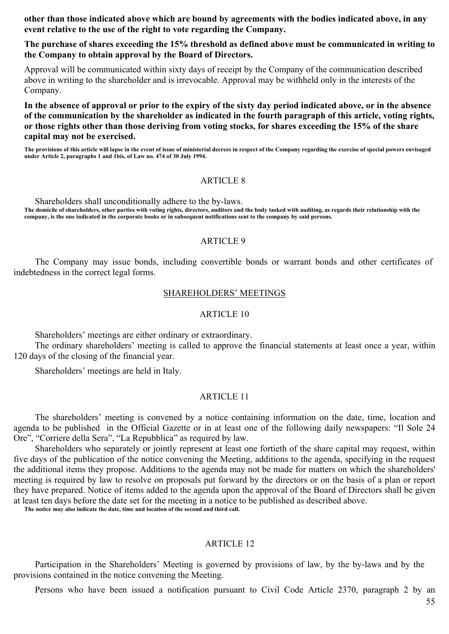**other than those indicated above which are bound by agreements with the bodies indicated above, in any event relative to the use of the right to vote regarding the Company.** 

**The purchase of shares exceeding the 15% threshold as defined above must be communicated in writing to the Company to obtain approval by the Board of Directors.** 

Approval will be communicated within sixty days of receipt by the Company of the communication described above in writing to the shareholder and is irrevocable. Approval may be withheld only in the interests of the Company.

**In the absence of approval or prior to the expiry of the sixty day period indicated above, or in the absence of the communication by the shareholder as indicated in the fourth paragraph of this article, voting rights, or those rights other than those deriving from voting stocks, for shares exceeding the 15% of the share capital may not be exercised.** 

**The provisions of this article will lapse in the event of issue of ministerial decrees in respect of the Company regarding the exercise of special powers envisaged under Article 2, paragraphs 1 and 1bis, of Law no. 474 of 30 July 1994.** 

#### ARTICLE 8

Shareholders shall unconditionally adhere to the by-laws. **The domicile of shareholders, other parties with voting rights, directors, auditors and the body tasked with auditing, as regards their relationship with the company, is the one indicated in the corporate books or in subsequent notifications sent to the company by said persons.** 

#### ARTICLE 9

The Company may issue bonds, including convertible bonds or warrant bonds and other certificates of indebtedness in the correct legal forms.

#### SHAREHOLDERS' MEETINGS

#### ARTICLE 10

Shareholders' meetings are either ordinary or extraordinary.

The ordinary shareholders' meeting is called to approve the financial statements at least once a year, within 120 days of the closing of the financial year.

Shareholders' meetings are held in Italy.

#### ARTICLE 11

The shareholders' meeting is convened by a notice containing information on the date, time, location and agenda to be published in the Official Gazette or in at least one of the following daily newspapers: "Il Sole 24 Ore", "Corriere della Sera", "La Repubblica" as required by law.

Shareholders who separately or jointly represent at least one fortieth of the share capital may request, within five days of the publication of the notice convening the Meeting, additions to the agenda, specifying in the request the additional items they propose. Additions to the agenda may not be made for matters on which the shareholders' meeting is required by law to resolve on proposals put forward by the directors or on the basis of a plan or report they have prepared. Notice of items added to the agenda upon the approval of the Board of Directors shall be given at least ten days before the date set for the meeting in a notice to be published as described above.

**The notice may also indicate the date, time and location of the second and third call.** 

#### ARTICLE 12

Participation in the Shareholders' Meeting is governed by provisions of law, by the by-laws and by the provisions contained in the notice convening the Meeting.

Persons who have been issued a notification pursuant to Civil Code Article 2370, paragraph 2 by an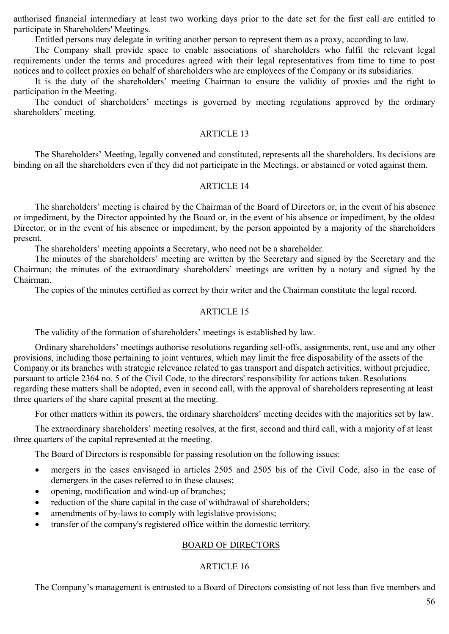authorised financial intermediary at least two working days prior to the date set for the first call are entitled to participate in Shareholders' Meetings.

Entitled persons may delegate in writing another person to represent them as a proxy, according to law.

The Company shall provide space to enable associations of shareholders who fulfil the relevant legal requirements under the terms and procedures agreed with their legal representatives from time to time to post notices and to collect proxies on behalf of shareholders who are employees of the Company or its subsidiaries.

It is the duty of the shareholders' meeting Chairman to ensure the validity of proxies and the right to participation in the Meeting.

The conduct of shareholders' meetings is governed by meeting regulations approved by the ordinary shareholders' meeting.

#### ARTICLE 13

The Shareholders' Meeting, legally convened and constituted, represents all the shareholders. Its decisions are binding on all the shareholders even if they did not participate in the Meetings, or abstained or voted against them.

#### ARTICLE 14

The shareholders' meeting is chaired by the Chairman of the Board of Directors or, in the event of his absence or impediment, by the Director appointed by the Board or, in the event of his absence or impediment, by the oldest Director, or in the event of his absence or impediment, by the person appointed by a majority of the shareholders present.

The shareholders' meeting appoints a Secretary, who need not be a shareholder.

The minutes of the shareholders' meeting are written by the Secretary and signed by the Secretary and the Chairman; the minutes of the extraordinary shareholders' meetings are written by a notary and signed by the Chairman.

The copies of the minutes certified as correct by their writer and the Chairman constitute the legal record.

#### ARTICLE 15

The validity of the formation of shareholders' meetings is established by law.

Ordinary shareholders' meetings authorise resolutions regarding sell-offs, assignments, rent, use and any other provisions, including those pertaining to joint ventures, which may limit the free disposability of the assets of the Company or its branches with strategic relevance related to gas transport and dispatch activities, without prejudice, pursuant to article 2364 no. 5 of the Civil Code, to the directors' responsibility for actions taken. Resolutions regarding these matters shall be adopted, even in second call, with the approval of shareholders representing at least three quarters of the share capital present at the meeting.

For other matters within its powers, the ordinary shareholders' meeting decides with the majorities set by law.

The extraordinary shareholders' meeting resolves, at the first, second and third call, with a majority of at least three quarters of the capital represented at the meeting.

The Board of Directors is responsible for passing resolution on the following issues:

- mergers in the cases envisaged in articles 2505 and 2505 bis of the Civil Code, also in the case of demergers in the cases referred to in these clauses;
- opening, modification and wind-up of branches;
- reduction of the share capital in the case of withdrawal of shareholders;
- amendments of by-laws to comply with legislative provisions;
- transfer of the company's registered office within the domestic territory*.*

#### BOARD OF DIRECTORS

#### ARTICLE 16

The Company's management is entrusted to a Board of Directors consisting of not less than five members and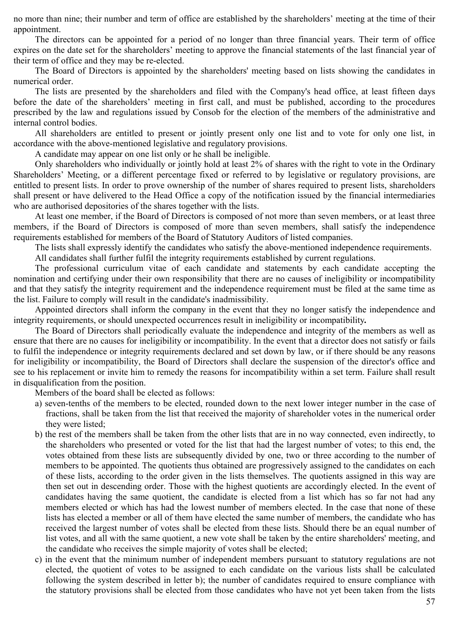no more than nine; their number and term of office are established by the shareholders' meeting at the time of their appointment.

The directors can be appointed for a period of no longer than three financial years. Their term of office expires on the date set for the shareholders' meeting to approve the financial statements of the last financial year of their term of office and they may be re-elected.

The Board of Directors is appointed by the shareholders' meeting based on lists showing the candidates in numerical order.

The lists are presented by the shareholders and filed with the Company's head office, at least fifteen days before the date of the shareholders' meeting in first call, and must be published, according to the procedures prescribed by the law and regulations issued by Consob for the election of the members of the administrative and internal control bodies.

All shareholders are entitled to present or jointly present only one list and to vote for only one list, in accordance with the above-mentioned legislative and regulatory provisions.

A candidate may appear on one list only or he shall be ineligible.

Only shareholders who individually or jointly hold at least 2% of shares with the right to vote in the Ordinary Shareholders' Meeting, or a different percentage fixed or referred to by legislative or regulatory provisions, are entitled to present lists. In order to prove ownership of the number of shares required to present lists, shareholders shall present or have delivered to the Head Office a copy of the notification issued by the financial intermediaries who are authorised depositories of the shares together with the lists.

At least one member, if the Board of Directors is composed of not more than seven members, or at least three members, if the Board of Directors is composed of more than seven members, shall satisfy the independence requirements established for members of the Board of Statutory Auditors of listed companies.

The lists shall expressly identify the candidates who satisfy the above-mentioned independence requirements. All candidates shall further fulfil the integrity requirements established by current regulations.

The professional curriculum vitae of each candidate and statements by each candidate accepting the nomination and certifying under their own responsibility that there are no causes of ineligibility or incompatibility and that they satisfy the integrity requirement and the independence requirement must be filed at the same time as the list. Failure to comply will result in the candidate's inadmissibility.

Appointed directors shall inform the company in the event that they no longer satisfy the independence and integrity requirements, or should unexpected occurrences result in ineligibility or incompatibility*.* 

The Board of Directors shall periodically evaluate the independence and integrity of the members as well as ensure that there are no causes for ineligibility or incompatibility. In the event that a director does not satisfy or fails to fulfil the independence or integrity requirements declared and set down by law, or if there should be any reasons for ineligibility or incompatibility, the Board of Directors shall declare the suspension of the director's office and see to his replacement or invite him to remedy the reasons for incompatibility within a set term. Failure shall result in disqualification from the position.

Members of the board shall be elected as follows:

- a) seven-tenths of the members to be elected, rounded down to the next lower integer number in the case of fractions, shall be taken from the list that received the majority of shareholder votes in the numerical order they were listed;
- b) the rest of the members shall be taken from the other lists that are in no way connected, even indirectly, to the shareholders who presented or voted for the list that had the largest number of votes; to this end, the votes obtained from these lists are subsequently divided by one, two or three according to the number of members to be appointed. The quotients thus obtained are progressively assigned to the candidates on each of these lists, according to the order given in the lists themselves. The quotients assigned in this way are then set out in descending order. Those with the highest quotients are accordingly elected. In the event of candidates having the same quotient, the candidate is elected from a list which has so far not had any members elected or which has had the lowest number of members elected. In the case that none of these lists has elected a member or all of them have elected the same number of members, the candidate who has received the largest number of votes shall be elected from these lists. Should there be an equal number of list votes, and all with the same quotient, a new vote shall be taken by the entire shareholders' meeting, and the candidate who receives the simple majority of votes shall be elected;
- c) in the event that the minimum number of independent members pursuant to statutory regulations are not elected, the quotient of votes to be assigned to each candidate on the various lists shall be calculated following the system described in letter b); the number of candidates required to ensure compliance with the statutory provisions shall be elected from those candidates who have not yet been taken from the lists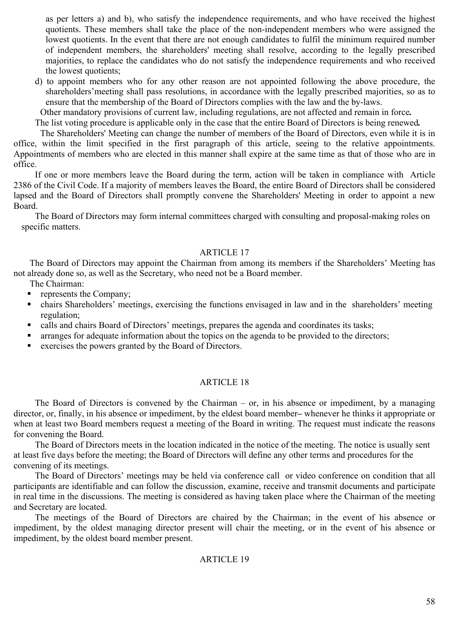as per letters a) and b), who satisfy the independence requirements, and who have received the highest quotients. These members shall take the place of the non-independent members who were assigned the lowest quotients. In the event that there are not enough candidates to fulfil the minimum required number of independent members, the shareholders' meeting shall resolve, according to the legally prescribed majorities, to replace the candidates who do not satisfy the independence requirements and who received the lowest quotients;

d) to appoint members who for any other reason are not appointed following the above procedure, the shareholders'meeting shall pass resolutions, in accordance with the legally prescribed majorities, so as to ensure that the membership of the Board of Directors complies with the law and the by-laws.

Other mandatory provisions of current law, including regulations, are not affected and remain in force*.* 

The list voting procedure is applicable only in the case that the entire Board of Directors is being renewed*.* 

The Shareholders' Meeting can change the number of members of the Board of Directors, even while it is in office, within the limit specified in the first paragraph of this article, seeing to the relative appointments. Appointments of members who are elected in this manner shall expire at the same time as that of those who are in office.

If one or more members leave the Board during the term, action will be taken in compliance with Article 2386 of the Civil Code. If a majority of members leaves the Board, the entire Board of Directors shall be considered lapsed and the Board of Directors shall promptly convene the Shareholders' Meeting in order to appoint a new Board.

The Board of Directors may form internal committees charged with consulting and proposal-making roles on specific matters.

#### ARTICLE 17

The Board of Directors may appoint the Chairman from among its members if the Shareholders' Meeting has not already done so, as well as the Secretary, who need not be a Board member.

The Chairman:

- **•** represents the Company;
- chairs Shareholders' meetings, exercising the functions envisaged in law and in the shareholders' meeting regulation;
- calls and chairs Board of Directors' meetings, prepares the agenda and coordinates its tasks;
- **Example 5** arranges for adequate information about the topics on the agenda to be provided to the directors:
- exercises the powers granted by the Board of Directors.

#### ARTICLE 18

The Board of Directors is convened by the Chairman – or, in his absence or impediment, by a managing director, or, finally, in his absence or impediment, by the eldest board member*–* whenever he thinks it appropriate or when at least two Board members request a meeting of the Board in writing. The request must indicate the reasons for convening the Board.

The Board of Directors meets in the location indicated in the notice of the meeting. The notice is usually sent at least five days before the meeting; the Board of Directors will define any other terms and procedures for the convening of its meetings.

The Board of Directors' meetings may be held via conference call or video conference on condition that all participants are identifiable and can follow the discussion, examine, receive and transmit documents and participate in real time in the discussions. The meeting is considered as having taken place where the Chairman of the meeting and Secretary are located.

The meetings of the Board of Directors are chaired by the Chairman; in the event of his absence or impediment, by the oldest managing director present will chair the meeting, or in the event of his absence or impediment, by the oldest board member present.

#### ARTICLE 19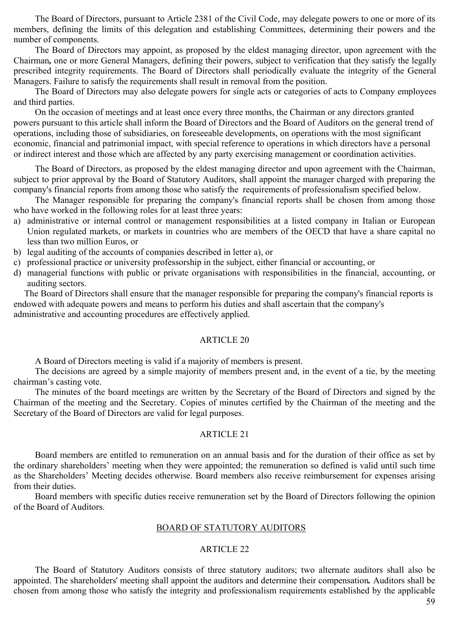The Board of Directors, pursuant to Article 2381 of the Civil Code, may delegate powers to one or more of its members, defining the limits of this delegation and establishing Committees, determining their powers and the number of components.

The Board of Directors may appoint, as proposed by the eldest managing director, upon agreement with the Chairman*,* one or more General Managers, defining their powers, subject to verification that they satisfy the legally prescribed integrity requirements. The Board of Directors shall periodically evaluate the integrity of the General Managers. Failure to satisfy the requirements shall result in removal from the position.

The Board of Directors may also delegate powers for single acts or categories of acts to Company employees and third parties.

On the occasion of meetings and at least once every three months, the Chairman or any directors granted powers pursuant to this article shall inform the Board of Directors and the Board of Auditors on the general trend of operations, including those of subsidiaries, on foreseeable developments, on operations with the most significant economic, financial and patrimonial impact, with special reference to operations in which directors have a personal or indirect interest and those which are affected by any party exercising management or coordination activities.

The Board of Directors, as proposed by the eldest managing director and upon agreement with the Chairman, subject to prior approval by the Board of Statutory Auditors, shall appoint the manager charged with preparing the company's financial reports from among those who satisfy the requirements of professionalism specified below.

The Manager responsible for preparing the company's financial reports shall be chosen from among those who have worked in the following roles for at least three years:

- a) administrative or internal control or management responsibilities at a listed company in Italian or European Union regulated markets, or markets in countries who are members of the OECD that have a share capital no less than two million Euros, or
- b) legal auditing of the accounts of companies described in letter a), or
- c) professional practice or university professorship in the subject, either financial or accounting, or
- d) managerial functions with public or private organisations with responsibilities in the financial, accounting, or auditing sectors.

The Board of Directors shall ensure that the manager responsible for preparing the company's financial reports is endowed with adequate powers and means to perform his duties and shall ascertain that the company's administrative and accounting procedures are effectively applied.

#### ARTICLE 20

A Board of Directors meeting is valid if a majority of members is present.

The decisions are agreed by a simple majority of members present and, in the event of a tie, by the meeting chairman's casting vote.

The minutes of the board meetings are written by the Secretary of the Board of Directors and signed by the Chairman of the meeting and the Secretary. Copies of minutes certified by the Chairman of the meeting and the Secretary of the Board of Directors are valid for legal purposes.

#### ARTICLE 21

Board members are entitled to remuneration on an annual basis and for the duration of their office as set by the ordinary shareholders' meeting when they were appointed; the remuneration so defined is valid until such time as the Shareholders' Meeting decides otherwise. Board members also receive reimbursement for expenses arising from their duties.

Board members with specific duties receive remuneration set by the Board of Directors following the opinion of the Board of Auditors.

#### BOARD OF STATUTORY AUDITORS

#### ARTICLE 22

The Board of Statutory Auditors consists of three statutory auditors; two alternate auditors shall also be appointed. The shareholders' meeting shall appoint the auditors and determine their compensation*.* Auditors shall be chosen from among those who satisfy the integrity and professionalism requirements established by the applicable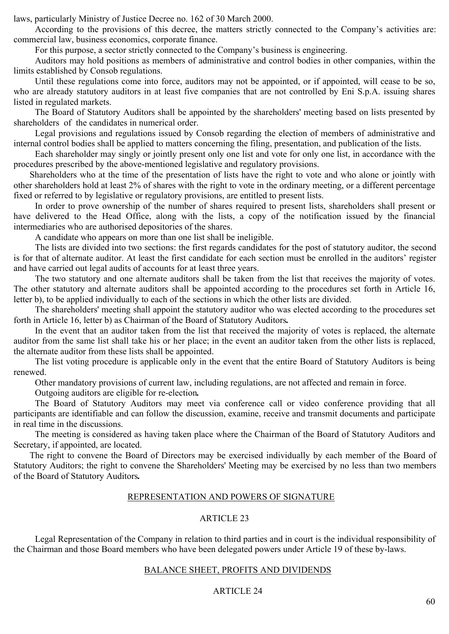laws, particularly Ministry of Justice Decree no. 162 of 30 March 2000.

According to the provisions of this decree, the matters strictly connected to the Company's activities are: commercial law, business economics, corporate finance.

For this purpose, a sector strictly connected to the Company's business is engineering.

Auditors may hold positions as members of administrative and control bodies in other companies, within the limits established by Consob regulations.

Until these regulations come into force, auditors may not be appointed, or if appointed, will cease to be so, who are already statutory auditors in at least five companies that are not controlled by Eni S.p.A. issuing shares listed in regulated markets.

The Board of Statutory Auditors shall be appointed by the shareholders' meeting based on lists presented by shareholders of the candidates in numerical order.

Legal provisions and regulations issued by Consob regarding the election of members of administrative and internal control bodies shall be applied to matters concerning the filing, presentation, and publication of the lists.

Each shareholder may singly or jointly present only one list and vote for only one list, in accordance with the procedures prescribed by the above-mentioned legislative and regulatory provisions.

Shareholders who at the time of the presentation of lists have the right to vote and who alone or jointly with other shareholders hold at least 2% of shares with the right to vote in the ordinary meeting, or a different percentage fixed or referred to by legislative or regulatory provisions, are entitled to present lists.

In order to prove ownership of the number of shares required to present lists, shareholders shall present or have delivered to the Head Office, along with the lists, a copy of the notification issued by the financial intermediaries who are authorised depositories of the shares.

A candidate who appears on more than one list shall be ineligible.

The lists are divided into two sections: the first regards candidates for the post of statutory auditor, the second is for that of alternate auditor. At least the first candidate for each section must be enrolled in the auditors' register and have carried out legal audits of accounts for at least three years.

The two statutory and one alternate auditors shall be taken from the list that receives the majority of votes. The other statutory and alternate auditors shall be appointed according to the procedures set forth in Article 16, letter b), to be applied individually to each of the sections in which the other lists are divided.

The shareholders' meeting shall appoint the statutory auditor who was elected according to the procedures set forth in Article 16, letter b) as Chairman of the Board of Statutory Auditors*.* 

In the event that an auditor taken from the list that received the majority of votes is replaced, the alternate auditor from the same list shall take his or her place; in the event an auditor taken from the other lists is replaced, the alternate auditor from these lists shall be appointed.

The list voting procedure is applicable only in the event that the entire Board of Statutory Auditors is being renewed.

Other mandatory provisions of current law, including regulations, are not affected and remain in force.

Outgoing auditors are eligible for re-election*.* 

The Board of Statutory Auditors may meet via conference call or video conference providing that all participants are identifiable and can follow the discussion, examine, receive and transmit documents and participate in real time in the discussions.

The meeting is considered as having taken place where the Chairman of the Board of Statutory Auditors and Secretary, if appointed, are located.

The right to convene the Board of Directors may be exercised individually by each member of the Board of Statutory Auditors; the right to convene the Shareholders' Meeting may be exercised by no less than two members of the Board of Statutory Auditors*.*

#### REPRESENTATION AND POWERS OF SIGNATURE

#### ARTICLE 23

Legal Representation of the Company in relation to third parties and in court is the individual responsibility of the Chairman and those Board members who have been delegated powers under Article 19 of these by-laws.

#### BALANCE SHEET, PROFITS AND DIVIDENDS

#### ARTICLE 24